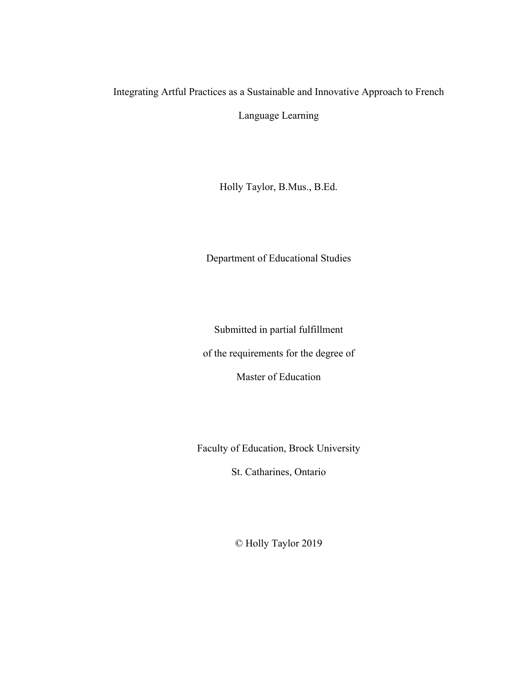# Integrating Artful Practices as a Sustainable and Innovative Approach to French

Language Learning

Holly Taylor, B.Mus., B.Ed.

Department of Educational Studies

Submitted in partial fulfillment

of the requirements for the degree of

Master of Education

Faculty of Education, Brock University

St. Catharines, Ontario

© Holly Taylor 2019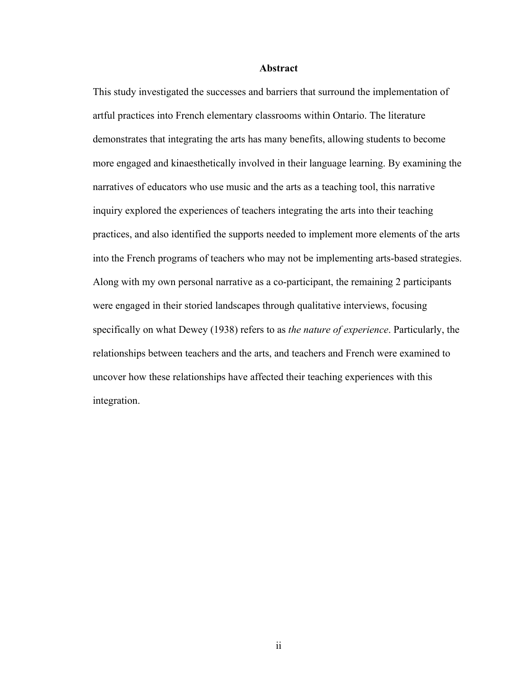# **Abstract**

This study investigated the successes and barriers that surround the implementation of artful practices into French elementary classrooms within Ontario. The literature demonstrates that integrating the arts has many benefits, allowing students to become more engaged and kinaesthetically involved in their language learning. By examining the narratives of educators who use music and the arts as a teaching tool, this narrative inquiry explored the experiences of teachers integrating the arts into their teaching practices, and also identified the supports needed to implement more elements of the arts into the French programs of teachers who may not be implementing arts-based strategies. Along with my own personal narrative as a co-participant, the remaining 2 participants were engaged in their storied landscapes through qualitative interviews, focusing specifically on what Dewey (1938) refers to as *the nature of experience*. Particularly, the relationships between teachers and the arts, and teachers and French were examined to uncover how these relationships have affected their teaching experiences with this integration.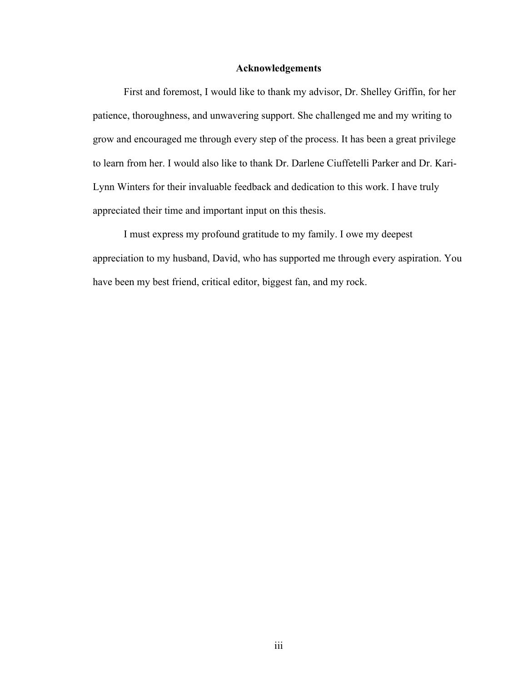# **Acknowledgements**

First and foremost, I would like to thank my advisor, Dr. Shelley Griffin, for her patience, thoroughness, and unwavering support. She challenged me and my writing to grow and encouraged me through every step of the process. It has been a great privilege to learn from her. I would also like to thank Dr. Darlene Ciuffetelli Parker and Dr. Kari-Lynn Winters for their invaluable feedback and dedication to this work. I have truly appreciated their time and important input on this thesis.

I must express my profound gratitude to my family. I owe my deepest appreciation to my husband, David, who has supported me through every aspiration. You have been my best friend, critical editor, biggest fan, and my rock.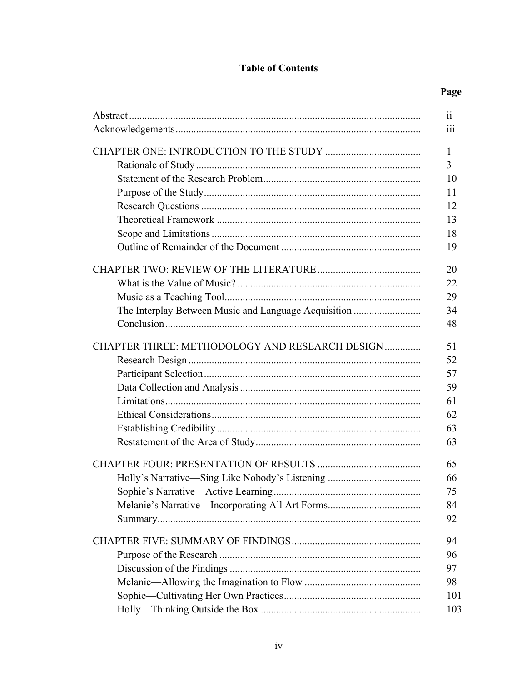# **Table of Contents**

|                                                      | $\ddotsc$<br>11 |
|------------------------------------------------------|-----------------|
|                                                      | 111             |
|                                                      | 1               |
|                                                      | 3               |
|                                                      | 10              |
|                                                      | 11              |
|                                                      | 12              |
|                                                      | 13              |
|                                                      | 18              |
|                                                      | 19              |
|                                                      | 20              |
|                                                      | 22              |
|                                                      | 29              |
| The Interplay Between Music and Language Acquisition | 34              |
|                                                      | 48              |
| CHAPTER THREE: METHODOLOGY AND RESEARCH DESIGN       | 51              |
|                                                      | 52              |
|                                                      | 57              |
|                                                      | 59              |
|                                                      | 61              |
|                                                      | 62              |
|                                                      | 63              |
|                                                      | 63              |
|                                                      | 65              |
|                                                      | 66              |
|                                                      | 75              |
|                                                      | 84              |
|                                                      | 92              |
|                                                      | 94              |
|                                                      | 96              |
|                                                      | 97              |
|                                                      | 98              |
|                                                      | 101             |
|                                                      | 103             |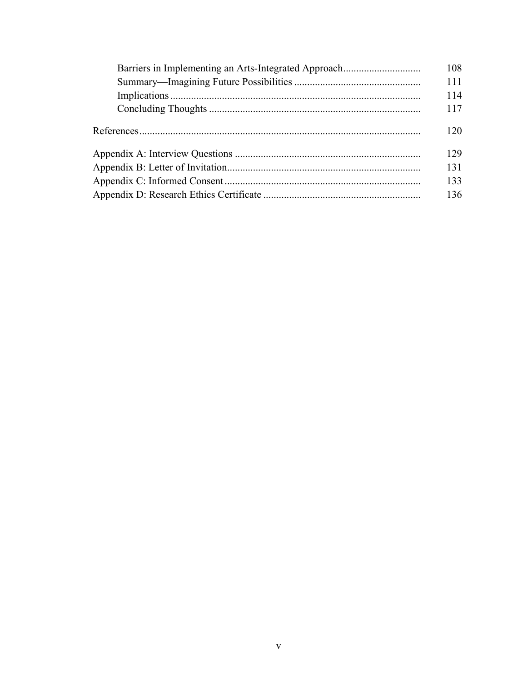| 108 |
|-----|
| 111 |
| 114 |
| 117 |
| 120 |
| 129 |
| 131 |
| 133 |
| 136 |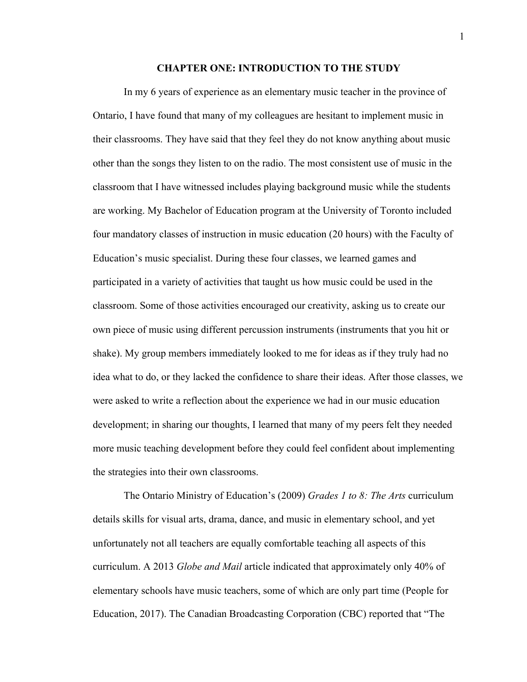#### **CHAPTER ONE: INTRODUCTION TO THE STUDY**

In my 6 years of experience as an elementary music teacher in the province of Ontario, I have found that many of my colleagues are hesitant to implement music in their classrooms. They have said that they feel they do not know anything about music other than the songs they listen to on the radio. The most consistent use of music in the classroom that I have witnessed includes playing background music while the students are working. My Bachelor of Education program at the University of Toronto included four mandatory classes of instruction in music education (20 hours) with the Faculty of Education's music specialist. During these four classes, we learned games and participated in a variety of activities that taught us how music could be used in the classroom. Some of those activities encouraged our creativity, asking us to create our own piece of music using different percussion instruments (instruments that you hit or shake). My group members immediately looked to me for ideas as if they truly had no idea what to do, or they lacked the confidence to share their ideas. After those classes, we were asked to write a reflection about the experience we had in our music education development; in sharing our thoughts, I learned that many of my peers felt they needed more music teaching development before they could feel confident about implementing the strategies into their own classrooms.

The Ontario Ministry of Education's (2009) *Grades 1 to 8: The Arts* curriculum details skills for visual arts, drama, dance, and music in elementary school, and yet unfortunately not all teachers are equally comfortable teaching all aspects of this curriculum. A 2013 *Globe and Mail* article indicated that approximately only 40% of elementary schools have music teachers, some of which are only part time (People for Education, 2017). The Canadian Broadcasting Corporation (CBC) reported that "The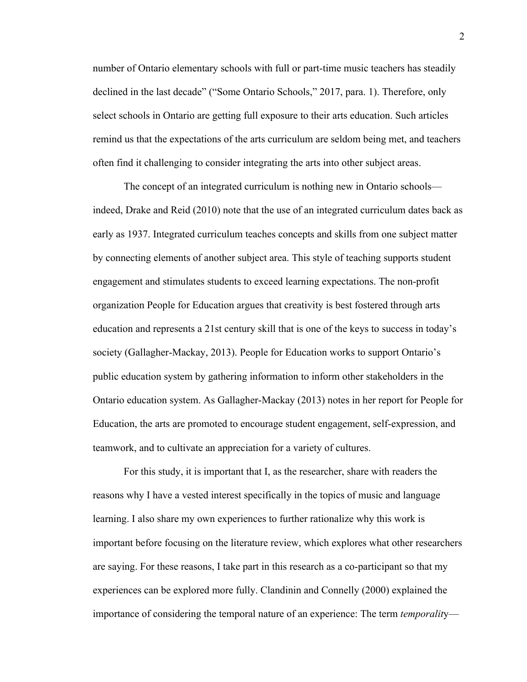number of Ontario elementary schools with full or part-time music teachers has steadily declined in the last decade" ("Some Ontario Schools," 2017, para. 1). Therefore, only select schools in Ontario are getting full exposure to their arts education. Such articles remind us that the expectations of the arts curriculum are seldom being met, and teachers often find it challenging to consider integrating the arts into other subject areas.

The concept of an integrated curriculum is nothing new in Ontario schools indeed, Drake and Reid (2010) note that the use of an integrated curriculum dates back as early as 1937. Integrated curriculum teaches concepts and skills from one subject matter by connecting elements of another subject area. This style of teaching supports student engagement and stimulates students to exceed learning expectations. The non-profit organization People for Education argues that creativity is best fostered through arts education and represents a 21st century skill that is one of the keys to success in today's society (Gallagher-Mackay, 2013). People for Education works to support Ontario's public education system by gathering information to inform other stakeholders in the Ontario education system. As Gallagher-Mackay (2013) notes in her report for People for Education, the arts are promoted to encourage student engagement, self-expression, and teamwork, and to cultivate an appreciation for a variety of cultures.

For this study, it is important that I, as the researcher, share with readers the reasons why I have a vested interest specifically in the topics of music and language learning. I also share my own experiences to further rationalize why this work is important before focusing on the literature review, which explores what other researchers are saying. For these reasons, I take part in this research as a co-participant so that my experiences can be explored more fully. Clandinin and Connelly (2000) explained the importance of considering the temporal nature of an experience: The term *temporalit*y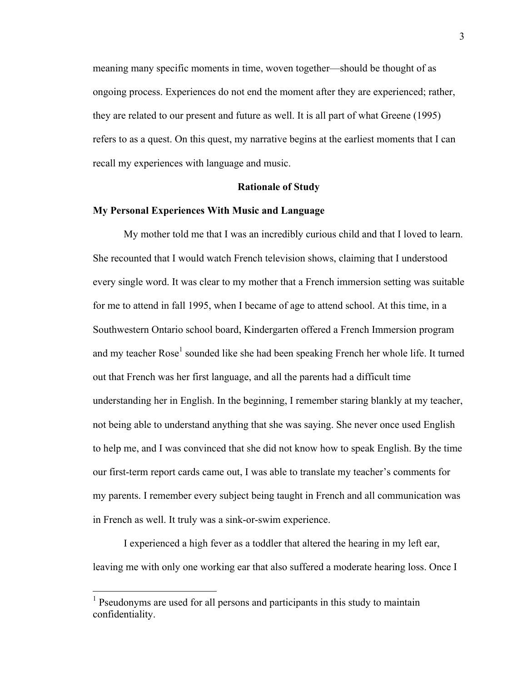meaning many specific moments in time, woven together—should be thought of as ongoing process. Experiences do not end the moment after they are experienced; rather, they are related to our present and future as well. It is all part of what Greene (1995) refers to as a quest. On this quest, my narrative begins at the earliest moments that I can recall my experiences with language and music.

# **Rationale of Study**

# **My Personal Experiences With Music and Language**

My mother told me that I was an incredibly curious child and that I loved to learn. She recounted that I would watch French television shows, claiming that I understood every single word. It was clear to my mother that a French immersion setting was suitable for me to attend in fall 1995, when I became of age to attend school. At this time, in a Southwestern Ontario school board, Kindergarten offered a French Immersion program and my teacher Rose<sup>1</sup> sounded like she had been speaking French her whole life. It turned out that French was her first language, and all the parents had a difficult time understanding her in English. In the beginning, I remember staring blankly at my teacher, not being able to understand anything that she was saying. She never once used English to help me, and I was convinced that she did not know how to speak English. By the time our first-term report cards came out, I was able to translate my teacher's comments for my parents. I remember every subject being taught in French and all communication was in French as well. It truly was a sink-or-swim experience.

I experienced a high fever as a toddler that altered the hearing in my left ear, leaving me with only one working ear that also suffered a moderate hearing loss. Once I

<sup>&</sup>lt;sup>1</sup> Pseudonyms are used for all persons and participants in this study to maintain confidentiality.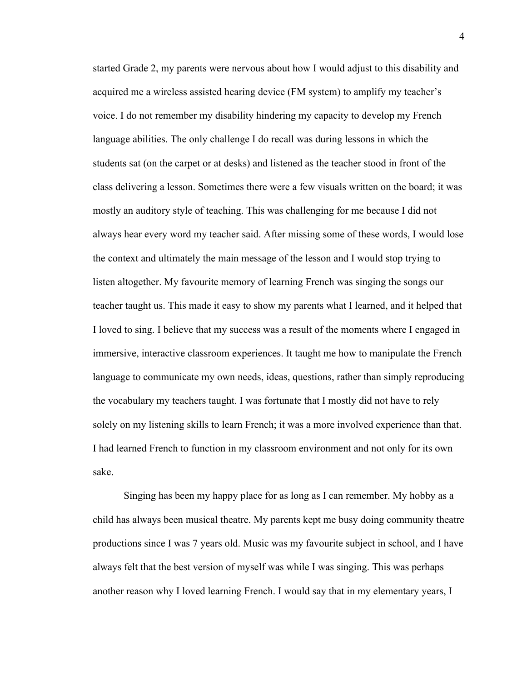started Grade 2, my parents were nervous about how I would adjust to this disability and acquired me a wireless assisted hearing device (FM system) to amplify my teacher's voice. I do not remember my disability hindering my capacity to develop my French language abilities. The only challenge I do recall was during lessons in which the students sat (on the carpet or at desks) and listened as the teacher stood in front of the class delivering a lesson. Sometimes there were a few visuals written on the board; it was mostly an auditory style of teaching. This was challenging for me because I did not always hear every word my teacher said. After missing some of these words, I would lose the context and ultimately the main message of the lesson and I would stop trying to listen altogether. My favourite memory of learning French was singing the songs our teacher taught us. This made it easy to show my parents what I learned, and it helped that I loved to sing. I believe that my success was a result of the moments where I engaged in immersive, interactive classroom experiences. It taught me how to manipulate the French language to communicate my own needs, ideas, questions, rather than simply reproducing the vocabulary my teachers taught. I was fortunate that I mostly did not have to rely solely on my listening skills to learn French; it was a more involved experience than that. I had learned French to function in my classroom environment and not only for its own sake.

Singing has been my happy place for as long as I can remember. My hobby as a child has always been musical theatre. My parents kept me busy doing community theatre productions since I was 7 years old. Music was my favourite subject in school, and I have always felt that the best version of myself was while I was singing. This was perhaps another reason why I loved learning French. I would say that in my elementary years, I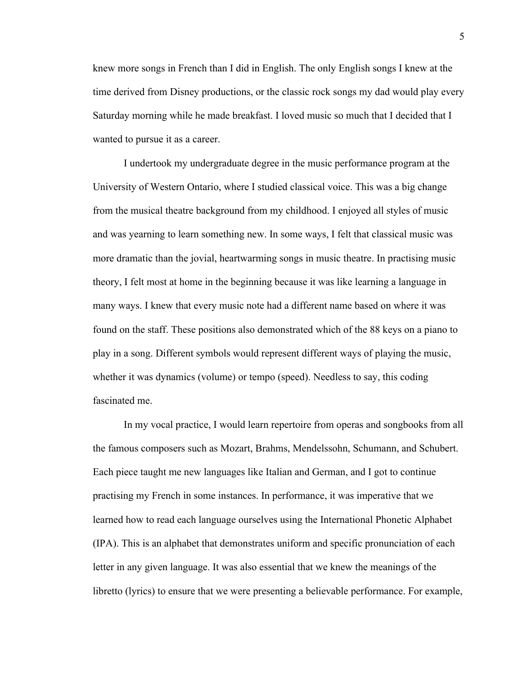knew more songs in French than I did in English. The only English songs I knew at the time derived from Disney productions, or the classic rock songs my dad would play every Saturday morning while he made breakfast. I loved music so much that I decided that I wanted to pursue it as a career.

I undertook my undergraduate degree in the music performance program at the University of Western Ontario, where I studied classical voice. This was a big change from the musical theatre background from my childhood. I enjoyed all styles of music and was yearning to learn something new. In some ways, I felt that classical music was more dramatic than the jovial, heartwarming songs in music theatre. In practising music theory, I felt most at home in the beginning because it was like learning a language in many ways. I knew that every music note had a different name based on where it was found on the staff. These positions also demonstrated which of the 88 keys on a piano to play in a song. Different symbols would represent different ways of playing the music, whether it was dynamics (volume) or tempo (speed). Needless to say, this coding fascinated me.

In my vocal practice, I would learn repertoire from operas and songbooks from all the famous composers such as Mozart, Brahms, Mendelssohn, Schumann, and Schubert. Each piece taught me new languages like Italian and German, and I got to continue practising my French in some instances. In performance, it was imperative that we learned how to read each language ourselves using the International Phonetic Alphabet (IPA). This is an alphabet that demonstrates uniform and specific pronunciation of each letter in any given language. It was also essential that we knew the meanings of the libretto (lyrics) to ensure that we were presenting a believable performance. For example,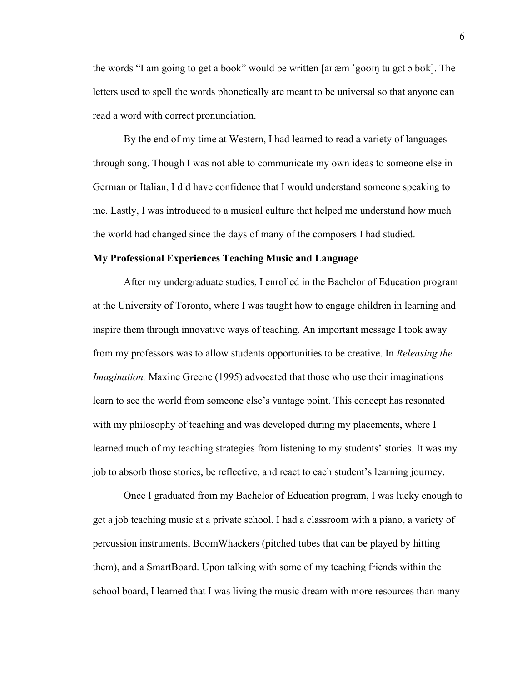the words "I am going to get a book" would be written [aɪ æm ˈgoʊɪŋ tu gɛt ə bʊk]. The letters used to spell the words phonetically are meant to be universal so that anyone can read a word with correct pronunciation.

By the end of my time at Western, I had learned to read a variety of languages through song. Though I was not able to communicate my own ideas to someone else in German or Italian, I did have confidence that I would understand someone speaking to me. Lastly, I was introduced to a musical culture that helped me understand how much the world had changed since the days of many of the composers I had studied.

#### **My Professional Experiences Teaching Music and Language**

After my undergraduate studies, I enrolled in the Bachelor of Education program at the University of Toronto, where I was taught how to engage children in learning and inspire them through innovative ways of teaching. An important message I took away from my professors was to allow students opportunities to be creative. In *Releasing the Imagination,* Maxine Greene (1995) advocated that those who use their imaginations learn to see the world from someone else's vantage point. This concept has resonated with my philosophy of teaching and was developed during my placements, where I learned much of my teaching strategies from listening to my students' stories. It was my job to absorb those stories, be reflective, and react to each student's learning journey.

Once I graduated from my Bachelor of Education program, I was lucky enough to get a job teaching music at a private school. I had a classroom with a piano, a variety of percussion instruments, BoomWhackers (pitched tubes that can be played by hitting them), and a SmartBoard. Upon talking with some of my teaching friends within the school board, I learned that I was living the music dream with more resources than many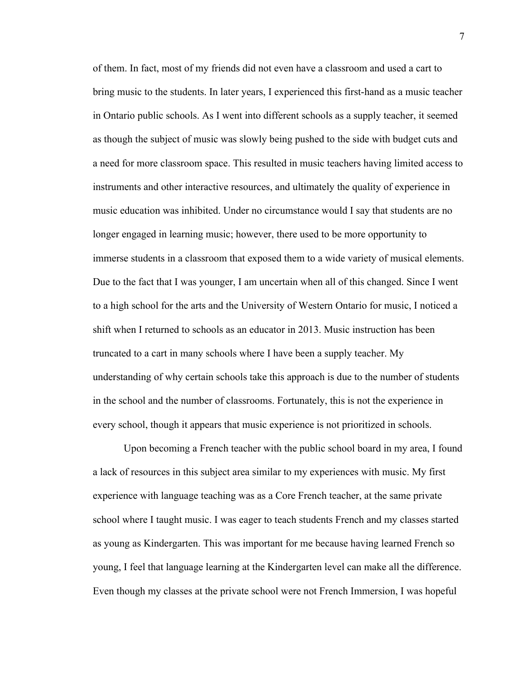of them. In fact, most of my friends did not even have a classroom and used a cart to bring music to the students. In later years, I experienced this first-hand as a music teacher in Ontario public schools. As I went into different schools as a supply teacher, it seemed as though the subject of music was slowly being pushed to the side with budget cuts and a need for more classroom space. This resulted in music teachers having limited access to instruments and other interactive resources, and ultimately the quality of experience in music education was inhibited. Under no circumstance would I say that students are no longer engaged in learning music; however, there used to be more opportunity to immerse students in a classroom that exposed them to a wide variety of musical elements. Due to the fact that I was younger, I am uncertain when all of this changed. Since I went to a high school for the arts and the University of Western Ontario for music, I noticed a shift when I returned to schools as an educator in 2013. Music instruction has been truncated to a cart in many schools where I have been a supply teacher. My understanding of why certain schools take this approach is due to the number of students in the school and the number of classrooms. Fortunately, this is not the experience in every school, though it appears that music experience is not prioritized in schools.

Upon becoming a French teacher with the public school board in my area, I found a lack of resources in this subject area similar to my experiences with music. My first experience with language teaching was as a Core French teacher, at the same private school where I taught music. I was eager to teach students French and my classes started as young as Kindergarten. This was important for me because having learned French so young, I feel that language learning at the Kindergarten level can make all the difference. Even though my classes at the private school were not French Immersion, I was hopeful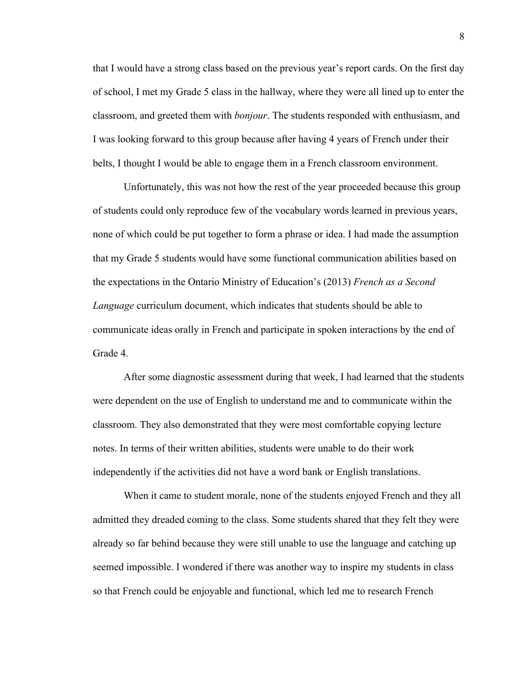that I would have a strong class based on the previous year's report cards. On the first day of school, I met my Grade 5 class in the hallway, where they were all lined up to enter the classroom, and greeted them with *bonjour*. The students responded with enthusiasm, and I was looking forward to this group because after having 4 years of French under their belts, I thought I would be able to engage them in a French classroom environment.

Unfortunately, this was not how the rest of the year proceeded because this group of students could only reproduce few of the vocabulary words learned in previous years, none of which could be put together to form a phrase or idea. I had made the assumption that my Grade 5 students would have some functional communication abilities based on the expectations in the Ontario Ministry of Education's (2013) *French as a Second Language* curriculum document, which indicates that students should be able to communicate ideas orally in French and participate in spoken interactions by the end of Grade 4.

After some diagnostic assessment during that week, I had learned that the students were dependent on the use of English to understand me and to communicate within the classroom. They also demonstrated that they were most comfortable copying lecture notes. In terms of their written abilities, students were unable to do their work independently if the activities did not have a word bank or English translations.

When it came to student morale, none of the students enjoyed French and they all admitted they dreaded coming to the class. Some students shared that they felt they were already so far behind because they were still unable to use the language and catching up seemed impossible. I wondered if there was another way to inspire my students in class so that French could be enjoyable and functional, which led me to research French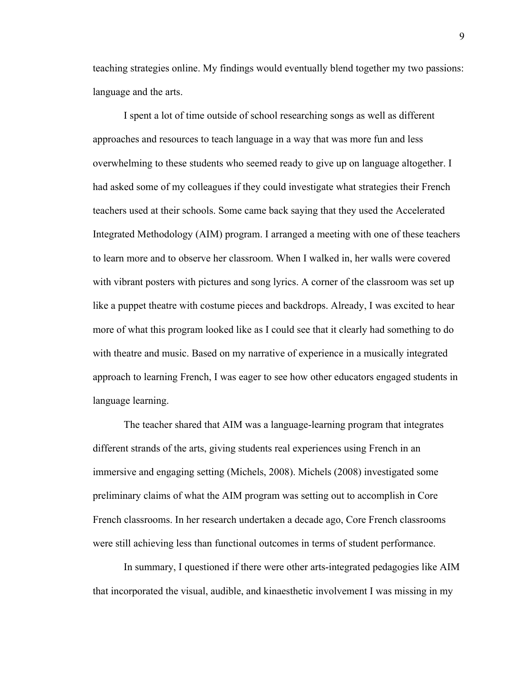teaching strategies online. My findings would eventually blend together my two passions: language and the arts.

I spent a lot of time outside of school researching songs as well as different approaches and resources to teach language in a way that was more fun and less overwhelming to these students who seemed ready to give up on language altogether. I had asked some of my colleagues if they could investigate what strategies their French teachers used at their schools. Some came back saying that they used the Accelerated Integrated Methodology (AIM) program. I arranged a meeting with one of these teachers to learn more and to observe her classroom. When I walked in, her walls were covered with vibrant posters with pictures and song lyrics. A corner of the classroom was set up like a puppet theatre with costume pieces and backdrops. Already, I was excited to hear more of what this program looked like as I could see that it clearly had something to do with theatre and music. Based on my narrative of experience in a musically integrated approach to learning French, I was eager to see how other educators engaged students in language learning.

The teacher shared that AIM was a language-learning program that integrates different strands of the arts, giving students real experiences using French in an immersive and engaging setting (Michels, 2008). Michels (2008) investigated some preliminary claims of what the AIM program was setting out to accomplish in Core French classrooms. In her research undertaken a decade ago, Core French classrooms were still achieving less than functional outcomes in terms of student performance.

In summary, I questioned if there were other arts-integrated pedagogies like AIM that incorporated the visual, audible, and kinaesthetic involvement I was missing in my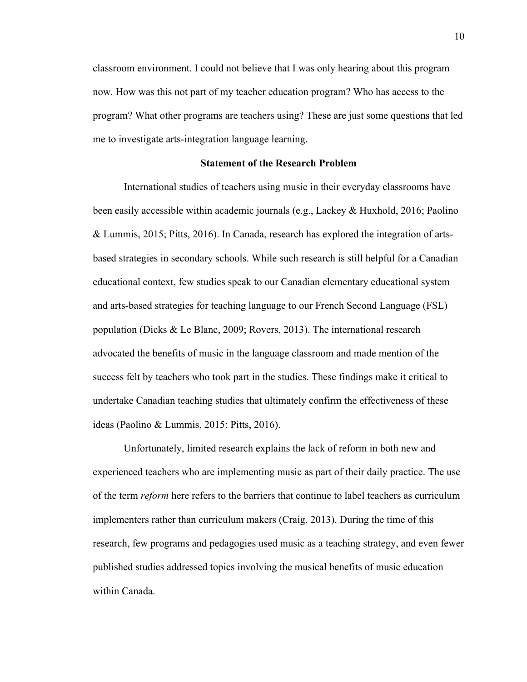classroom environment. I could not believe that I was only hearing about this program now. How was this not part of my teacher education program? Who has access to the program? What other programs are teachers using? These are just some questions that led me to investigate arts-integration language learning.

# **Statement of the Research Problem**

International studies of teachers using music in their everyday classrooms have been easily accessible within academic journals (e.g., Lackey & Huxhold, 2016; Paolino & Lummis, 2015; Pitts, 2016). In Canada, research has explored the integration of artsbased strategies in secondary schools. While such research is still helpful for a Canadian educational context, few studies speak to our Canadian elementary educational system and arts-based strategies for teaching language to our French Second Language (FSL) population (Dicks & Le Blanc, 2009; Rovers, 2013). The international research advocated the benefits of music in the language classroom and made mention of the success felt by teachers who took part in the studies. These findings make it critical to undertake Canadian teaching studies that ultimately confirm the effectiveness of these ideas (Paolino & Lummis, 2015; Pitts, 2016).

Unfortunately, limited research explains the lack of reform in both new and experienced teachers who are implementing music as part of their daily practice. The use of the term *reform* here refers to the barriers that continue to label teachers as curriculum implementers rather than curriculum makers (Craig, 2013). During the time of this research, few programs and pedagogies used music as a teaching strategy, and even fewer published studies addressed topics involving the musical benefits of music education within Canada.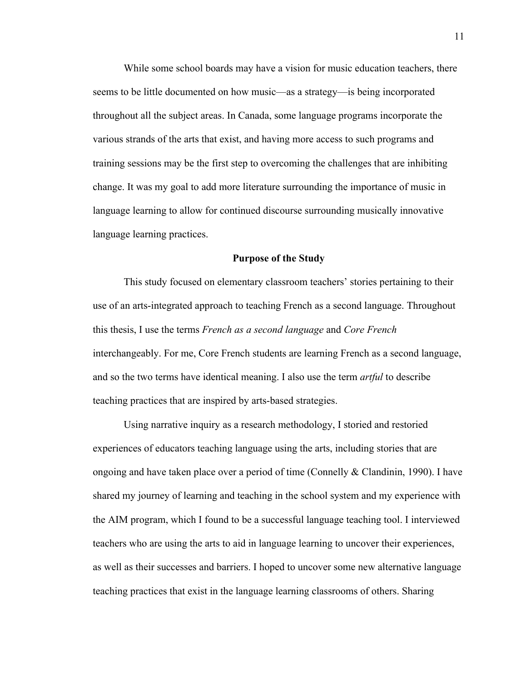While some school boards may have a vision for music education teachers, there seems to be little documented on how music—as a strategy—is being incorporated throughout all the subject areas. In Canada, some language programs incorporate the various strands of the arts that exist, and having more access to such programs and training sessions may be the first step to overcoming the challenges that are inhibiting change. It was my goal to add more literature surrounding the importance of music in language learning to allow for continued discourse surrounding musically innovative language learning practices.

#### **Purpose of the Study**

This study focused on elementary classroom teachers' stories pertaining to their use of an arts-integrated approach to teaching French as a second language. Throughout this thesis, I use the terms *French as a second language* and *Core French* interchangeably. For me, Core French students are learning French as a second language, and so the two terms have identical meaning. I also use the term *artful* to describe teaching practices that are inspired by arts-based strategies.

Using narrative inquiry as a research methodology, I storied and restoried experiences of educators teaching language using the arts, including stories that are ongoing and have taken place over a period of time (Connelly  $\&$  Clandinin, 1990). I have shared my journey of learning and teaching in the school system and my experience with the AIM program, which I found to be a successful language teaching tool. I interviewed teachers who are using the arts to aid in language learning to uncover their experiences, as well as their successes and barriers. I hoped to uncover some new alternative language teaching practices that exist in the language learning classrooms of others. Sharing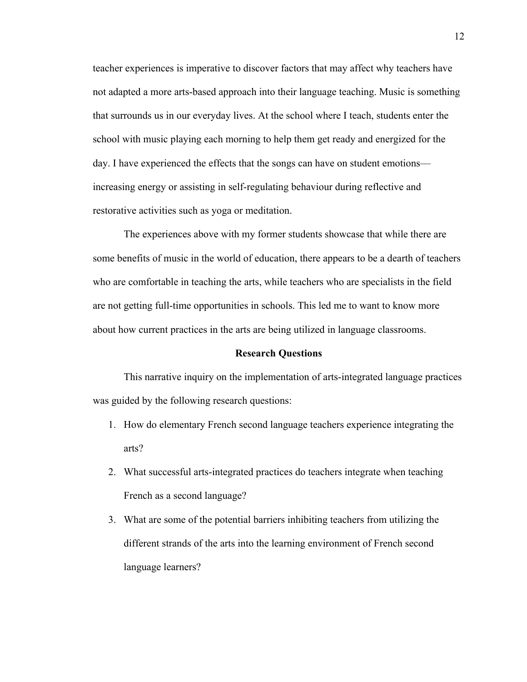teacher experiences is imperative to discover factors that may affect why teachers have not adapted a more arts-based approach into their language teaching. Music is something that surrounds us in our everyday lives. At the school where I teach, students enter the school with music playing each morning to help them get ready and energized for the day. I have experienced the effects that the songs can have on student emotions increasing energy or assisting in self-regulating behaviour during reflective and restorative activities such as yoga or meditation.

The experiences above with my former students showcase that while there are some benefits of music in the world of education, there appears to be a dearth of teachers who are comfortable in teaching the arts, while teachers who are specialists in the field are not getting full-time opportunities in schools. This led me to want to know more about how current practices in the arts are being utilized in language classrooms.

# **Research Questions**

This narrative inquiry on the implementation of arts-integrated language practices was guided by the following research questions:

- 1. How do elementary French second language teachers experience integrating the arts?
- 2. What successful arts-integrated practices do teachers integrate when teaching French as a second language?
- 3. What are some of the potential barriers inhibiting teachers from utilizing the different strands of the arts into the learning environment of French second language learners?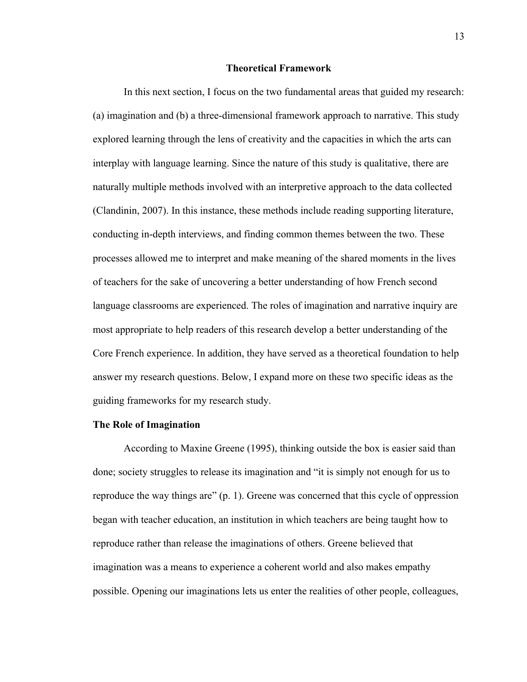# **Theoretical Framework**

In this next section, I focus on the two fundamental areas that guided my research: (a) imagination and (b) a three-dimensional framework approach to narrative. This study explored learning through the lens of creativity and the capacities in which the arts can interplay with language learning. Since the nature of this study is qualitative, there are naturally multiple methods involved with an interpretive approach to the data collected (Clandinin, 2007). In this instance, these methods include reading supporting literature, conducting in-depth interviews, and finding common themes between the two. These processes allowed me to interpret and make meaning of the shared moments in the lives of teachers for the sake of uncovering a better understanding of how French second language classrooms are experienced. The roles of imagination and narrative inquiry are most appropriate to help readers of this research develop a better understanding of the Core French experience. In addition, they have served as a theoretical foundation to help answer my research questions. Below, I expand more on these two specific ideas as the guiding frameworks for my research study.

### **The Role of Imagination**

According to Maxine Greene (1995), thinking outside the box is easier said than done; society struggles to release its imagination and "it is simply not enough for us to reproduce the way things are" (p. 1). Greene was concerned that this cycle of oppression began with teacher education, an institution in which teachers are being taught how to reproduce rather than release the imaginations of others. Greene believed that imagination was a means to experience a coherent world and also makes empathy possible. Opening our imaginations lets us enter the realities of other people, colleagues,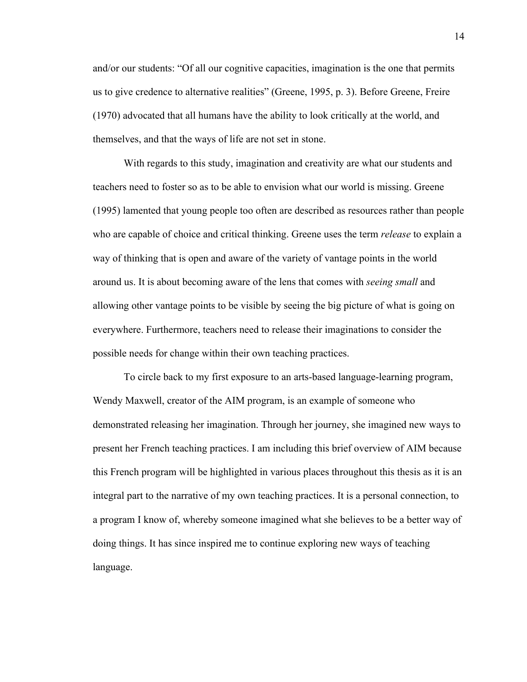and/or our students: "Of all our cognitive capacities, imagination is the one that permits us to give credence to alternative realities" (Greene, 1995, p. 3). Before Greene, Freire (1970) advocated that all humans have the ability to look critically at the world, and themselves, and that the ways of life are not set in stone.

With regards to this study, imagination and creativity are what our students and teachers need to foster so as to be able to envision what our world is missing. Greene (1995) lamented that young people too often are described as resources rather than people who are capable of choice and critical thinking. Greene uses the term *release* to explain a way of thinking that is open and aware of the variety of vantage points in the world around us. It is about becoming aware of the lens that comes with *seeing small* and allowing other vantage points to be visible by seeing the big picture of what is going on everywhere. Furthermore, teachers need to release their imaginations to consider the possible needs for change within their own teaching practices.

To circle back to my first exposure to an arts-based language-learning program, Wendy Maxwell, creator of the AIM program, is an example of someone who demonstrated releasing her imagination. Through her journey, she imagined new ways to present her French teaching practices. I am including this brief overview of AIM because this French program will be highlighted in various places throughout this thesis as it is an integral part to the narrative of my own teaching practices. It is a personal connection, to a program I know of, whereby someone imagined what she believes to be a better way of doing things. It has since inspired me to continue exploring new ways of teaching language.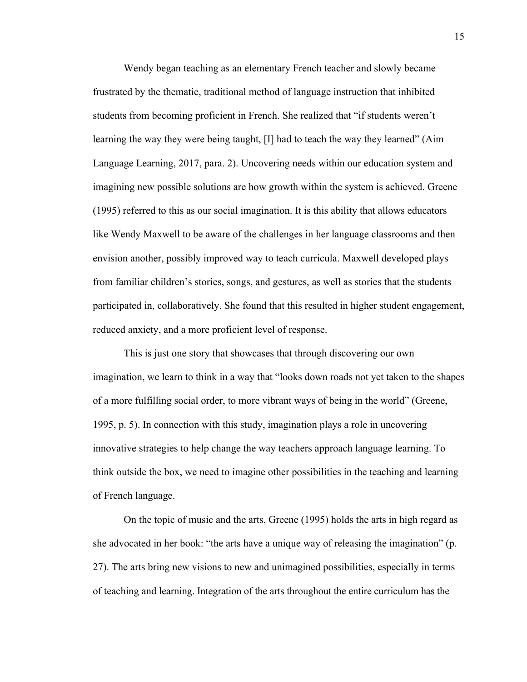Wendy began teaching as an elementary French teacher and slowly became frustrated by the thematic, traditional method of language instruction that inhibited students from becoming proficient in French. She realized that "if students weren't learning the way they were being taught, [I] had to teach the way they learned" (Aim Language Learning, 2017, para. 2). Uncovering needs within our education system and imagining new possible solutions are how growth within the system is achieved. Greene (1995) referred to this as our social imagination. It is this ability that allows educators like Wendy Maxwell to be aware of the challenges in her language classrooms and then envision another, possibly improved way to teach curricula. Maxwell developed plays from familiar children's stories, songs, and gestures, as well as stories that the students participated in, collaboratively. She found that this resulted in higher student engagement, reduced anxiety, and a more proficient level of response.

This is just one story that showcases that through discovering our own imagination, we learn to think in a way that "looks down roads not yet taken to the shapes of a more fulfilling social order, to more vibrant ways of being in the world" (Greene, 1995, p. 5). In connection with this study, imagination plays a role in uncovering innovative strategies to help change the way teachers approach language learning. To think outside the box, we need to imagine other possibilities in the teaching and learning of French language.

On the topic of music and the arts, Greene (1995) holds the arts in high regard as she advocated in her book: "the arts have a unique way of releasing the imagination" (p. 27). The arts bring new visions to new and unimagined possibilities, especially in terms of teaching and learning. Integration of the arts throughout the entire curriculum has the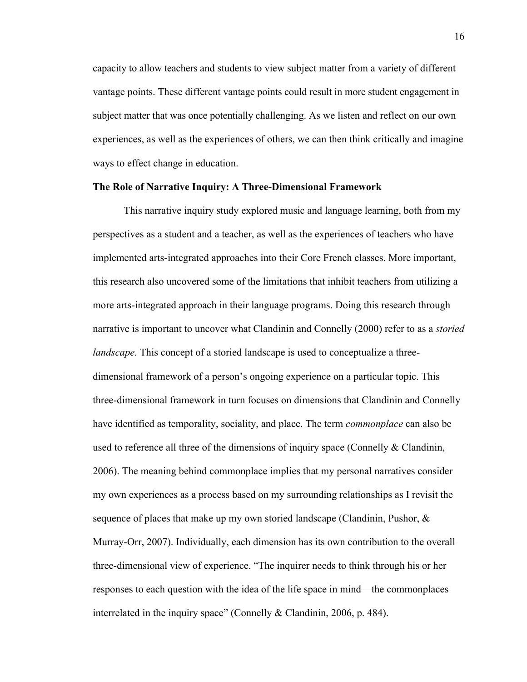capacity to allow teachers and students to view subject matter from a variety of different vantage points. These different vantage points could result in more student engagement in subject matter that was once potentially challenging. As we listen and reflect on our own experiences, as well as the experiences of others, we can then think critically and imagine ways to effect change in education.

# **The Role of Narrative Inquiry: A Three-Dimensional Framework**

This narrative inquiry study explored music and language learning, both from my perspectives as a student and a teacher, as well as the experiences of teachers who have implemented arts-integrated approaches into their Core French classes. More important, this research also uncovered some of the limitations that inhibit teachers from utilizing a more arts-integrated approach in their language programs. Doing this research through narrative is important to uncover what Clandinin and Connelly (2000) refer to as a *storied landscape*. This concept of a storied landscape is used to conceptualize a threedimensional framework of a person's ongoing experience on a particular topic. This three-dimensional framework in turn focuses on dimensions that Clandinin and Connelly have identified as temporality, sociality, and place. The term *commonplace* can also be used to reference all three of the dimensions of inquiry space (Connelly  $\&$  Clandinin, 2006). The meaning behind commonplace implies that my personal narratives consider my own experiences as a process based on my surrounding relationships as I revisit the sequence of places that make up my own storied landscape (Clandinin, Pushor, & Murray-Orr, 2007). Individually, each dimension has its own contribution to the overall three-dimensional view of experience. "The inquirer needs to think through his or her responses to each question with the idea of the life space in mind—the commonplaces interrelated in the inquiry space" (Connelly & Clandinin, 2006, p. 484).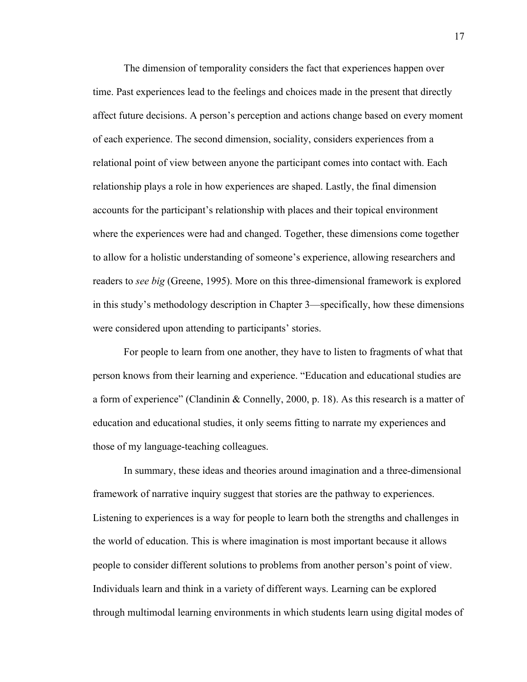The dimension of temporality considers the fact that experiences happen over time. Past experiences lead to the feelings and choices made in the present that directly affect future decisions. A person's perception and actions change based on every moment of each experience. The second dimension, sociality, considers experiences from a relational point of view between anyone the participant comes into contact with. Each relationship plays a role in how experiences are shaped. Lastly, the final dimension accounts for the participant's relationship with places and their topical environment where the experiences were had and changed. Together, these dimensions come together to allow for a holistic understanding of someone's experience, allowing researchers and readers to *see big* (Greene, 1995). More on this three-dimensional framework is explored in this study's methodology description in Chapter 3—specifically, how these dimensions were considered upon attending to participants' stories.

For people to learn from one another, they have to listen to fragments of what that person knows from their learning and experience. "Education and educational studies are a form of experience" (Clandinin & Connelly, 2000, p. 18). As this research is a matter of education and educational studies, it only seems fitting to narrate my experiences and those of my language-teaching colleagues.

In summary, these ideas and theories around imagination and a three-dimensional framework of narrative inquiry suggest that stories are the pathway to experiences. Listening to experiences is a way for people to learn both the strengths and challenges in the world of education. This is where imagination is most important because it allows people to consider different solutions to problems from another person's point of view. Individuals learn and think in a variety of different ways. Learning can be explored through multimodal learning environments in which students learn using digital modes of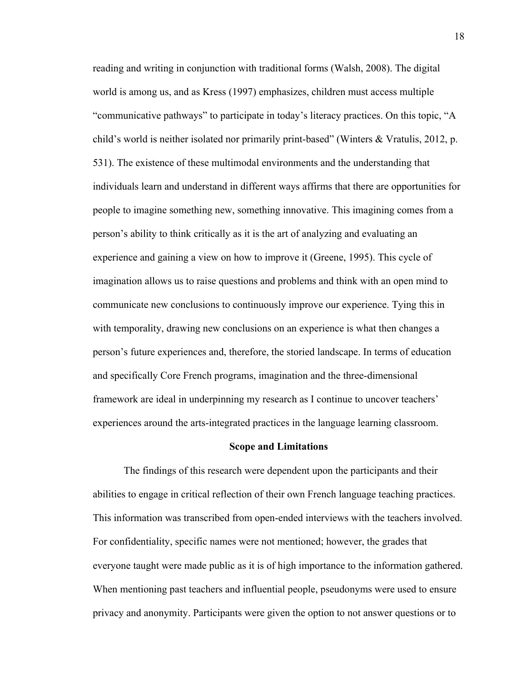reading and writing in conjunction with traditional forms (Walsh, 2008). The digital world is among us, and as Kress (1997) emphasizes, children must access multiple "communicative pathways" to participate in today's literacy practices. On this topic, "A child's world is neither isolated nor primarily print-based" (Winters & Vratulis, 2012, p. 531). The existence of these multimodal environments and the understanding that individuals learn and understand in different ways affirms that there are opportunities for people to imagine something new, something innovative. This imagining comes from a person's ability to think critically as it is the art of analyzing and evaluating an experience and gaining a view on how to improve it (Greene, 1995). This cycle of imagination allows us to raise questions and problems and think with an open mind to communicate new conclusions to continuously improve our experience. Tying this in with temporality, drawing new conclusions on an experience is what then changes a person's future experiences and, therefore, the storied landscape. In terms of education and specifically Core French programs, imagination and the three-dimensional framework are ideal in underpinning my research as I continue to uncover teachers' experiences around the arts-integrated practices in the language learning classroom.

### **Scope and Limitations**

The findings of this research were dependent upon the participants and their abilities to engage in critical reflection of their own French language teaching practices. This information was transcribed from open-ended interviews with the teachers involved. For confidentiality, specific names were not mentioned; however, the grades that everyone taught were made public as it is of high importance to the information gathered. When mentioning past teachers and influential people, pseudonyms were used to ensure privacy and anonymity. Participants were given the option to not answer questions or to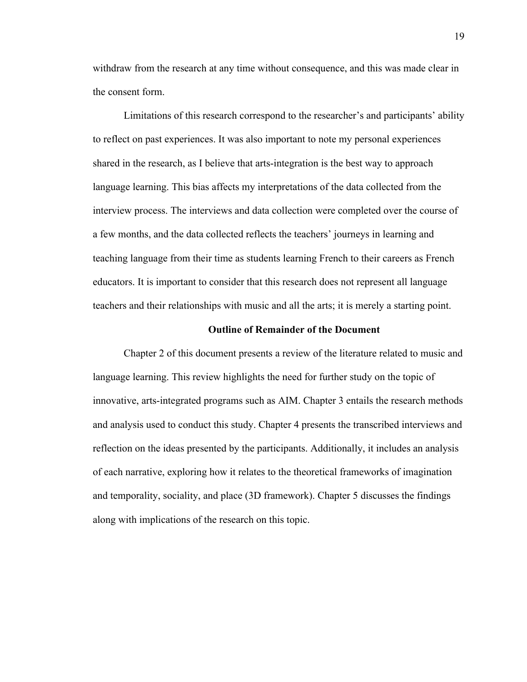withdraw from the research at any time without consequence, and this was made clear in the consent form.

Limitations of this research correspond to the researcher's and participants' ability to reflect on past experiences. It was also important to note my personal experiences shared in the research, as I believe that arts-integration is the best way to approach language learning. This bias affects my interpretations of the data collected from the interview process. The interviews and data collection were completed over the course of a few months, and the data collected reflects the teachers' journeys in learning and teaching language from their time as students learning French to their careers as French educators. It is important to consider that this research does not represent all language teachers and their relationships with music and all the arts; it is merely a starting point.

# **Outline of Remainder of the Document**

Chapter 2 of this document presents a review of the literature related to music and language learning. This review highlights the need for further study on the topic of innovative, arts-integrated programs such as AIM. Chapter 3 entails the research methods and analysis used to conduct this study. Chapter 4 presents the transcribed interviews and reflection on the ideas presented by the participants. Additionally, it includes an analysis of each narrative, exploring how it relates to the theoretical frameworks of imagination and temporality, sociality, and place (3D framework). Chapter 5 discusses the findings along with implications of the research on this topic.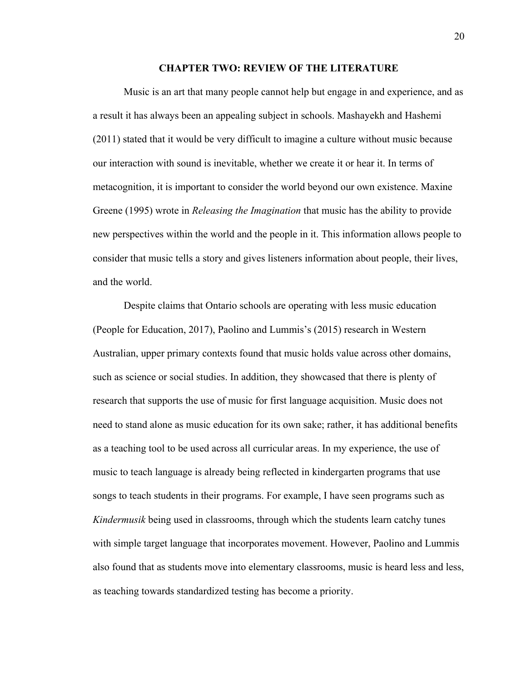#### **CHAPTER TWO: REVIEW OF THE LITERATURE**

Music is an art that many people cannot help but engage in and experience, and as a result it has always been an appealing subject in schools. Mashayekh and Hashemi (2011) stated that it would be very difficult to imagine a culture without music because our interaction with sound is inevitable, whether we create it or hear it. In terms of metacognition, it is important to consider the world beyond our own existence. Maxine Greene (1995) wrote in *Releasing the Imagination* that music has the ability to provide new perspectives within the world and the people in it. This information allows people to consider that music tells a story and gives listeners information about people, their lives, and the world.

Despite claims that Ontario schools are operating with less music education (People for Education, 2017), Paolino and Lummis's (2015) research in Western Australian, upper primary contexts found that music holds value across other domains, such as science or social studies. In addition, they showcased that there is plenty of research that supports the use of music for first language acquisition. Music does not need to stand alone as music education for its own sake; rather, it has additional benefits as a teaching tool to be used across all curricular areas. In my experience, the use of music to teach language is already being reflected in kindergarten programs that use songs to teach students in their programs. For example, I have seen programs such as *Kindermusik* being used in classrooms, through which the students learn catchy tunes with simple target language that incorporates movement. However, Paolino and Lummis also found that as students move into elementary classrooms, music is heard less and less, as teaching towards standardized testing has become a priority.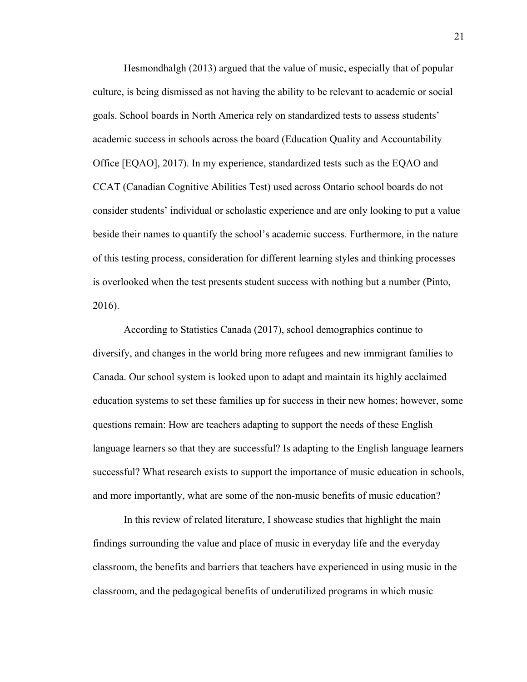Hesmondhalgh (2013) argued that the value of music, especially that of popular culture, is being dismissed as not having the ability to be relevant to academic or social goals. School boards in North America rely on standardized tests to assess students' academic success in schools across the board (Education Quality and Accountability Office [EQAO], 2017). In my experience, standardized tests such as the EQAO and CCAT (Canadian Cognitive Abilities Test) used across Ontario school boards do not consider students' individual or scholastic experience and are only looking to put a value beside their names to quantify the school's academic success. Furthermore, in the nature of this testing process, consideration for different learning styles and thinking processes is overlooked when the test presents student success with nothing but a number (Pinto, 2016).

According to Statistics Canada (2017), school demographics continue to diversify, and changes in the world bring more refugees and new immigrant families to Canada. Our school system is looked upon to adapt and maintain its highly acclaimed education systems to set these families up for success in their new homes; however, some questions remain: How are teachers adapting to support the needs of these English language learners so that they are successful? Is adapting to the English language learners successful? What research exists to support the importance of music education in schools, and more importantly, what are some of the non-music benefits of music education?

In this review of related literature, I showcase studies that highlight the main findings surrounding the value and place of music in everyday life and the everyday classroom, the benefits and barriers that teachers have experienced in using music in the classroom, and the pedagogical benefits of underutilized programs in which music

21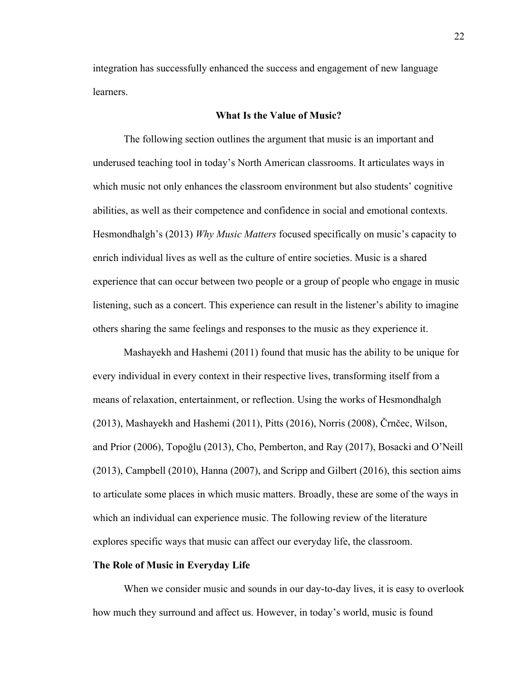integration has successfully enhanced the success and engagement of new language learners.

# **What Is the Value of Music?**

The following section outlines the argument that music is an important and underused teaching tool in today's North American classrooms. It articulates ways in which music not only enhances the classroom environment but also students' cognitive abilities, as well as their competence and confidence in social and emotional contexts. Hesmondhalgh's (2013) *Why Music Matters* focused specifically on music's capacity to enrich individual lives as well as the culture of entire societies. Music is a shared experience that can occur between two people or a group of people who engage in music listening, such as a concert. This experience can result in the listener's ability to imagine others sharing the same feelings and responses to the music as they experience it.

Mashayekh and Hashemi (2011) found that music has the ability to be unique for every individual in every context in their respective lives, transforming itself from a means of relaxation, entertainment, or reflection. Using the works of Hesmondhalgh (2013), Mashayekh and Hashemi (2011), Pitts (2016), Norris (2008), Črnčec, Wilson, and Prior (2006), Topoğlu (2013), Cho, Pemberton, and Ray (2017), Bosacki and O'Neill (2013), Campbell (2010), Hanna (2007), and Scripp and Gilbert (2016), this section aims to articulate some places in which music matters. Broadly, these are some of the ways in which an individual can experience music. The following review of the literature explores specific ways that music can affect our everyday life, the classroom.

# **The Role of Music in Everyday Life**

When we consider music and sounds in our day-to-day lives, it is easy to overlook how much they surround and affect us. However, in today's world, music is found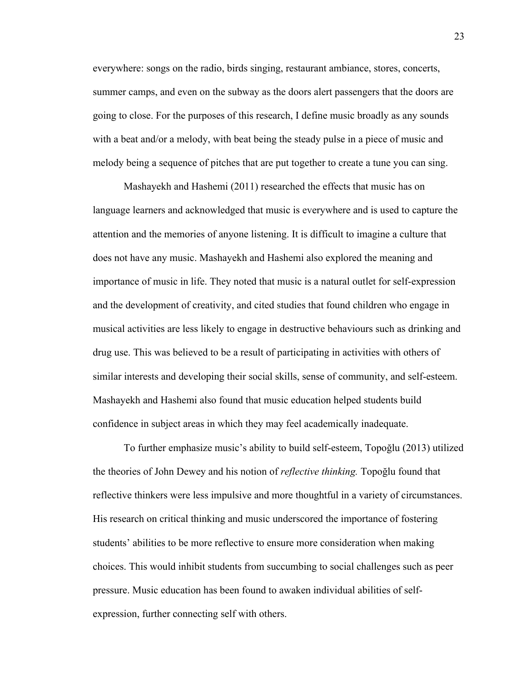everywhere: songs on the radio, birds singing, restaurant ambiance, stores, concerts, summer camps, and even on the subway as the doors alert passengers that the doors are going to close. For the purposes of this research, I define music broadly as any sounds with a beat and/or a melody, with beat being the steady pulse in a piece of music and melody being a sequence of pitches that are put together to create a tune you can sing.

Mashayekh and Hashemi (2011) researched the effects that music has on language learners and acknowledged that music is everywhere and is used to capture the attention and the memories of anyone listening. It is difficult to imagine a culture that does not have any music. Mashayekh and Hashemi also explored the meaning and importance of music in life. They noted that music is a natural outlet for self-expression and the development of creativity, and cited studies that found children who engage in musical activities are less likely to engage in destructive behaviours such as drinking and drug use. This was believed to be a result of participating in activities with others of similar interests and developing their social skills, sense of community, and self-esteem. Mashayekh and Hashemi also found that music education helped students build confidence in subject areas in which they may feel academically inadequate.

To further emphasize music's ability to build self-esteem, Topoğlu (2013) utilized the theories of John Dewey and his notion of *reflective thinking.* Topoğlu found that reflective thinkers were less impulsive and more thoughtful in a variety of circumstances. His research on critical thinking and music underscored the importance of fostering students' abilities to be more reflective to ensure more consideration when making choices. This would inhibit students from succumbing to social challenges such as peer pressure. Music education has been found to awaken individual abilities of selfexpression, further connecting self with others.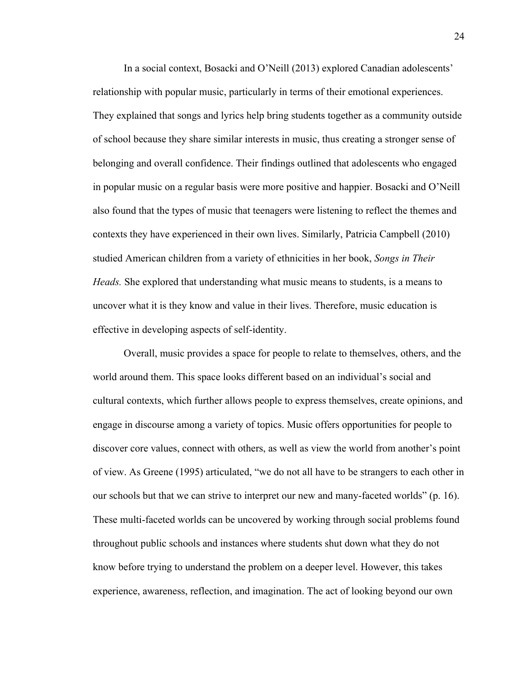In a social context, Bosacki and O'Neill (2013) explored Canadian adolescents' relationship with popular music, particularly in terms of their emotional experiences. They explained that songs and lyrics help bring students together as a community outside of school because they share similar interests in music, thus creating a stronger sense of belonging and overall confidence. Their findings outlined that adolescents who engaged in popular music on a regular basis were more positive and happier. Bosacki and O'Neill also found that the types of music that teenagers were listening to reflect the themes and contexts they have experienced in their own lives. Similarly, Patricia Campbell (2010) studied American children from a variety of ethnicities in her book, *Songs in Their Heads.* She explored that understanding what music means to students, is a means to uncover what it is they know and value in their lives. Therefore, music education is effective in developing aspects of self-identity.

Overall, music provides a space for people to relate to themselves, others, and the world around them. This space looks different based on an individual's social and cultural contexts, which further allows people to express themselves, create opinions, and engage in discourse among a variety of topics. Music offers opportunities for people to discover core values, connect with others, as well as view the world from another's point of view. As Greene (1995) articulated, "we do not all have to be strangers to each other in our schools but that we can strive to interpret our new and many-faceted worlds" (p. 16). These multi-faceted worlds can be uncovered by working through social problems found throughout public schools and instances where students shut down what they do not know before trying to understand the problem on a deeper level. However, this takes experience, awareness, reflection, and imagination. The act of looking beyond our own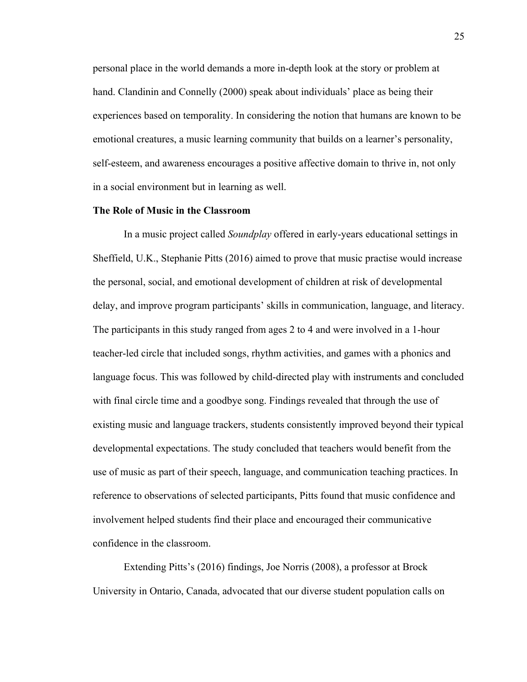personal place in the world demands a more in-depth look at the story or problem at hand. Clandinin and Connelly (2000) speak about individuals' place as being their experiences based on temporality. In considering the notion that humans are known to be emotional creatures, a music learning community that builds on a learner's personality, self-esteem, and awareness encourages a positive affective domain to thrive in, not only in a social environment but in learning as well.

# **The Role of Music in the Classroom**

In a music project called *Soundplay* offered in early-years educational settings in Sheffield, U.K., Stephanie Pitts (2016) aimed to prove that music practise would increase the personal, social, and emotional development of children at risk of developmental delay, and improve program participants' skills in communication, language, and literacy. The participants in this study ranged from ages 2 to 4 and were involved in a 1-hour teacher-led circle that included songs, rhythm activities, and games with a phonics and language focus. This was followed by child-directed play with instruments and concluded with final circle time and a goodbye song. Findings revealed that through the use of existing music and language trackers, students consistently improved beyond their typical developmental expectations. The study concluded that teachers would benefit from the use of music as part of their speech, language, and communication teaching practices. In reference to observations of selected participants, Pitts found that music confidence and involvement helped students find their place and encouraged their communicative confidence in the classroom.

Extending Pitts's (2016) findings, Joe Norris (2008), a professor at Brock University in Ontario, Canada, advocated that our diverse student population calls on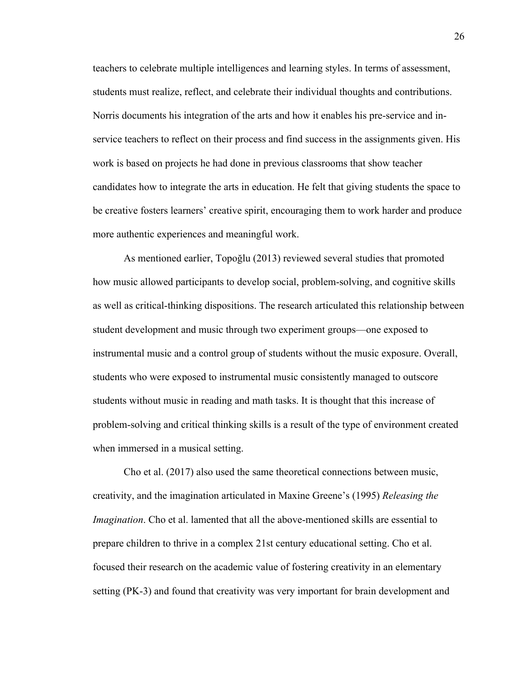teachers to celebrate multiple intelligences and learning styles. In terms of assessment, students must realize, reflect, and celebrate their individual thoughts and contributions. Norris documents his integration of the arts and how it enables his pre-service and inservice teachers to reflect on their process and find success in the assignments given. His work is based on projects he had done in previous classrooms that show teacher candidates how to integrate the arts in education. He felt that giving students the space to be creative fosters learners' creative spirit, encouraging them to work harder and produce more authentic experiences and meaningful work.

As mentioned earlier, Topoğlu (2013) reviewed several studies that promoted how music allowed participants to develop social, problem-solving, and cognitive skills as well as critical-thinking dispositions. The research articulated this relationship between student development and music through two experiment groups—one exposed to instrumental music and a control group of students without the music exposure. Overall, students who were exposed to instrumental music consistently managed to outscore students without music in reading and math tasks. It is thought that this increase of problem-solving and critical thinking skills is a result of the type of environment created when immersed in a musical setting.

Cho et al. (2017) also used the same theoretical connections between music, creativity, and the imagination articulated in Maxine Greene's (1995) *Releasing the Imagination*. Cho et al. lamented that all the above-mentioned skills are essential to prepare children to thrive in a complex 21st century educational setting. Cho et al. focused their research on the academic value of fostering creativity in an elementary setting (PK-3) and found that creativity was very important for brain development and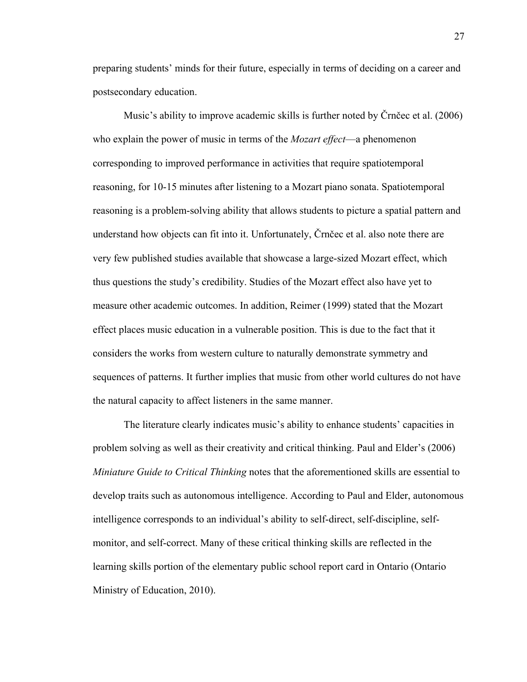preparing students' minds for their future, especially in terms of deciding on a career and postsecondary education.

Music's ability to improve academic skills is further noted by Črnčec et al. (2006) who explain the power of music in terms of the *Mozart effect*—a phenomenon corresponding to improved performance in activities that require spatiotemporal reasoning, for 10-15 minutes after listening to a Mozart piano sonata. Spatiotemporal reasoning is a problem-solving ability that allows students to picture a spatial pattern and understand how objects can fit into it. Unfortunately, Črnčec et al. also note there are very few published studies available that showcase a large-sized Mozart effect, which thus questions the study's credibility. Studies of the Mozart effect also have yet to measure other academic outcomes. In addition, Reimer (1999) stated that the Mozart effect places music education in a vulnerable position. This is due to the fact that it considers the works from western culture to naturally demonstrate symmetry and sequences of patterns. It further implies that music from other world cultures do not have the natural capacity to affect listeners in the same manner.

The literature clearly indicates music's ability to enhance students' capacities in problem solving as well as their creativity and critical thinking. Paul and Elder's (2006) *Miniature Guide to Critical Thinking* notes that the aforementioned skills are essential to develop traits such as autonomous intelligence. According to Paul and Elder, autonomous intelligence corresponds to an individual's ability to self-direct, self-discipline, selfmonitor, and self-correct. Many of these critical thinking skills are reflected in the learning skills portion of the elementary public school report card in Ontario (Ontario Ministry of Education, 2010).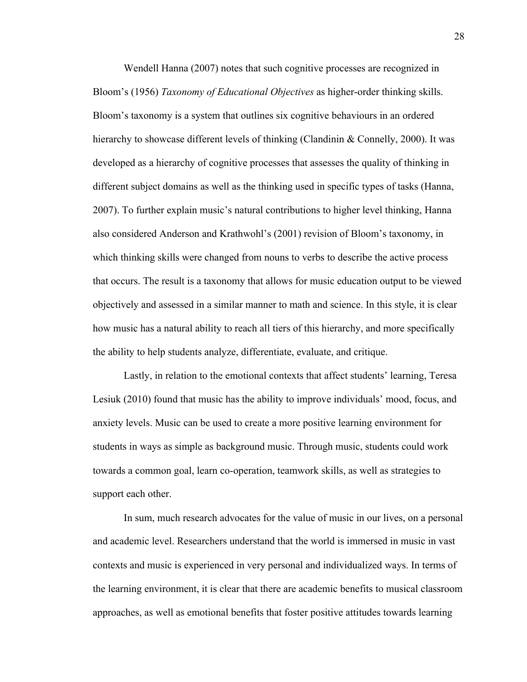Wendell Hanna (2007) notes that such cognitive processes are recognized in Bloom's (1956) *Taxonomy of Educational Objectives* as higher-order thinking skills. Bloom's taxonomy is a system that outlines six cognitive behaviours in an ordered hierarchy to showcase different levels of thinking (Clandinin & Connelly, 2000). It was developed as a hierarchy of cognitive processes that assesses the quality of thinking in different subject domains as well as the thinking used in specific types of tasks (Hanna, 2007). To further explain music's natural contributions to higher level thinking, Hanna also considered Anderson and Krathwohl's (2001) revision of Bloom's taxonomy, in which thinking skills were changed from nouns to verbs to describe the active process that occurs. The result is a taxonomy that allows for music education output to be viewed objectively and assessed in a similar manner to math and science. In this style, it is clear how music has a natural ability to reach all tiers of this hierarchy, and more specifically the ability to help students analyze, differentiate, evaluate, and critique.

Lastly, in relation to the emotional contexts that affect students' learning, Teresa Lesiuk (2010) found that music has the ability to improve individuals' mood, focus, and anxiety levels. Music can be used to create a more positive learning environment for students in ways as simple as background music. Through music, students could work towards a common goal, learn co-operation, teamwork skills, as well as strategies to support each other.

In sum, much research advocates for the value of music in our lives, on a personal and academic level. Researchers understand that the world is immersed in music in vast contexts and music is experienced in very personal and individualized ways. In terms of the learning environment, it is clear that there are academic benefits to musical classroom approaches, as well as emotional benefits that foster positive attitudes towards learning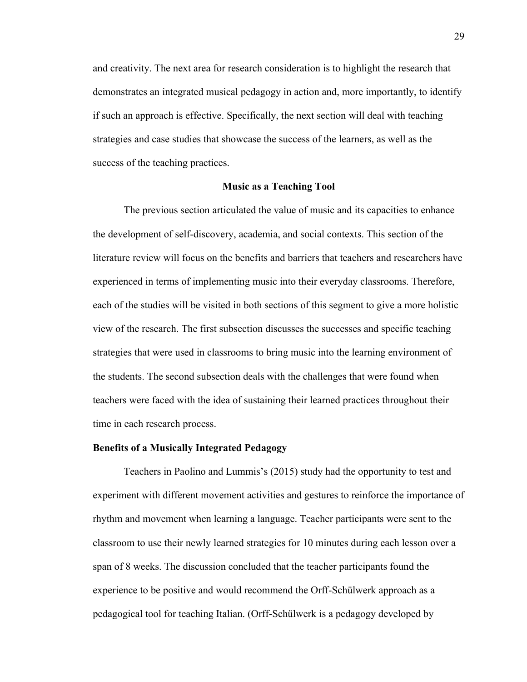and creativity. The next area for research consideration is to highlight the research that demonstrates an integrated musical pedagogy in action and, more importantly, to identify if such an approach is effective. Specifically, the next section will deal with teaching strategies and case studies that showcase the success of the learners, as well as the success of the teaching practices.

#### **Music as a Teaching Tool**

The previous section articulated the value of music and its capacities to enhance the development of self-discovery, academia, and social contexts. This section of the literature review will focus on the benefits and barriers that teachers and researchers have experienced in terms of implementing music into their everyday classrooms. Therefore, each of the studies will be visited in both sections of this segment to give a more holistic view of the research. The first subsection discusses the successes and specific teaching strategies that were used in classrooms to bring music into the learning environment of the students. The second subsection deals with the challenges that were found when teachers were faced with the idea of sustaining their learned practices throughout their time in each research process.

## **Benefits of a Musically Integrated Pedagogy**

Teachers in Paolino and Lummis's (2015) study had the opportunity to test and experiment with different movement activities and gestures to reinforce the importance of rhythm and movement when learning a language. Teacher participants were sent to the classroom to use their newly learned strategies for 10 minutes during each lesson over a span of 8 weeks. The discussion concluded that the teacher participants found the experience to be positive and would recommend the Orff-Schülwerk approach as a pedagogical tool for teaching Italian. (Orff-Schülwerk is a pedagogy developed by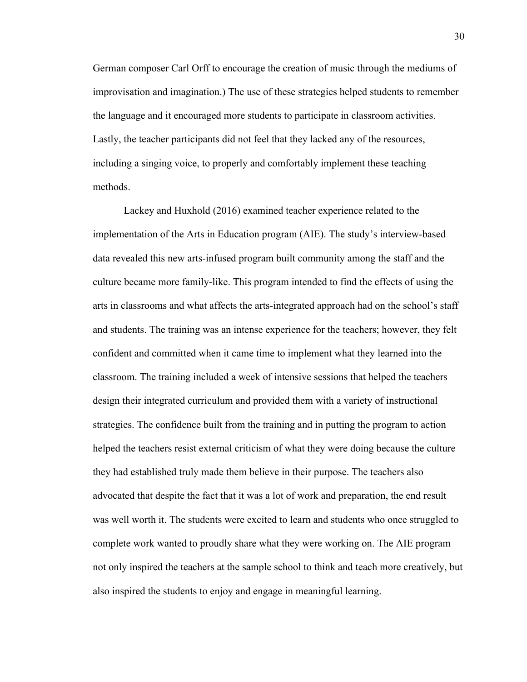German composer Carl Orff to encourage the creation of music through the mediums of improvisation and imagination.) The use of these strategies helped students to remember the language and it encouraged more students to participate in classroom activities. Lastly, the teacher participants did not feel that they lacked any of the resources, including a singing voice, to properly and comfortably implement these teaching methods.

Lackey and Huxhold (2016) examined teacher experience related to the implementation of the Arts in Education program (AIE). The study's interview-based data revealed this new arts-infused program built community among the staff and the culture became more family-like. This program intended to find the effects of using the arts in classrooms and what affects the arts-integrated approach had on the school's staff and students. The training was an intense experience for the teachers; however, they felt confident and committed when it came time to implement what they learned into the classroom. The training included a week of intensive sessions that helped the teachers design their integrated curriculum and provided them with a variety of instructional strategies. The confidence built from the training and in putting the program to action helped the teachers resist external criticism of what they were doing because the culture they had established truly made them believe in their purpose. The teachers also advocated that despite the fact that it was a lot of work and preparation, the end result was well worth it. The students were excited to learn and students who once struggled to complete work wanted to proudly share what they were working on. The AIE program not only inspired the teachers at the sample school to think and teach more creatively, but also inspired the students to enjoy and engage in meaningful learning.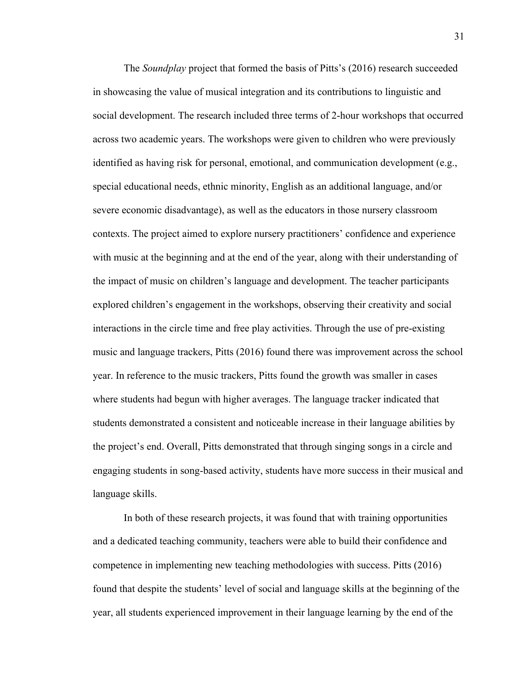The *Soundplay* project that formed the basis of Pitts's (2016) research succeeded in showcasing the value of musical integration and its contributions to linguistic and social development. The research included three terms of 2-hour workshops that occurred across two academic years. The workshops were given to children who were previously identified as having risk for personal, emotional, and communication development (e.g., special educational needs, ethnic minority, English as an additional language, and/or severe economic disadvantage), as well as the educators in those nursery classroom contexts. The project aimed to explore nursery practitioners' confidence and experience with music at the beginning and at the end of the year, along with their understanding of the impact of music on children's language and development. The teacher participants explored children's engagement in the workshops, observing their creativity and social interactions in the circle time and free play activities. Through the use of pre-existing music and language trackers, Pitts (2016) found there was improvement across the school year. In reference to the music trackers, Pitts found the growth was smaller in cases where students had begun with higher averages. The language tracker indicated that students demonstrated a consistent and noticeable increase in their language abilities by the project's end. Overall, Pitts demonstrated that through singing songs in a circle and engaging students in song-based activity, students have more success in their musical and language skills.

In both of these research projects, it was found that with training opportunities and a dedicated teaching community, teachers were able to build their confidence and competence in implementing new teaching methodologies with success. Pitts (2016) found that despite the students' level of social and language skills at the beginning of the year, all students experienced improvement in their language learning by the end of the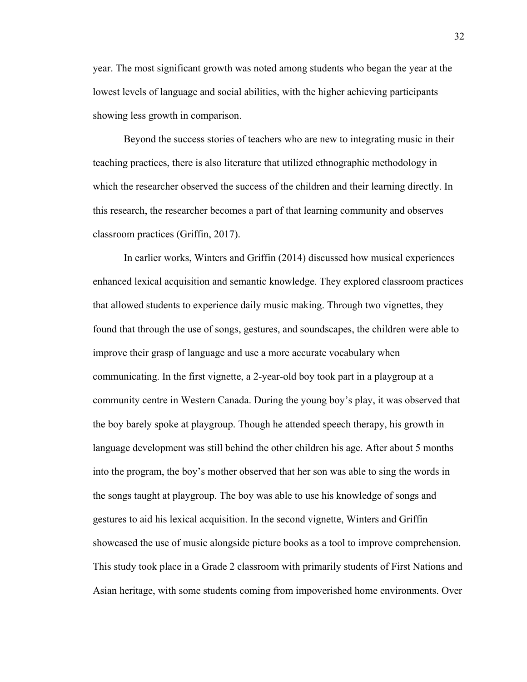year. The most significant growth was noted among students who began the year at the lowest levels of language and social abilities, with the higher achieving participants showing less growth in comparison.

Beyond the success stories of teachers who are new to integrating music in their teaching practices, there is also literature that utilized ethnographic methodology in which the researcher observed the success of the children and their learning directly. In this research, the researcher becomes a part of that learning community and observes classroom practices (Griffin, 2017).

In earlier works, Winters and Griffin (2014) discussed how musical experiences enhanced lexical acquisition and semantic knowledge. They explored classroom practices that allowed students to experience daily music making. Through two vignettes, they found that through the use of songs, gestures, and soundscapes, the children were able to improve their grasp of language and use a more accurate vocabulary when communicating. In the first vignette, a 2-year-old boy took part in a playgroup at a community centre in Western Canada. During the young boy's play, it was observed that the boy barely spoke at playgroup. Though he attended speech therapy, his growth in language development was still behind the other children his age. After about 5 months into the program, the boy's mother observed that her son was able to sing the words in the songs taught at playgroup. The boy was able to use his knowledge of songs and gestures to aid his lexical acquisition. In the second vignette, Winters and Griffin showcased the use of music alongside picture books as a tool to improve comprehension. This study took place in a Grade 2 classroom with primarily students of First Nations and Asian heritage, with some students coming from impoverished home environments. Over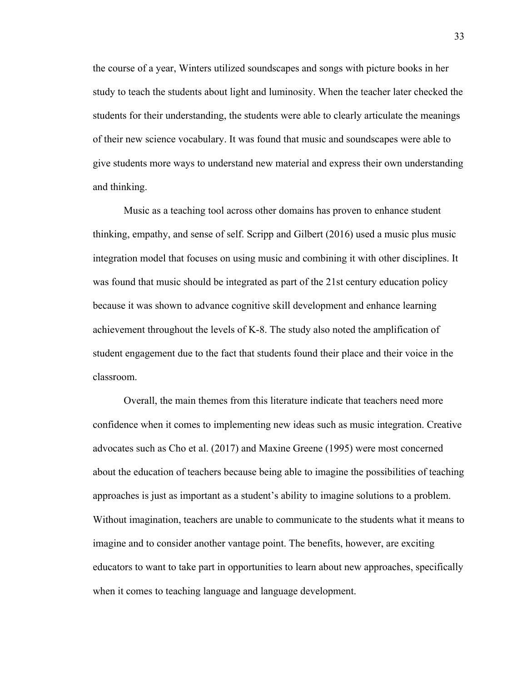the course of a year, Winters utilized soundscapes and songs with picture books in her study to teach the students about light and luminosity. When the teacher later checked the students for their understanding, the students were able to clearly articulate the meanings of their new science vocabulary. It was found that music and soundscapes were able to give students more ways to understand new material and express their own understanding and thinking.

Music as a teaching tool across other domains has proven to enhance student thinking, empathy, and sense of self. Scripp and Gilbert (2016) used a music plus music integration model that focuses on using music and combining it with other disciplines. It was found that music should be integrated as part of the 21st century education policy because it was shown to advance cognitive skill development and enhance learning achievement throughout the levels of K-8. The study also noted the amplification of student engagement due to the fact that students found their place and their voice in the classroom.

Overall, the main themes from this literature indicate that teachers need more confidence when it comes to implementing new ideas such as music integration. Creative advocates such as Cho et al. (2017) and Maxine Greene (1995) were most concerned about the education of teachers because being able to imagine the possibilities of teaching approaches is just as important as a student's ability to imagine solutions to a problem. Without imagination, teachers are unable to communicate to the students what it means to imagine and to consider another vantage point. The benefits, however, are exciting educators to want to take part in opportunities to learn about new approaches, specifically when it comes to teaching language and language development.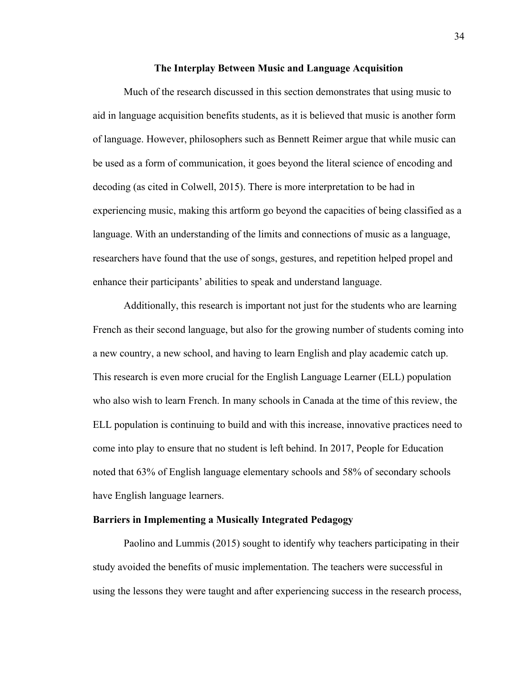### **The Interplay Between Music and Language Acquisition**

Much of the research discussed in this section demonstrates that using music to aid in language acquisition benefits students, as it is believed that music is another form of language. However, philosophers such as Bennett Reimer argue that while music can be used as a form of communication, it goes beyond the literal science of encoding and decoding (as cited in Colwell, 2015). There is more interpretation to be had in experiencing music, making this artform go beyond the capacities of being classified as a language. With an understanding of the limits and connections of music as a language, researchers have found that the use of songs, gestures, and repetition helped propel and enhance their participants' abilities to speak and understand language.

Additionally, this research is important not just for the students who are learning French as their second language, but also for the growing number of students coming into a new country, a new school, and having to learn English and play academic catch up. This research is even more crucial for the English Language Learner (ELL) population who also wish to learn French. In many schools in Canada at the time of this review, the ELL population is continuing to build and with this increase, innovative practices need to come into play to ensure that no student is left behind. In 2017, People for Education noted that 63% of English language elementary schools and 58% of secondary schools have English language learners.

# **Barriers in Implementing a Musically Integrated Pedagogy**

Paolino and Lummis (2015) sought to identify why teachers participating in their study avoided the benefits of music implementation. The teachers were successful in using the lessons they were taught and after experiencing success in the research process,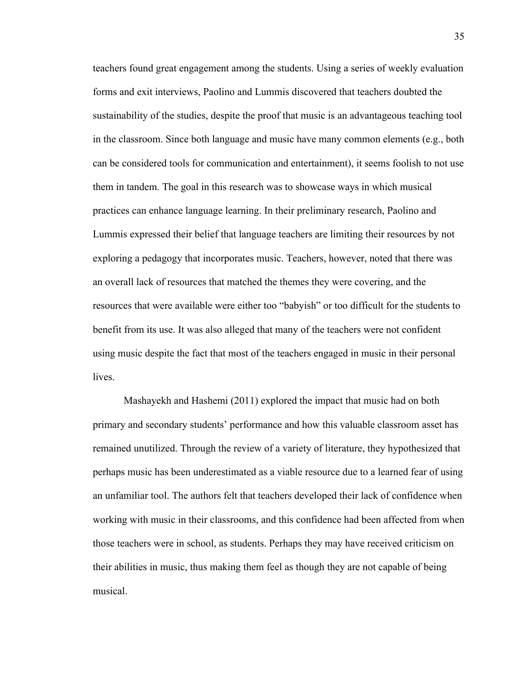teachers found great engagement among the students. Using a series of weekly evaluation forms and exit interviews, Paolino and Lummis discovered that teachers doubted the sustainability of the studies, despite the proof that music is an advantageous teaching tool in the classroom. Since both language and music have many common elements (e.g., both can be considered tools for communication and entertainment), it seems foolish to not use them in tandem. The goal in this research was to showcase ways in which musical practices can enhance language learning. In their preliminary research, Paolino and Lummis expressed their belief that language teachers are limiting their resources by not exploring a pedagogy that incorporates music. Teachers, however, noted that there was an overall lack of resources that matched the themes they were covering, and the resources that were available were either too "babyish" or too difficult for the students to benefit from its use. It was also alleged that many of the teachers were not confident using music despite the fact that most of the teachers engaged in music in their personal **lives** 

Mashayekh and Hashemi (2011) explored the impact that music had on both primary and secondary students' performance and how this valuable classroom asset has remained unutilized. Through the review of a variety of literature, they hypothesized that perhaps music has been underestimated as a viable resource due to a learned fear of using an unfamiliar tool. The authors felt that teachers developed their lack of confidence when working with music in their classrooms, and this confidence had been affected from when those teachers were in school, as students. Perhaps they may have received criticism on their abilities in music, thus making them feel as though they are not capable of being musical.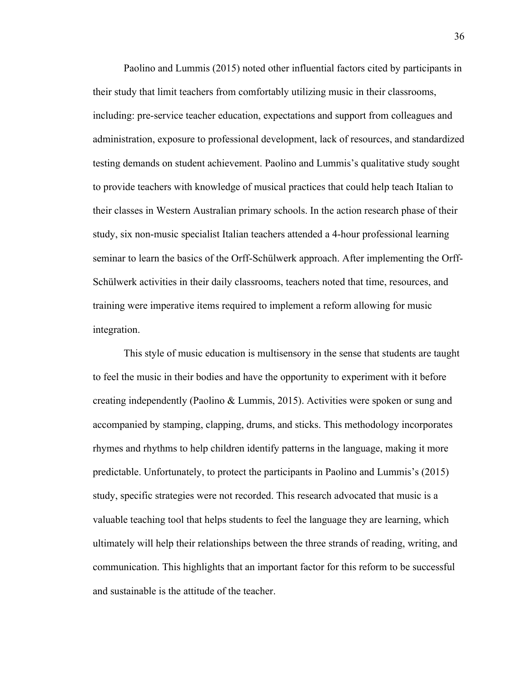Paolino and Lummis (2015) noted other influential factors cited by participants in their study that limit teachers from comfortably utilizing music in their classrooms, including: pre-service teacher education, expectations and support from colleagues and administration, exposure to professional development, lack of resources, and standardized testing demands on student achievement. Paolino and Lummis's qualitative study sought to provide teachers with knowledge of musical practices that could help teach Italian to their classes in Western Australian primary schools. In the action research phase of their study, six non-music specialist Italian teachers attended a 4-hour professional learning seminar to learn the basics of the Orff-Schülwerk approach. After implementing the Orff-Schülwerk activities in their daily classrooms, teachers noted that time, resources, and training were imperative items required to implement a reform allowing for music integration.

This style of music education is multisensory in the sense that students are taught to feel the music in their bodies and have the opportunity to experiment with it before creating independently (Paolino & Lummis, 2015). Activities were spoken or sung and accompanied by stamping, clapping, drums, and sticks. This methodology incorporates rhymes and rhythms to help children identify patterns in the language, making it more predictable. Unfortunately, to protect the participants in Paolino and Lummis's (2015) study, specific strategies were not recorded. This research advocated that music is a valuable teaching tool that helps students to feel the language they are learning, which ultimately will help their relationships between the three strands of reading, writing, and communication. This highlights that an important factor for this reform to be successful and sustainable is the attitude of the teacher.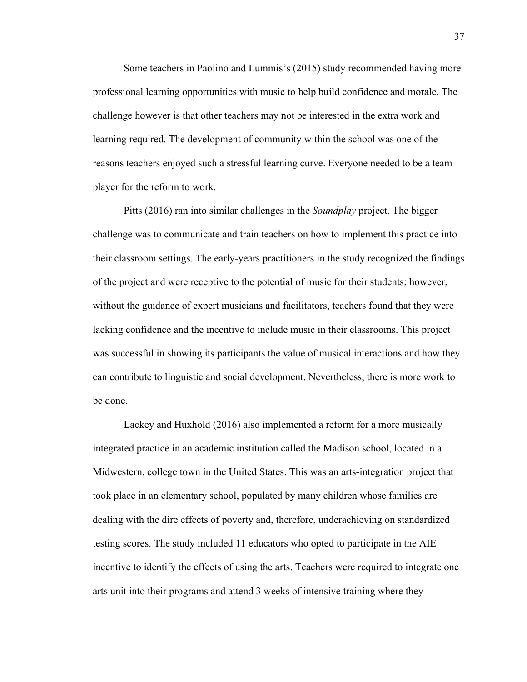Some teachers in Paolino and Lummis's (2015) study recommended having more professional learning opportunities with music to help build confidence and morale. The challenge however is that other teachers may not be interested in the extra work and learning required. The development of community within the school was one of the reasons teachers enjoyed such a stressful learning curve. Everyone needed to be a team player for the reform to work.

Pitts (2016) ran into similar challenges in the *Soundplay* project. The bigger challenge was to communicate and train teachers on how to implement this practice into their classroom settings. The early-years practitioners in the study recognized the findings of the project and were receptive to the potential of music for their students; however, without the guidance of expert musicians and facilitators, teachers found that they were lacking confidence and the incentive to include music in their classrooms. This project was successful in showing its participants the value of musical interactions and how they can contribute to linguistic and social development. Nevertheless, there is more work to be done.

Lackey and Huxhold (2016) also implemented a reform for a more musically integrated practice in an academic institution called the Madison school, located in a Midwestern, college town in the United States. This was an arts-integration project that took place in an elementary school, populated by many children whose families are dealing with the dire effects of poverty and, therefore, underachieving on standardized testing scores. The study included 11 educators who opted to participate in the AIE incentive to identify the effects of using the arts. Teachers were required to integrate one arts unit into their programs and attend 3 weeks of intensive training where they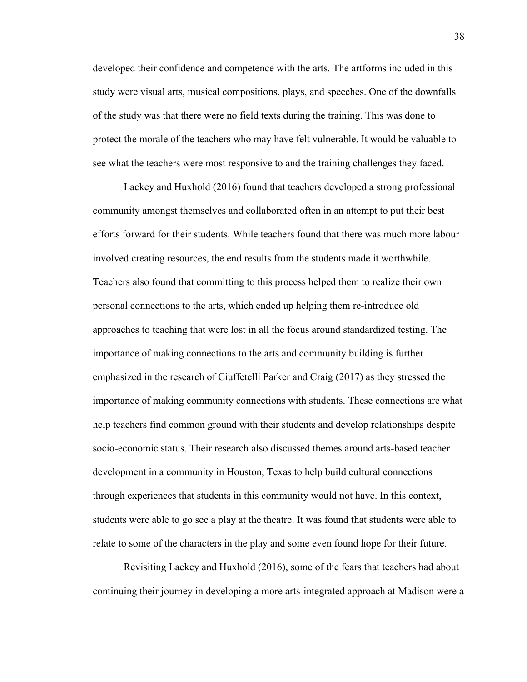developed their confidence and competence with the arts. The artforms included in this study were visual arts, musical compositions, plays, and speeches. One of the downfalls of the study was that there were no field texts during the training. This was done to protect the morale of the teachers who may have felt vulnerable. It would be valuable to see what the teachers were most responsive to and the training challenges they faced.

Lackey and Huxhold (2016) found that teachers developed a strong professional community amongst themselves and collaborated often in an attempt to put their best efforts forward for their students. While teachers found that there was much more labour involved creating resources, the end results from the students made it worthwhile. Teachers also found that committing to this process helped them to realize their own personal connections to the arts, which ended up helping them re-introduce old approaches to teaching that were lost in all the focus around standardized testing. The importance of making connections to the arts and community building is further emphasized in the research of Ciuffetelli Parker and Craig (2017) as they stressed the importance of making community connections with students. These connections are what help teachers find common ground with their students and develop relationships despite socio-economic status. Their research also discussed themes around arts-based teacher development in a community in Houston, Texas to help build cultural connections through experiences that students in this community would not have. In this context, students were able to go see a play at the theatre. It was found that students were able to relate to some of the characters in the play and some even found hope for their future.

Revisiting Lackey and Huxhold (2016), some of the fears that teachers had about continuing their journey in developing a more arts-integrated approach at Madison were a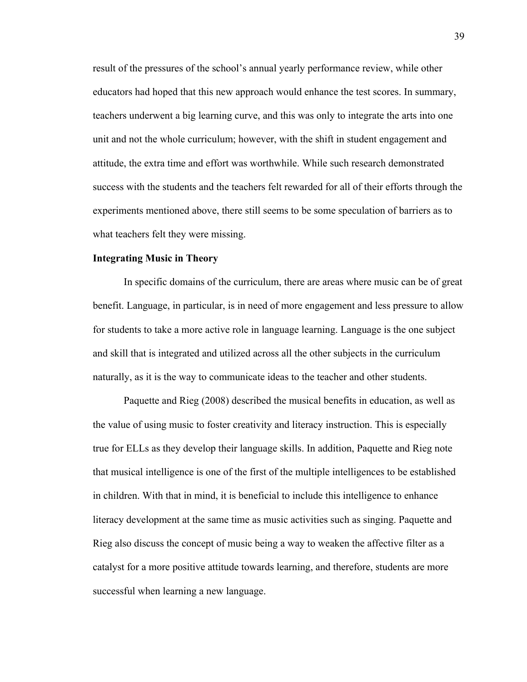result of the pressures of the school's annual yearly performance review, while other educators had hoped that this new approach would enhance the test scores. In summary, teachers underwent a big learning curve, and this was only to integrate the arts into one unit and not the whole curriculum; however, with the shift in student engagement and attitude, the extra time and effort was worthwhile. While such research demonstrated success with the students and the teachers felt rewarded for all of their efforts through the experiments mentioned above, there still seems to be some speculation of barriers as to what teachers felt they were missing.

### **Integrating Music in Theory**

In specific domains of the curriculum, there are areas where music can be of great benefit. Language, in particular, is in need of more engagement and less pressure to allow for students to take a more active role in language learning. Language is the one subject and skill that is integrated and utilized across all the other subjects in the curriculum naturally, as it is the way to communicate ideas to the teacher and other students.

Paquette and Rieg (2008) described the musical benefits in education, as well as the value of using music to foster creativity and literacy instruction. This is especially true for ELLs as they develop their language skills. In addition, Paquette and Rieg note that musical intelligence is one of the first of the multiple intelligences to be established in children. With that in mind, it is beneficial to include this intelligence to enhance literacy development at the same time as music activities such as singing. Paquette and Rieg also discuss the concept of music being a way to weaken the affective filter as a catalyst for a more positive attitude towards learning, and therefore, students are more successful when learning a new language.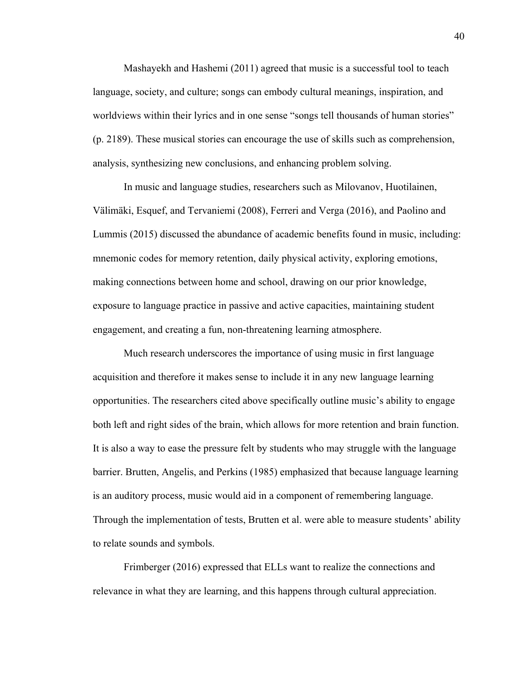Mashayekh and Hashemi (2011) agreed that music is a successful tool to teach language, society, and culture; songs can embody cultural meanings, inspiration, and worldviews within their lyrics and in one sense "songs tell thousands of human stories" (p. 2189). These musical stories can encourage the use of skills such as comprehension, analysis, synthesizing new conclusions, and enhancing problem solving.

In music and language studies, researchers such as Milovanov, Huotilainen, Välimäki, Esquef, and Tervaniemi (2008), Ferreri and Verga (2016), and Paolino and Lummis (2015) discussed the abundance of academic benefits found in music, including: mnemonic codes for memory retention, daily physical activity, exploring emotions, making connections between home and school, drawing on our prior knowledge, exposure to language practice in passive and active capacities, maintaining student engagement, and creating a fun, non-threatening learning atmosphere.

Much research underscores the importance of using music in first language acquisition and therefore it makes sense to include it in any new language learning opportunities. The researchers cited above specifically outline music's ability to engage both left and right sides of the brain, which allows for more retention and brain function. It is also a way to ease the pressure felt by students who may struggle with the language barrier. Brutten, Angelis, and Perkins (1985) emphasized that because language learning is an auditory process, music would aid in a component of remembering language. Through the implementation of tests, Brutten et al. were able to measure students' ability to relate sounds and symbols.

Frimberger (2016) expressed that ELLs want to realize the connections and relevance in what they are learning, and this happens through cultural appreciation.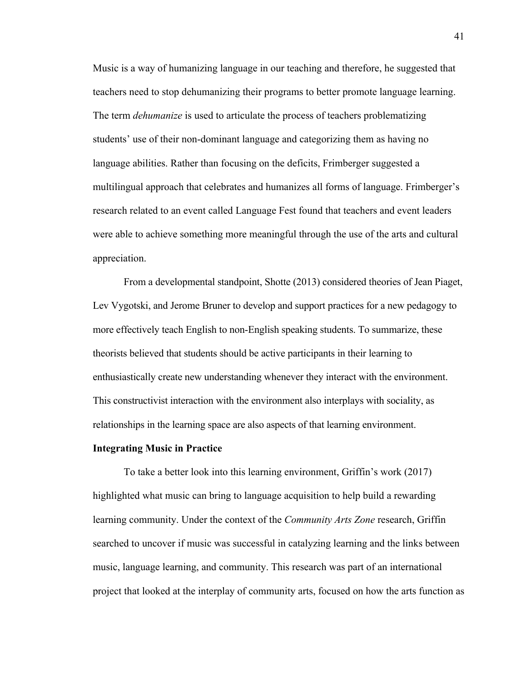Music is a way of humanizing language in our teaching and therefore, he suggested that teachers need to stop dehumanizing their programs to better promote language learning. The term *dehumanize* is used to articulate the process of teachers problematizing students' use of their non-dominant language and categorizing them as having no language abilities. Rather than focusing on the deficits, Frimberger suggested a multilingual approach that celebrates and humanizes all forms of language. Frimberger's research related to an event called Language Fest found that teachers and event leaders were able to achieve something more meaningful through the use of the arts and cultural appreciation.

From a developmental standpoint, Shotte (2013) considered theories of Jean Piaget, Lev Vygotski, and Jerome Bruner to develop and support practices for a new pedagogy to more effectively teach English to non-English speaking students. To summarize, these theorists believed that students should be active participants in their learning to enthusiastically create new understanding whenever they interact with the environment. This constructivist interaction with the environment also interplays with sociality, as relationships in the learning space are also aspects of that learning environment.

### **Integrating Music in Practice**

To take a better look into this learning environment, Griffin's work (2017) highlighted what music can bring to language acquisition to help build a rewarding learning community. Under the context of the *Community Arts Zone* research, Griffin searched to uncover if music was successful in catalyzing learning and the links between music, language learning, and community. This research was part of an international project that looked at the interplay of community arts, focused on how the arts function as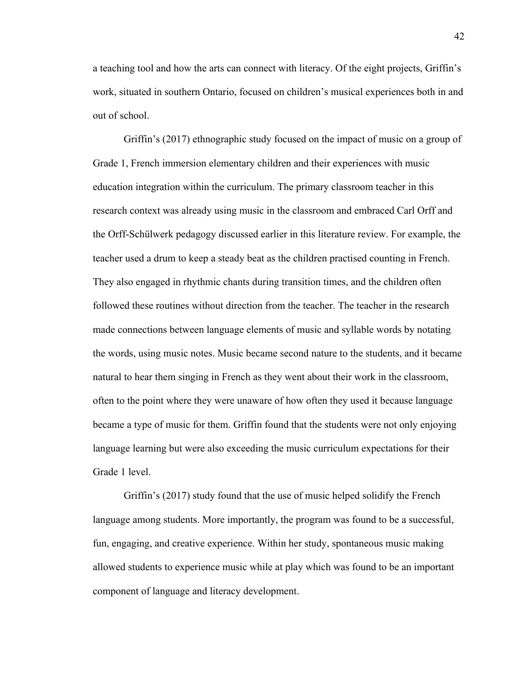a teaching tool and how the arts can connect with literacy. Of the eight projects, Griffin's work, situated in southern Ontario, focused on children's musical experiences both in and out of school.

Griffin's (2017) ethnographic study focused on the impact of music on a group of Grade 1, French immersion elementary children and their experiences with music education integration within the curriculum. The primary classroom teacher in this research context was already using music in the classroom and embraced Carl Orff and the Orff-Schülwerk pedagogy discussed earlier in this literature review. For example, the teacher used a drum to keep a steady beat as the children practised counting in French. They also engaged in rhythmic chants during transition times, and the children often followed these routines without direction from the teacher. The teacher in the research made connections between language elements of music and syllable words by notating the words, using music notes. Music became second nature to the students, and it became natural to hear them singing in French as they went about their work in the classroom, often to the point where they were unaware of how often they used it because language became a type of music for them. Griffin found that the students were not only enjoying language learning but were also exceeding the music curriculum expectations for their Grade 1 level.

Griffin's (2017) study found that the use of music helped solidify the French language among students. More importantly, the program was found to be a successful, fun, engaging, and creative experience. Within her study, spontaneous music making allowed students to experience music while at play which was found to be an important component of language and literacy development.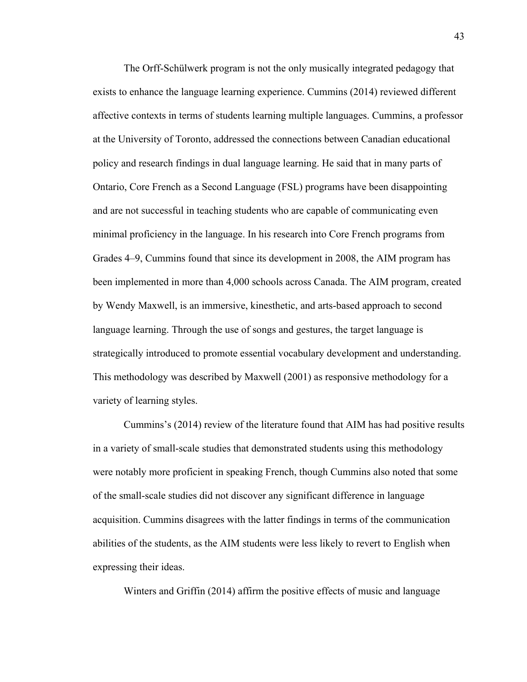The Orff-Schülwerk program is not the only musically integrated pedagogy that exists to enhance the language learning experience. Cummins (2014) reviewed different affective contexts in terms of students learning multiple languages. Cummins, a professor at the University of Toronto, addressed the connections between Canadian educational policy and research findings in dual language learning. He said that in many parts of Ontario, Core French as a Second Language (FSL) programs have been disappointing and are not successful in teaching students who are capable of communicating even minimal proficiency in the language. In his research into Core French programs from Grades 4–9, Cummins found that since its development in 2008, the AIM program has been implemented in more than 4,000 schools across Canada. The AIM program, created by Wendy Maxwell, is an immersive, kinesthetic, and arts-based approach to second language learning. Through the use of songs and gestures, the target language is strategically introduced to promote essential vocabulary development and understanding. This methodology was described by Maxwell (2001) as responsive methodology for a variety of learning styles.

Cummins's (2014) review of the literature found that AIM has had positive results in a variety of small-scale studies that demonstrated students using this methodology were notably more proficient in speaking French, though Cummins also noted that some of the small-scale studies did not discover any significant difference in language acquisition. Cummins disagrees with the latter findings in terms of the communication abilities of the students, as the AIM students were less likely to revert to English when expressing their ideas.

Winters and Griffin (2014) affirm the positive effects of music and language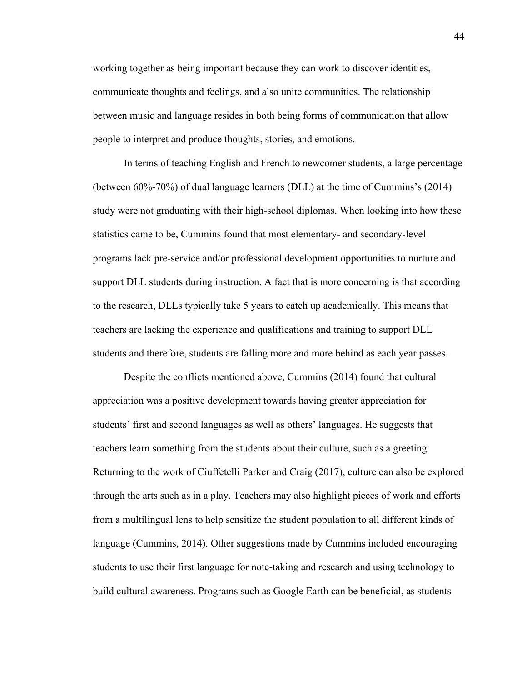working together as being important because they can work to discover identities, communicate thoughts and feelings, and also unite communities. The relationship between music and language resides in both being forms of communication that allow people to interpret and produce thoughts, stories, and emotions.

In terms of teaching English and French to newcomer students, a large percentage (between 60%-70%) of dual language learners (DLL) at the time of Cummins's (2014) study were not graduating with their high-school diplomas. When looking into how these statistics came to be, Cummins found that most elementary- and secondary-level programs lack pre-service and/or professional development opportunities to nurture and support DLL students during instruction. A fact that is more concerning is that according to the research, DLLs typically take 5 years to catch up academically. This means that teachers are lacking the experience and qualifications and training to support DLL students and therefore, students are falling more and more behind as each year passes.

Despite the conflicts mentioned above, Cummins (2014) found that cultural appreciation was a positive development towards having greater appreciation for students' first and second languages as well as others' languages. He suggests that teachers learn something from the students about their culture, such as a greeting. Returning to the work of Ciuffetelli Parker and Craig (2017), culture can also be explored through the arts such as in a play. Teachers may also highlight pieces of work and efforts from a multilingual lens to help sensitize the student population to all different kinds of language (Cummins, 2014). Other suggestions made by Cummins included encouraging students to use their first language for note-taking and research and using technology to build cultural awareness. Programs such as Google Earth can be beneficial, as students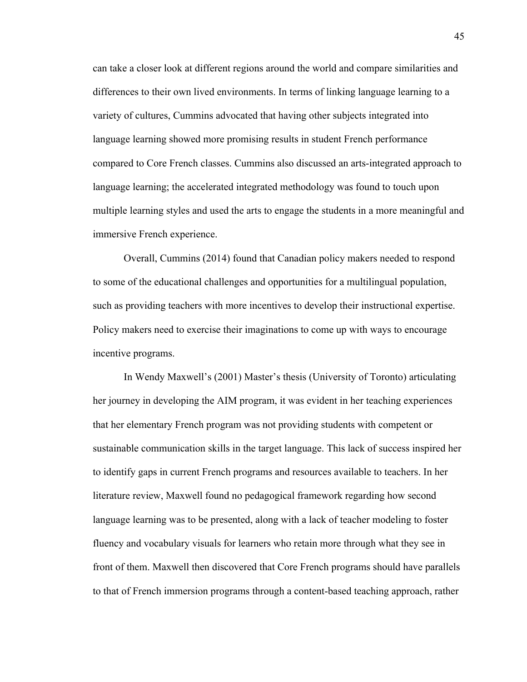can take a closer look at different regions around the world and compare similarities and differences to their own lived environments. In terms of linking language learning to a variety of cultures, Cummins advocated that having other subjects integrated into language learning showed more promising results in student French performance compared to Core French classes. Cummins also discussed an arts-integrated approach to language learning; the accelerated integrated methodology was found to touch upon multiple learning styles and used the arts to engage the students in a more meaningful and immersive French experience.

Overall, Cummins (2014) found that Canadian policy makers needed to respond to some of the educational challenges and opportunities for a multilingual population, such as providing teachers with more incentives to develop their instructional expertise. Policy makers need to exercise their imaginations to come up with ways to encourage incentive programs.

In Wendy Maxwell's (2001) Master's thesis (University of Toronto) articulating her journey in developing the AIM program, it was evident in her teaching experiences that her elementary French program was not providing students with competent or sustainable communication skills in the target language. This lack of success inspired her to identify gaps in current French programs and resources available to teachers. In her literature review, Maxwell found no pedagogical framework regarding how second language learning was to be presented, along with a lack of teacher modeling to foster fluency and vocabulary visuals for learners who retain more through what they see in front of them. Maxwell then discovered that Core French programs should have parallels to that of French immersion programs through a content-based teaching approach, rather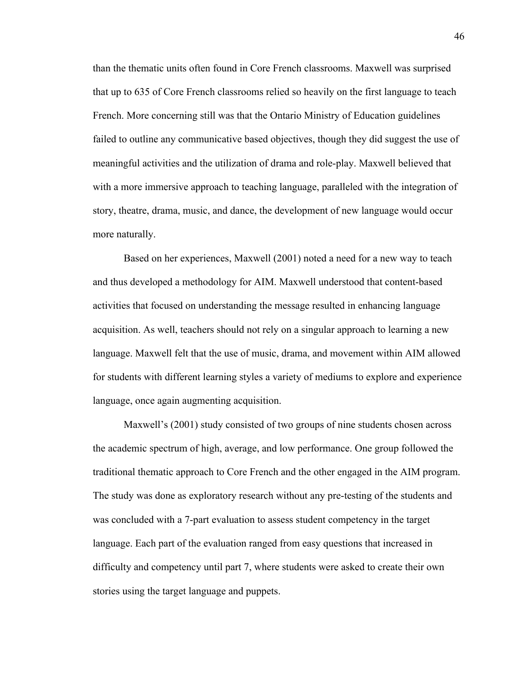than the thematic units often found in Core French classrooms. Maxwell was surprised that up to 635 of Core French classrooms relied so heavily on the first language to teach French. More concerning still was that the Ontario Ministry of Education guidelines failed to outline any communicative based objectives, though they did suggest the use of meaningful activities and the utilization of drama and role-play. Maxwell believed that with a more immersive approach to teaching language, paralleled with the integration of story, theatre, drama, music, and dance, the development of new language would occur more naturally.

Based on her experiences, Maxwell (2001) noted a need for a new way to teach and thus developed a methodology for AIM. Maxwell understood that content-based activities that focused on understanding the message resulted in enhancing language acquisition. As well, teachers should not rely on a singular approach to learning a new language. Maxwell felt that the use of music, drama, and movement within AIM allowed for students with different learning styles a variety of mediums to explore and experience language, once again augmenting acquisition.

Maxwell's (2001) study consisted of two groups of nine students chosen across the academic spectrum of high, average, and low performance. One group followed the traditional thematic approach to Core French and the other engaged in the AIM program. The study was done as exploratory research without any pre-testing of the students and was concluded with a 7-part evaluation to assess student competency in the target language. Each part of the evaluation ranged from easy questions that increased in difficulty and competency until part 7, where students were asked to create their own stories using the target language and puppets.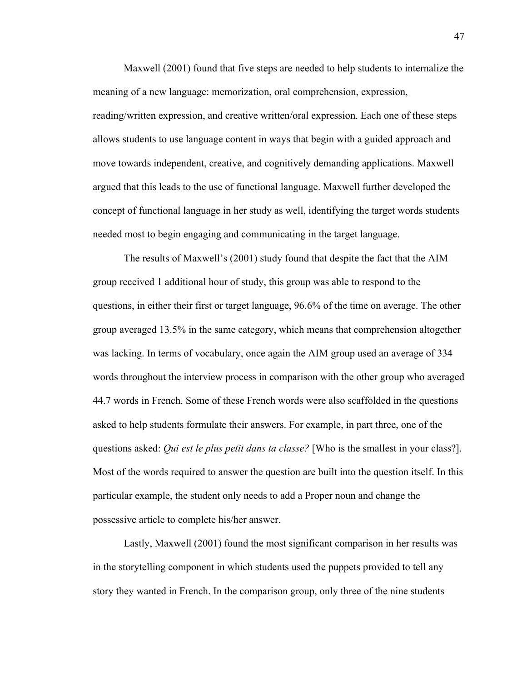Maxwell (2001) found that five steps are needed to help students to internalize the meaning of a new language: memorization, oral comprehension, expression, reading/written expression, and creative written/oral expression. Each one of these steps allows students to use language content in ways that begin with a guided approach and move towards independent, creative, and cognitively demanding applications. Maxwell argued that this leads to the use of functional language. Maxwell further developed the concept of functional language in her study as well, identifying the target words students needed most to begin engaging and communicating in the target language.

The results of Maxwell's (2001) study found that despite the fact that the AIM group received 1 additional hour of study, this group was able to respond to the questions, in either their first or target language, 96.6% of the time on average. The other group averaged 13.5% in the same category, which means that comprehension altogether was lacking. In terms of vocabulary, once again the AIM group used an average of 334 words throughout the interview process in comparison with the other group who averaged 44.7 words in French. Some of these French words were also scaffolded in the questions asked to help students formulate their answers. For example, in part three, one of the questions asked: *Qui est le plus petit dans ta classe?* [Who is the smallest in your class?]. Most of the words required to answer the question are built into the question itself. In this particular example, the student only needs to add a Proper noun and change the possessive article to complete his/her answer.

Lastly, Maxwell (2001) found the most significant comparison in her results was in the storytelling component in which students used the puppets provided to tell any story they wanted in French. In the comparison group, only three of the nine students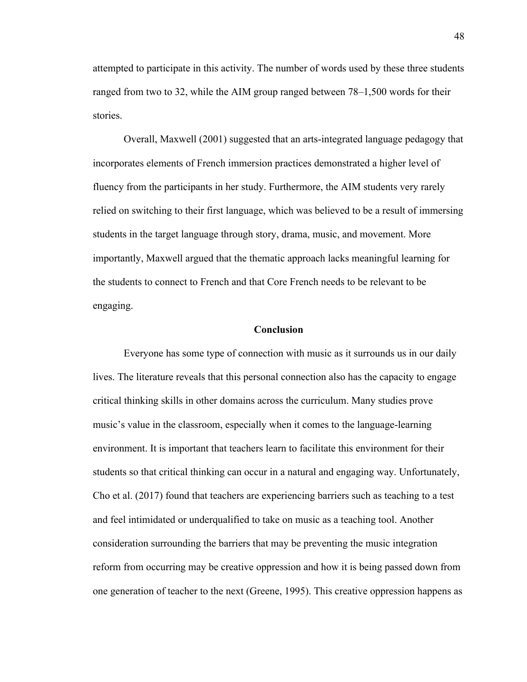attempted to participate in this activity. The number of words used by these three students ranged from two to 32, while the AIM group ranged between 78–1,500 words for their stories.

Overall, Maxwell (2001) suggested that an arts-integrated language pedagogy that incorporates elements of French immersion practices demonstrated a higher level of fluency from the participants in her study. Furthermore, the AIM students very rarely relied on switching to their first language, which was believed to be a result of immersing students in the target language through story, drama, music, and movement. More importantly, Maxwell argued that the thematic approach lacks meaningful learning for the students to connect to French and that Core French needs to be relevant to be engaging.

## **Conclusion**

Everyone has some type of connection with music as it surrounds us in our daily lives. The literature reveals that this personal connection also has the capacity to engage critical thinking skills in other domains across the curriculum. Many studies prove music's value in the classroom, especially when it comes to the language-learning environment. It is important that teachers learn to facilitate this environment for their students so that critical thinking can occur in a natural and engaging way. Unfortunately, Cho et al. (2017) found that teachers are experiencing barriers such as teaching to a test and feel intimidated or underqualified to take on music as a teaching tool. Another consideration surrounding the barriers that may be preventing the music integration reform from occurring may be creative oppression and how it is being passed down from one generation of teacher to the next (Greene, 1995). This creative oppression happens as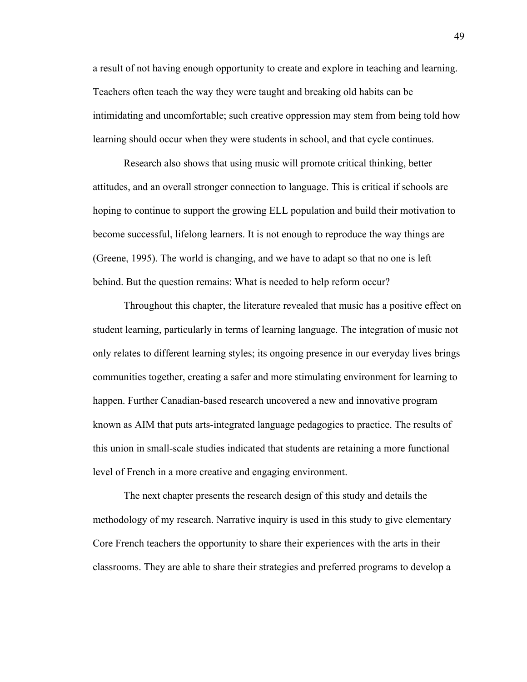a result of not having enough opportunity to create and explore in teaching and learning. Teachers often teach the way they were taught and breaking old habits can be intimidating and uncomfortable; such creative oppression may stem from being told how learning should occur when they were students in school, and that cycle continues.

Research also shows that using music will promote critical thinking, better attitudes, and an overall stronger connection to language. This is critical if schools are hoping to continue to support the growing ELL population and build their motivation to become successful, lifelong learners. It is not enough to reproduce the way things are (Greene, 1995). The world is changing, and we have to adapt so that no one is left behind. But the question remains: What is needed to help reform occur?

Throughout this chapter, the literature revealed that music has a positive effect on student learning, particularly in terms of learning language. The integration of music not only relates to different learning styles; its ongoing presence in our everyday lives brings communities together, creating a safer and more stimulating environment for learning to happen. Further Canadian-based research uncovered a new and innovative program known as AIM that puts arts-integrated language pedagogies to practice. The results of this union in small-scale studies indicated that students are retaining a more functional level of French in a more creative and engaging environment.

The next chapter presents the research design of this study and details the methodology of my research. Narrative inquiry is used in this study to give elementary Core French teachers the opportunity to share their experiences with the arts in their classrooms. They are able to share their strategies and preferred programs to develop a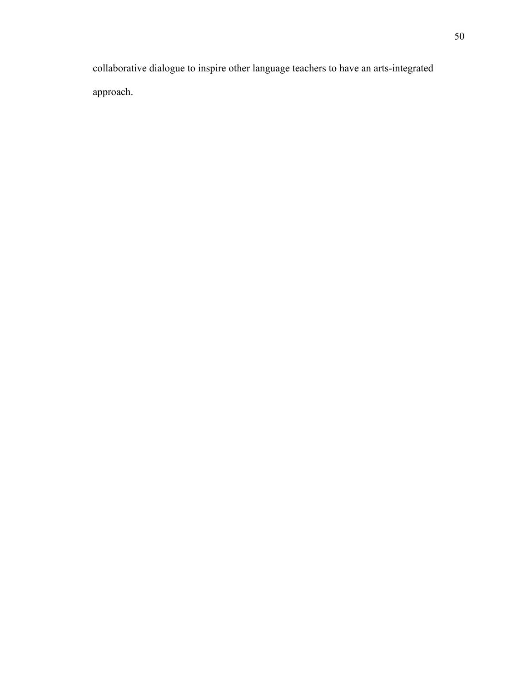collaborative dialogue to inspire other language teachers to have an arts-integrated approach.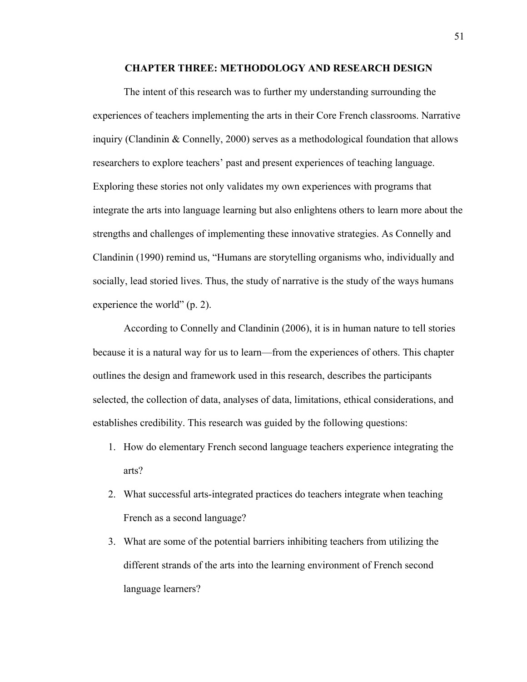### **CHAPTER THREE: METHODOLOGY AND RESEARCH DESIGN**

The intent of this research was to further my understanding surrounding the experiences of teachers implementing the arts in their Core French classrooms. Narrative inquiry (Clandinin & Connelly, 2000) serves as a methodological foundation that allows researchers to explore teachers' past and present experiences of teaching language. Exploring these stories not only validates my own experiences with programs that integrate the arts into language learning but also enlightens others to learn more about the strengths and challenges of implementing these innovative strategies. As Connelly and Clandinin (1990) remind us, "Humans are storytelling organisms who, individually and socially, lead storied lives. Thus, the study of narrative is the study of the ways humans experience the world" (p. 2).

According to Connelly and Clandinin (2006), it is in human nature to tell stories because it is a natural way for us to learn—from the experiences of others. This chapter outlines the design and framework used in this research, describes the participants selected, the collection of data, analyses of data, limitations, ethical considerations, and establishes credibility. This research was guided by the following questions:

- 1. How do elementary French second language teachers experience integrating the arts?
- 2. What successful arts-integrated practices do teachers integrate when teaching French as a second language?
- 3. What are some of the potential barriers inhibiting teachers from utilizing the different strands of the arts into the learning environment of French second language learners?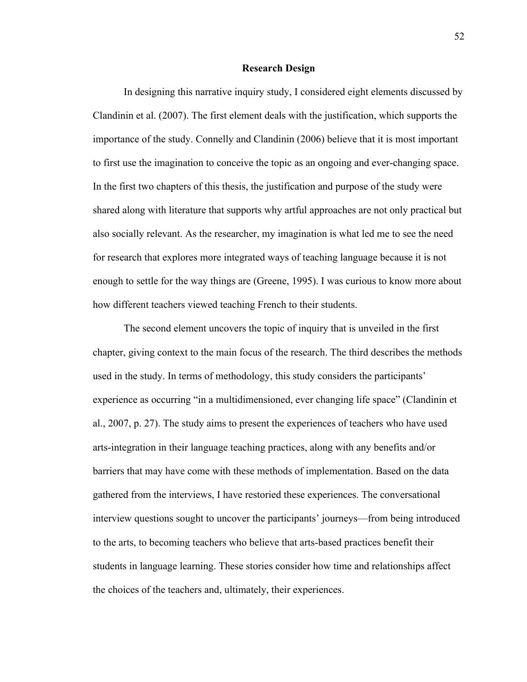## **Research Design**

In designing this narrative inquiry study, I considered eight elements discussed by Clandinin et al. (2007). The first element deals with the justification, which supports the importance of the study. Connelly and Clandinin (2006) believe that it is most important to first use the imagination to conceive the topic as an ongoing and ever-changing space. In the first two chapters of this thesis, the justification and purpose of the study were shared along with literature that supports why artful approaches are not only practical but also socially relevant. As the researcher, my imagination is what led me to see the need for research that explores more integrated ways of teaching language because it is not enough to settle for the way things are (Greene, 1995). I was curious to know more about how different teachers viewed teaching French to their students.

The second element uncovers the topic of inquiry that is unveiled in the first chapter, giving context to the main focus of the research. The third describes the methods used in the study. In terms of methodology, this study considers the participants' experience as occurring "in a multidimensioned, ever changing life space" (Clandinin et al., 2007, p. 27). The study aims to present the experiences of teachers who have used arts-integration in their language teaching practices, along with any benefits and/or barriers that may have come with these methods of implementation. Based on the data gathered from the interviews, I have restoried these experiences. The conversational interview questions sought to uncover the participants' journeys—from being introduced to the arts, to becoming teachers who believe that arts-based practices benefit their students in language learning. These stories consider how time and relationships affect the choices of the teachers and, ultimately, their experiences.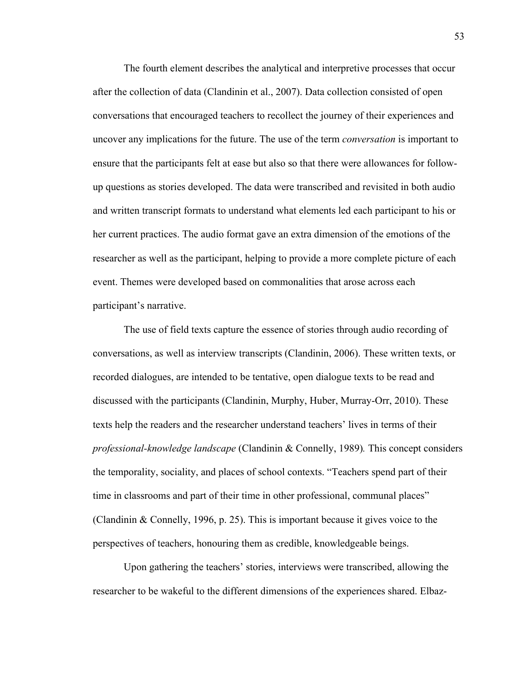The fourth element describes the analytical and interpretive processes that occur after the collection of data (Clandinin et al., 2007). Data collection consisted of open conversations that encouraged teachers to recollect the journey of their experiences and uncover any implications for the future. The use of the term *conversation* is important to ensure that the participants felt at ease but also so that there were allowances for followup questions as stories developed. The data were transcribed and revisited in both audio and written transcript formats to understand what elements led each participant to his or her current practices. The audio format gave an extra dimension of the emotions of the researcher as well as the participant, helping to provide a more complete picture of each event. Themes were developed based on commonalities that arose across each participant's narrative.

The use of field texts capture the essence of stories through audio recording of conversations, as well as interview transcripts (Clandinin, 2006). These written texts, or recorded dialogues, are intended to be tentative, open dialogue texts to be read and discussed with the participants (Clandinin, Murphy, Huber, Murray-Orr, 2010). These texts help the readers and the researcher understand teachers' lives in terms of their *professional-knowledge landscape* (Clandinin & Connelly, 1989)*.* This concept considers the temporality, sociality, and places of school contexts. "Teachers spend part of their time in classrooms and part of their time in other professional, communal places" (Clandinin & Connelly, 1996, p. 25). This is important because it gives voice to the perspectives of teachers, honouring them as credible, knowledgeable beings.

Upon gathering the teachers' stories, interviews were transcribed, allowing the researcher to be wakeful to the different dimensions of the experiences shared. Elbaz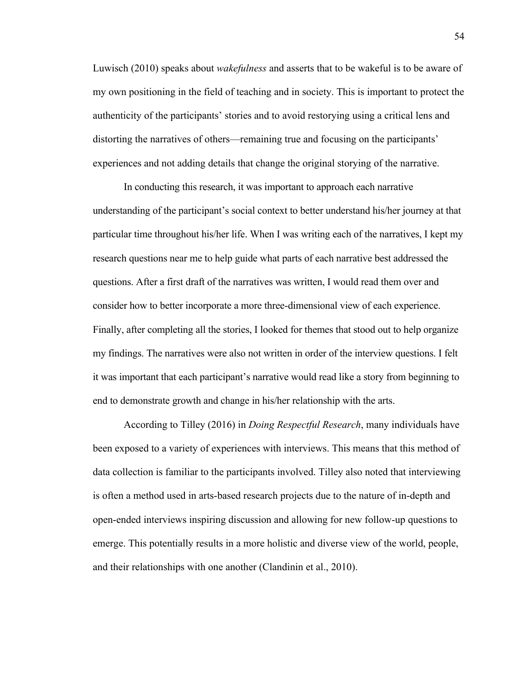Luwisch (2010) speaks about *wakefulness* and asserts that to be wakeful is to be aware of my own positioning in the field of teaching and in society. This is important to protect the authenticity of the participants' stories and to avoid restorying using a critical lens and distorting the narratives of others—remaining true and focusing on the participants' experiences and not adding details that change the original storying of the narrative.

In conducting this research, it was important to approach each narrative understanding of the participant's social context to better understand his/her journey at that particular time throughout his/her life. When I was writing each of the narratives, I kept my research questions near me to help guide what parts of each narrative best addressed the questions. After a first draft of the narratives was written, I would read them over and consider how to better incorporate a more three-dimensional view of each experience. Finally, after completing all the stories, I looked for themes that stood out to help organize my findings. The narratives were also not written in order of the interview questions. I felt it was important that each participant's narrative would read like a story from beginning to end to demonstrate growth and change in his/her relationship with the arts.

According to Tilley (2016) in *Doing Respectful Research*, many individuals have been exposed to a variety of experiences with interviews. This means that this method of data collection is familiar to the participants involved. Tilley also noted that interviewing is often a method used in arts-based research projects due to the nature of in-depth and open-ended interviews inspiring discussion and allowing for new follow-up questions to emerge. This potentially results in a more holistic and diverse view of the world, people, and their relationships with one another (Clandinin et al., 2010).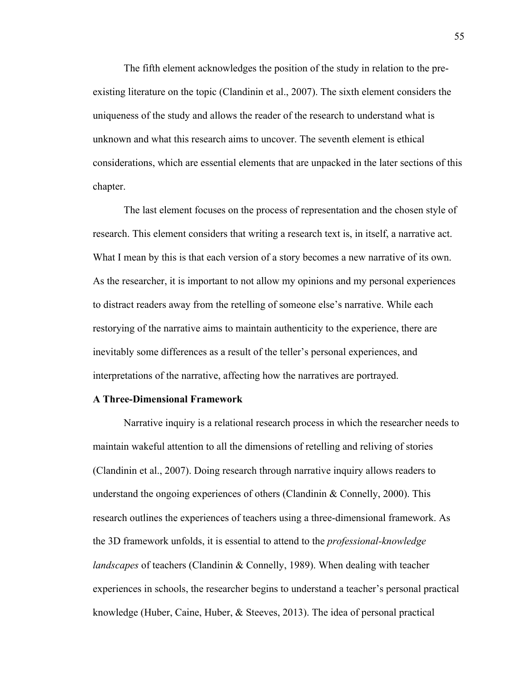The fifth element acknowledges the position of the study in relation to the preexisting literature on the topic (Clandinin et al., 2007). The sixth element considers the uniqueness of the study and allows the reader of the research to understand what is unknown and what this research aims to uncover. The seventh element is ethical considerations, which are essential elements that are unpacked in the later sections of this chapter.

The last element focuses on the process of representation and the chosen style of research. This element considers that writing a research text is, in itself, a narrative act. What I mean by this is that each version of a story becomes a new narrative of its own. As the researcher, it is important to not allow my opinions and my personal experiences to distract readers away from the retelling of someone else's narrative. While each restorying of the narrative aims to maintain authenticity to the experience, there are inevitably some differences as a result of the teller's personal experiences, and interpretations of the narrative, affecting how the narratives are portrayed.

## **A Three-Dimensional Framework**

Narrative inquiry is a relational research process in which the researcher needs to maintain wakeful attention to all the dimensions of retelling and reliving of stories (Clandinin et al., 2007). Doing research through narrative inquiry allows readers to understand the ongoing experiences of others (Clandinin & Connelly, 2000). This research outlines the experiences of teachers using a three-dimensional framework. As the 3D framework unfolds, it is essential to attend to the *professional-knowledge landscapes* of teachers (Clandinin & Connelly, 1989). When dealing with teacher experiences in schools, the researcher begins to understand a teacher's personal practical knowledge (Huber, Caine, Huber, & Steeves, 2013). The idea of personal practical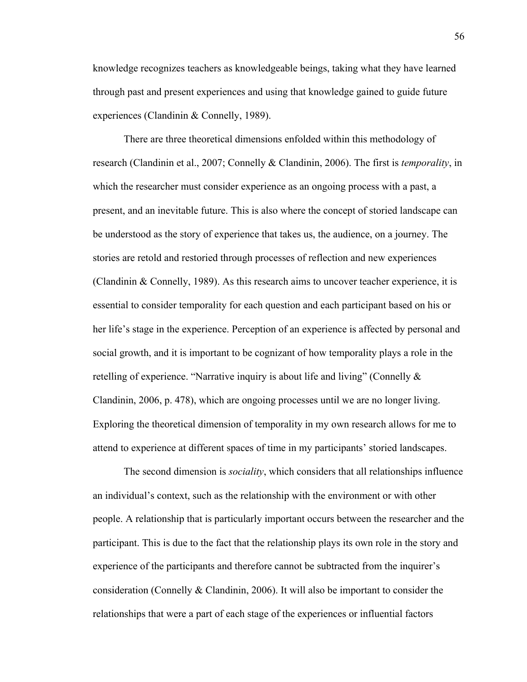knowledge recognizes teachers as knowledgeable beings, taking what they have learned through past and present experiences and using that knowledge gained to guide future experiences (Clandinin & Connelly, 1989).

There are three theoretical dimensions enfolded within this methodology of research (Clandinin et al., 2007; Connelly & Clandinin, 2006). The first is *temporality*, in which the researcher must consider experience as an ongoing process with a past, a present, and an inevitable future. This is also where the concept of storied landscape can be understood as the story of experience that takes us, the audience, on a journey. The stories are retold and restoried through processes of reflection and new experiences (Clandinin & Connelly, 1989). As this research aims to uncover teacher experience, it is essential to consider temporality for each question and each participant based on his or her life's stage in the experience. Perception of an experience is affected by personal and social growth, and it is important to be cognizant of how temporality plays a role in the retelling of experience. "Narrative inquiry is about life and living" (Connelly & Clandinin, 2006, p. 478), which are ongoing processes until we are no longer living. Exploring the theoretical dimension of temporality in my own research allows for me to attend to experience at different spaces of time in my participants' storied landscapes.

The second dimension is *sociality*, which considers that all relationships influence an individual's context, such as the relationship with the environment or with other people. A relationship that is particularly important occurs between the researcher and the participant. This is due to the fact that the relationship plays its own role in the story and experience of the participants and therefore cannot be subtracted from the inquirer's consideration (Connelly & Clandinin, 2006). It will also be important to consider the relationships that were a part of each stage of the experiences or influential factors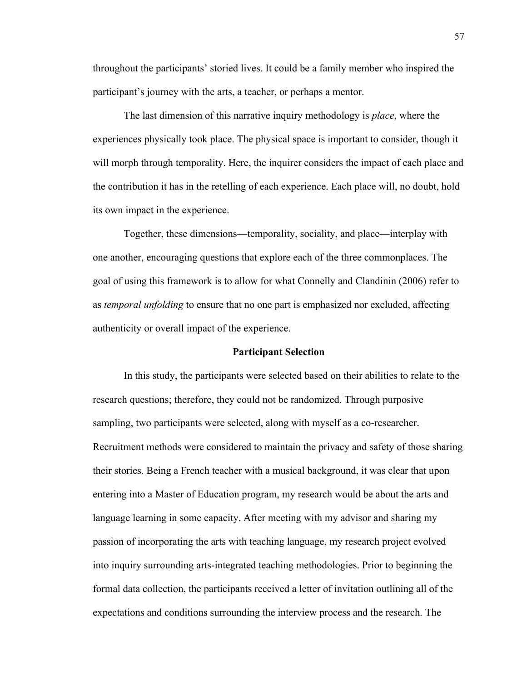throughout the participants' storied lives. It could be a family member who inspired the participant's journey with the arts, a teacher, or perhaps a mentor.

The last dimension of this narrative inquiry methodology is *place*, where the experiences physically took place. The physical space is important to consider, though it will morph through temporality. Here, the inquirer considers the impact of each place and the contribution it has in the retelling of each experience. Each place will, no doubt, hold its own impact in the experience.

Together, these dimensions—temporality, sociality, and place—interplay with one another, encouraging questions that explore each of the three commonplaces. The goal of using this framework is to allow for what Connelly and Clandinin (2006) refer to as *temporal unfolding* to ensure that no one part is emphasized nor excluded, affecting authenticity or overall impact of the experience.

## **Participant Selection**

In this study, the participants were selected based on their abilities to relate to the research questions; therefore, they could not be randomized. Through purposive sampling, two participants were selected, along with myself as a co-researcher. Recruitment methods were considered to maintain the privacy and safety of those sharing their stories. Being a French teacher with a musical background, it was clear that upon entering into a Master of Education program, my research would be about the arts and language learning in some capacity. After meeting with my advisor and sharing my passion of incorporating the arts with teaching language, my research project evolved into inquiry surrounding arts-integrated teaching methodologies. Prior to beginning the formal data collection, the participants received a letter of invitation outlining all of the expectations and conditions surrounding the interview process and the research. The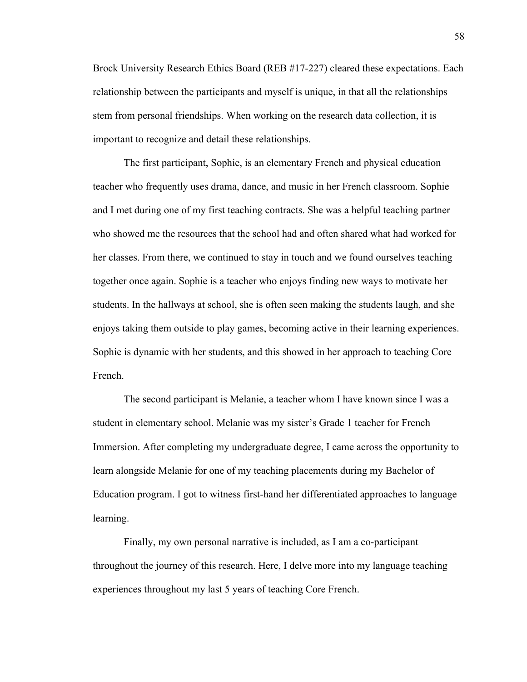Brock University Research Ethics Board (REB #17-227) cleared these expectations. Each relationship between the participants and myself is unique, in that all the relationships stem from personal friendships. When working on the research data collection, it is important to recognize and detail these relationships.

The first participant, Sophie, is an elementary French and physical education teacher who frequently uses drama, dance, and music in her French classroom. Sophie and I met during one of my first teaching contracts. She was a helpful teaching partner who showed me the resources that the school had and often shared what had worked for her classes. From there, we continued to stay in touch and we found ourselves teaching together once again. Sophie is a teacher who enjoys finding new ways to motivate her students. In the hallways at school, she is often seen making the students laugh, and she enjoys taking them outside to play games, becoming active in their learning experiences. Sophie is dynamic with her students, and this showed in her approach to teaching Core French.

The second participant is Melanie, a teacher whom I have known since I was a student in elementary school. Melanie was my sister's Grade 1 teacher for French Immersion. After completing my undergraduate degree, I came across the opportunity to learn alongside Melanie for one of my teaching placements during my Bachelor of Education program. I got to witness first-hand her differentiated approaches to language learning.

Finally, my own personal narrative is included, as I am a co-participant throughout the journey of this research. Here, I delve more into my language teaching experiences throughout my last 5 years of teaching Core French.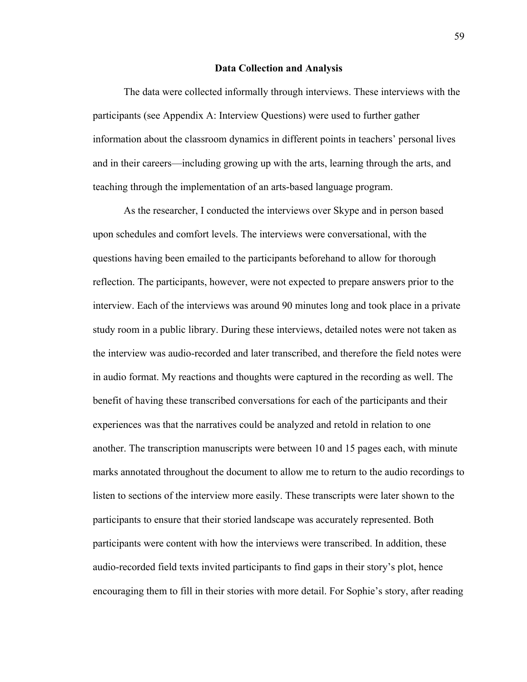#### **Data Collection and Analysis**

The data were collected informally through interviews. These interviews with the participants (see Appendix A: Interview Questions) were used to further gather information about the classroom dynamics in different points in teachers' personal lives and in their careers—including growing up with the arts, learning through the arts, and teaching through the implementation of an arts-based language program.

As the researcher, I conducted the interviews over Skype and in person based upon schedules and comfort levels. The interviews were conversational, with the questions having been emailed to the participants beforehand to allow for thorough reflection. The participants, however, were not expected to prepare answers prior to the interview. Each of the interviews was around 90 minutes long and took place in a private study room in a public library. During these interviews, detailed notes were not taken as the interview was audio-recorded and later transcribed, and therefore the field notes were in audio format. My reactions and thoughts were captured in the recording as well. The benefit of having these transcribed conversations for each of the participants and their experiences was that the narratives could be analyzed and retold in relation to one another. The transcription manuscripts were between 10 and 15 pages each, with minute marks annotated throughout the document to allow me to return to the audio recordings to listen to sections of the interview more easily. These transcripts were later shown to the participants to ensure that their storied landscape was accurately represented. Both participants were content with how the interviews were transcribed. In addition, these audio-recorded field texts invited participants to find gaps in their story's plot, hence encouraging them to fill in their stories with more detail. For Sophie's story, after reading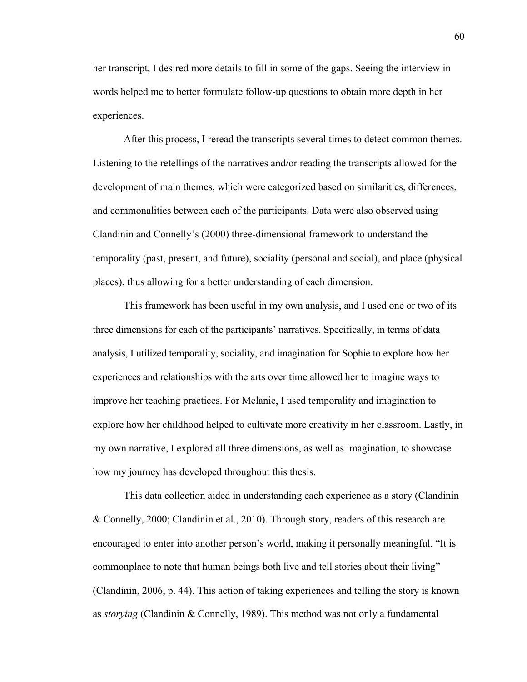her transcript, I desired more details to fill in some of the gaps. Seeing the interview in words helped me to better formulate follow-up questions to obtain more depth in her experiences.

After this process, I reread the transcripts several times to detect common themes. Listening to the retellings of the narratives and/or reading the transcripts allowed for the development of main themes, which were categorized based on similarities, differences, and commonalities between each of the participants. Data were also observed using Clandinin and Connelly's (2000) three-dimensional framework to understand the temporality (past, present, and future), sociality (personal and social), and place (physical places), thus allowing for a better understanding of each dimension.

This framework has been useful in my own analysis, and I used one or two of its three dimensions for each of the participants' narratives. Specifically, in terms of data analysis, I utilized temporality, sociality, and imagination for Sophie to explore how her experiences and relationships with the arts over time allowed her to imagine ways to improve her teaching practices. For Melanie, I used temporality and imagination to explore how her childhood helped to cultivate more creativity in her classroom. Lastly, in my own narrative, I explored all three dimensions, as well as imagination, to showcase how my journey has developed throughout this thesis.

This data collection aided in understanding each experience as a story (Clandinin & Connelly, 2000; Clandinin et al., 2010). Through story, readers of this research are encouraged to enter into another person's world, making it personally meaningful. "It is commonplace to note that human beings both live and tell stories about their living" (Clandinin, 2006, p. 44). This action of taking experiences and telling the story is known as *storying* (Clandinin & Connelly, 1989). This method was not only a fundamental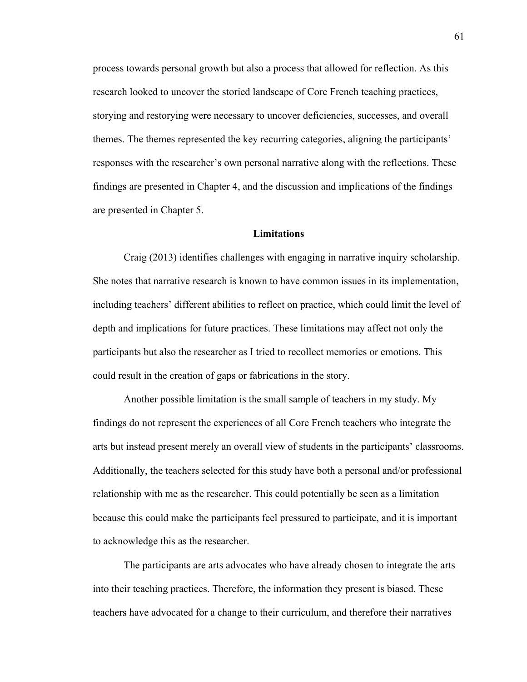process towards personal growth but also a process that allowed for reflection. As this research looked to uncover the storied landscape of Core French teaching practices, storying and restorying were necessary to uncover deficiencies, successes, and overall themes. The themes represented the key recurring categories, aligning the participants' responses with the researcher's own personal narrative along with the reflections. These findings are presented in Chapter 4, and the discussion and implications of the findings are presented in Chapter 5.

## **Limitations**

Craig (2013) identifies challenges with engaging in narrative inquiry scholarship. She notes that narrative research is known to have common issues in its implementation, including teachers' different abilities to reflect on practice, which could limit the level of depth and implications for future practices. These limitations may affect not only the participants but also the researcher as I tried to recollect memories or emotions. This could result in the creation of gaps or fabrications in the story.

Another possible limitation is the small sample of teachers in my study. My findings do not represent the experiences of all Core French teachers who integrate the arts but instead present merely an overall view of students in the participants' classrooms. Additionally, the teachers selected for this study have both a personal and/or professional relationship with me as the researcher. This could potentially be seen as a limitation because this could make the participants feel pressured to participate, and it is important to acknowledge this as the researcher.

The participants are arts advocates who have already chosen to integrate the arts into their teaching practices. Therefore, the information they present is biased. These teachers have advocated for a change to their curriculum, and therefore their narratives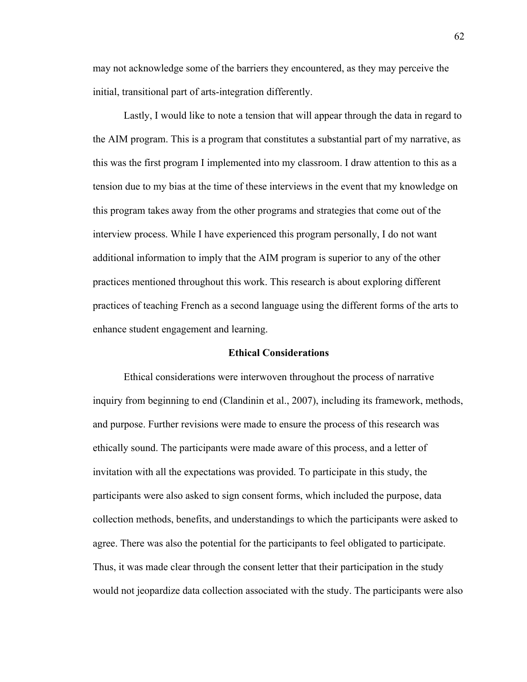may not acknowledge some of the barriers they encountered, as they may perceive the initial, transitional part of arts-integration differently.

Lastly, I would like to note a tension that will appear through the data in regard to the AIM program. This is a program that constitutes a substantial part of my narrative, as this was the first program I implemented into my classroom. I draw attention to this as a tension due to my bias at the time of these interviews in the event that my knowledge on this program takes away from the other programs and strategies that come out of the interview process. While I have experienced this program personally, I do not want additional information to imply that the AIM program is superior to any of the other practices mentioned throughout this work. This research is about exploring different practices of teaching French as a second language using the different forms of the arts to enhance student engagement and learning.

### **Ethical Considerations**

Ethical considerations were interwoven throughout the process of narrative inquiry from beginning to end (Clandinin et al., 2007), including its framework, methods, and purpose. Further revisions were made to ensure the process of this research was ethically sound. The participants were made aware of this process, and a letter of invitation with all the expectations was provided. To participate in this study, the participants were also asked to sign consent forms, which included the purpose, data collection methods, benefits, and understandings to which the participants were asked to agree. There was also the potential for the participants to feel obligated to participate. Thus, it was made clear through the consent letter that their participation in the study would not jeopardize data collection associated with the study. The participants were also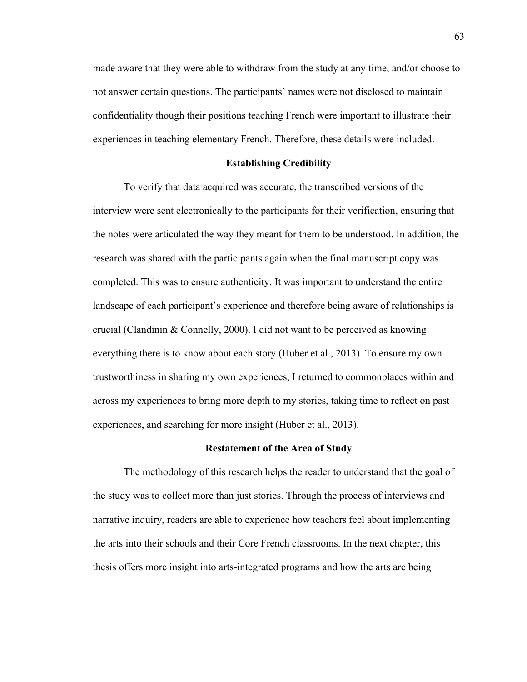made aware that they were able to withdraw from the study at any time, and/or choose to not answer certain questions. The participants' names were not disclosed to maintain confidentiality though their positions teaching French were important to illustrate their experiences in teaching elementary French. Therefore, these details were included.

#### **Establishing Credibility**

To verify that data acquired was accurate, the transcribed versions of the interview were sent electronically to the participants for their verification, ensuring that the notes were articulated the way they meant for them to be understood. In addition, the research was shared with the participants again when the final manuscript copy was completed. This was to ensure authenticity. It was important to understand the entire landscape of each participant's experience and therefore being aware of relationships is crucial (Clandinin  $&$  Connelly, 2000). I did not want to be perceived as knowing everything there is to know about each story (Huber et al., 2013). To ensure my own trustworthiness in sharing my own experiences, I returned to commonplaces within and across my experiences to bring more depth to my stories, taking time to reflect on past experiences, and searching for more insight (Huber et al., 2013).

### **Restatement of the Area of Study**

The methodology of this research helps the reader to understand that the goal of the study was to collect more than just stories. Through the process of interviews and narrative inquiry, readers are able to experience how teachers feel about implementing the arts into their schools and their Core French classrooms. In the next chapter, this thesis offers more insight into arts-integrated programs and how the arts are being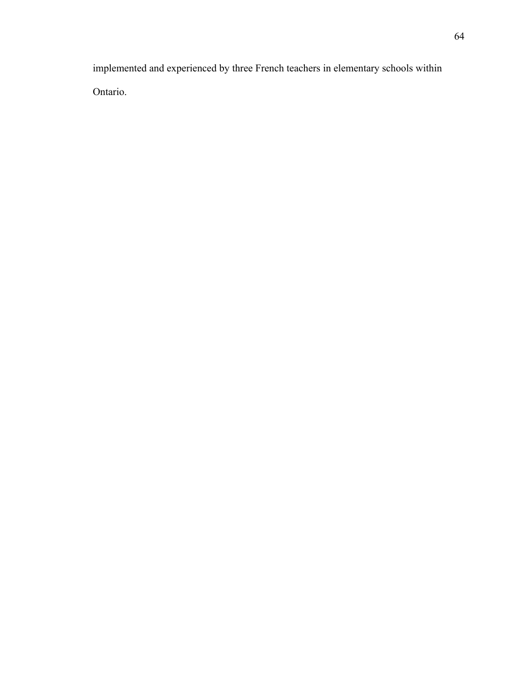implemented and experienced by three French teachers in elementary schools within Ontario.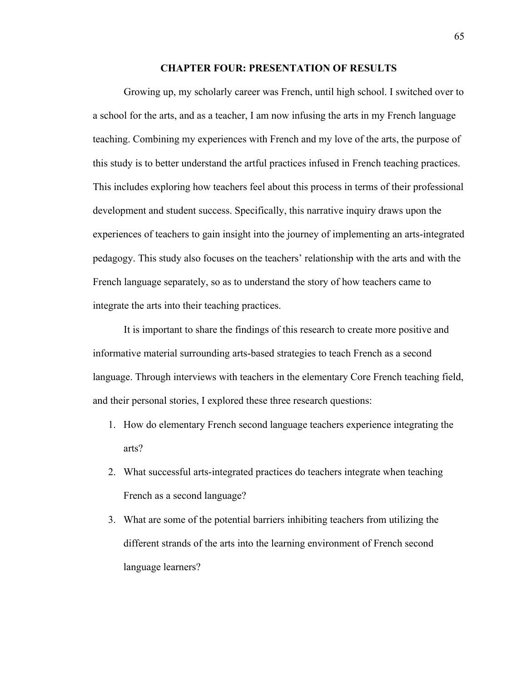# **CHAPTER FOUR: PRESENTATION OF RESULTS**

Growing up, my scholarly career was French, until high school. I switched over to a school for the arts, and as a teacher, I am now infusing the arts in my French language teaching. Combining my experiences with French and my love of the arts, the purpose of this study is to better understand the artful practices infused in French teaching practices. This includes exploring how teachers feel about this process in terms of their professional development and student success. Specifically, this narrative inquiry draws upon the experiences of teachers to gain insight into the journey of implementing an arts-integrated pedagogy. This study also focuses on the teachers' relationship with the arts and with the French language separately, so as to understand the story of how teachers came to integrate the arts into their teaching practices.

It is important to share the findings of this research to create more positive and informative material surrounding arts-based strategies to teach French as a second language. Through interviews with teachers in the elementary Core French teaching field, and their personal stories, I explored these three research questions:

- 1. How do elementary French second language teachers experience integrating the arts?
- 2. What successful arts-integrated practices do teachers integrate when teaching French as a second language?
- 3. What are some of the potential barriers inhibiting teachers from utilizing the different strands of the arts into the learning environment of French second language learners?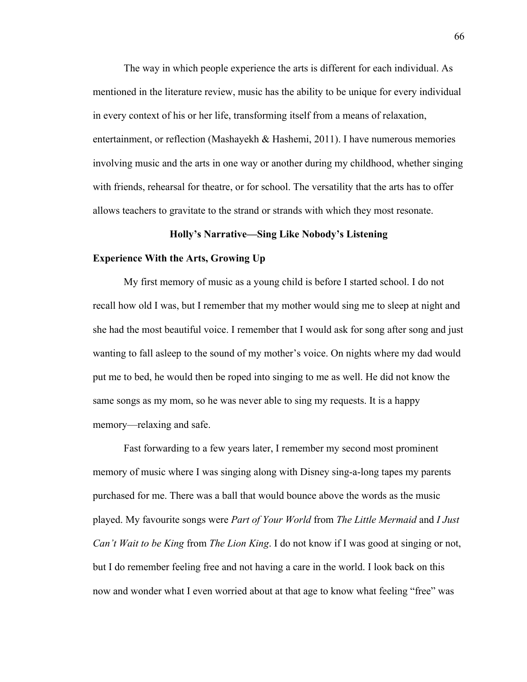The way in which people experience the arts is different for each individual. As mentioned in the literature review, music has the ability to be unique for every individual in every context of his or her life, transforming itself from a means of relaxation, entertainment, or reflection (Mashayekh & Hashemi, 2011). I have numerous memories involving music and the arts in one way or another during my childhood, whether singing with friends, rehearsal for theatre, or for school. The versatility that the arts has to offer allows teachers to gravitate to the strand or strands with which they most resonate.

### **Holly's Narrative—Sing Like Nobody's Listening**

### **Experience With the Arts, Growing Up**

My first memory of music as a young child is before I started school. I do not recall how old I was, but I remember that my mother would sing me to sleep at night and she had the most beautiful voice. I remember that I would ask for song after song and just wanting to fall asleep to the sound of my mother's voice. On nights where my dad would put me to bed, he would then be roped into singing to me as well. He did not know the same songs as my mom, so he was never able to sing my requests. It is a happy memory—relaxing and safe.

Fast forwarding to a few years later, I remember my second most prominent memory of music where I was singing along with Disney sing-a-long tapes my parents purchased for me. There was a ball that would bounce above the words as the music played. My favourite songs were *Part of Your World* from *The Little Mermaid* and *I Just Can't Wait to be King* from *The Lion King*. I do not know if I was good at singing or not, but I do remember feeling free and not having a care in the world. I look back on this now and wonder what I even worried about at that age to know what feeling "free" was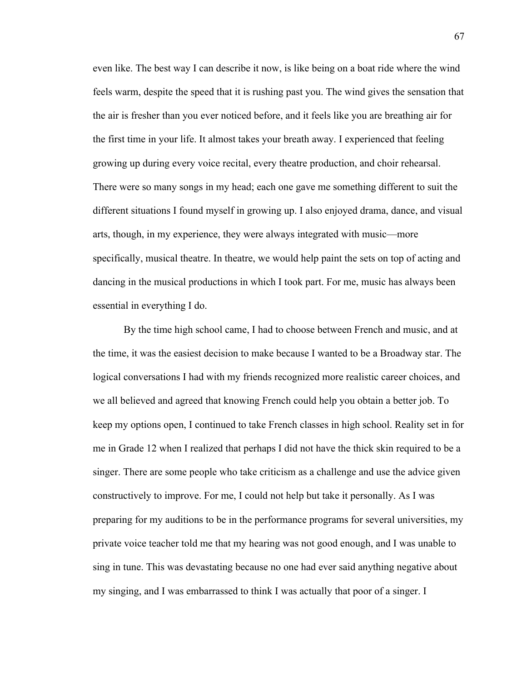even like. The best way I can describe it now, is like being on a boat ride where the wind feels warm, despite the speed that it is rushing past you. The wind gives the sensation that the air is fresher than you ever noticed before, and it feels like you are breathing air for the first time in your life. It almost takes your breath away. I experienced that feeling growing up during every voice recital, every theatre production, and choir rehearsal. There were so many songs in my head; each one gave me something different to suit the different situations I found myself in growing up. I also enjoyed drama, dance, and visual arts, though, in my experience, they were always integrated with music—more specifically, musical theatre. In theatre, we would help paint the sets on top of acting and dancing in the musical productions in which I took part. For me, music has always been essential in everything I do.

By the time high school came, I had to choose between French and music, and at the time, it was the easiest decision to make because I wanted to be a Broadway star. The logical conversations I had with my friends recognized more realistic career choices, and we all believed and agreed that knowing French could help you obtain a better job. To keep my options open, I continued to take French classes in high school. Reality set in for me in Grade 12 when I realized that perhaps I did not have the thick skin required to be a singer. There are some people who take criticism as a challenge and use the advice given constructively to improve. For me, I could not help but take it personally. As I was preparing for my auditions to be in the performance programs for several universities, my private voice teacher told me that my hearing was not good enough, and I was unable to sing in tune. This was devastating because no one had ever said anything negative about my singing, and I was embarrassed to think I was actually that poor of a singer. I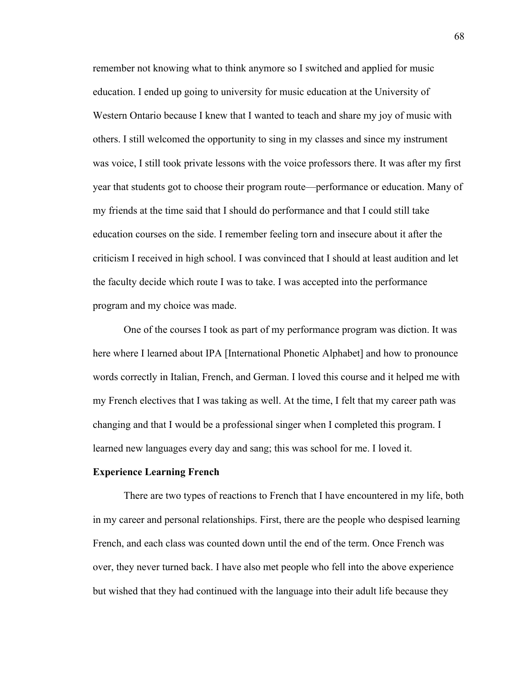remember not knowing what to think anymore so I switched and applied for music education. I ended up going to university for music education at the University of Western Ontario because I knew that I wanted to teach and share my joy of music with others. I still welcomed the opportunity to sing in my classes and since my instrument was voice, I still took private lessons with the voice professors there. It was after my first year that students got to choose their program route—performance or education. Many of my friends at the time said that I should do performance and that I could still take education courses on the side. I remember feeling torn and insecure about it after the criticism I received in high school. I was convinced that I should at least audition and let the faculty decide which route I was to take. I was accepted into the performance program and my choice was made.

One of the courses I took as part of my performance program was diction. It was here where I learned about IPA [International Phonetic Alphabet] and how to pronounce words correctly in Italian, French, and German. I loved this course and it helped me with my French electives that I was taking as well. At the time, I felt that my career path was changing and that I would be a professional singer when I completed this program. I learned new languages every day and sang; this was school for me. I loved it.

#### **Experience Learning French**

There are two types of reactions to French that I have encountered in my life, both in my career and personal relationships. First, there are the people who despised learning French, and each class was counted down until the end of the term. Once French was over, they never turned back. I have also met people who fell into the above experience but wished that they had continued with the language into their adult life because they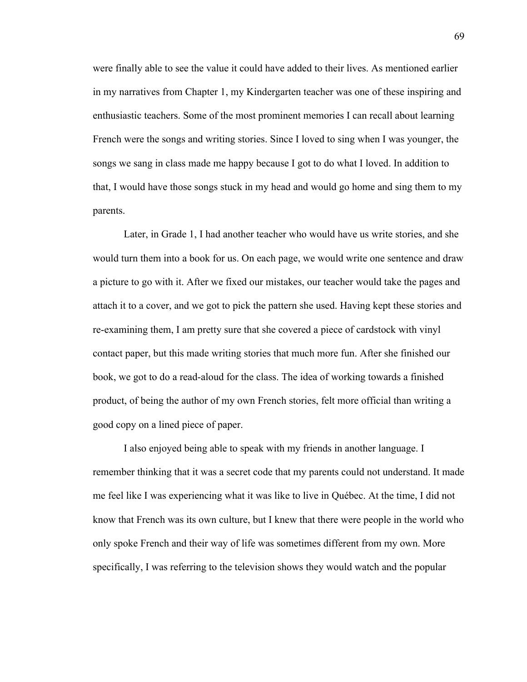were finally able to see the value it could have added to their lives. As mentioned earlier in my narratives from Chapter 1, my Kindergarten teacher was one of these inspiring and enthusiastic teachers. Some of the most prominent memories I can recall about learning French were the songs and writing stories. Since I loved to sing when I was younger, the songs we sang in class made me happy because I got to do what I loved. In addition to that, I would have those songs stuck in my head and would go home and sing them to my parents.

Later, in Grade 1, I had another teacher who would have us write stories, and she would turn them into a book for us. On each page, we would write one sentence and draw a picture to go with it. After we fixed our mistakes, our teacher would take the pages and attach it to a cover, and we got to pick the pattern she used. Having kept these stories and re-examining them, I am pretty sure that she covered a piece of cardstock with vinyl contact paper, but this made writing stories that much more fun. After she finished our book, we got to do a read-aloud for the class. The idea of working towards a finished product, of being the author of my own French stories, felt more official than writing a good copy on a lined piece of paper.

I also enjoyed being able to speak with my friends in another language. I remember thinking that it was a secret code that my parents could not understand. It made me feel like I was experiencing what it was like to live in Québec. At the time, I did not know that French was its own culture, but I knew that there were people in the world who only spoke French and their way of life was sometimes different from my own. More specifically, I was referring to the television shows they would watch and the popular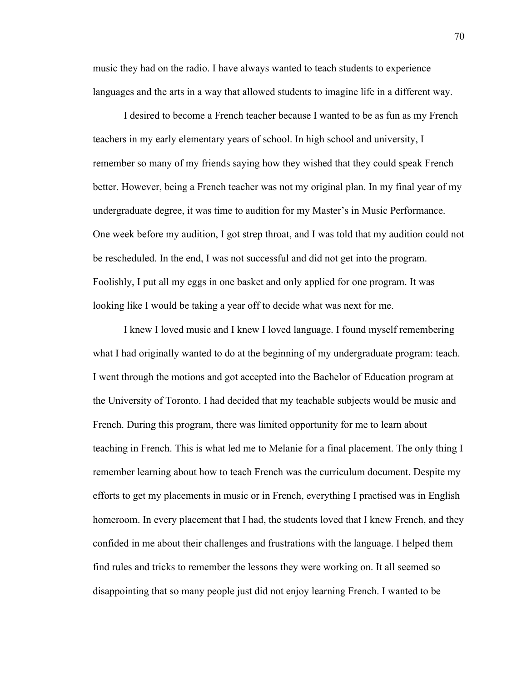music they had on the radio. I have always wanted to teach students to experience languages and the arts in a way that allowed students to imagine life in a different way.

I desired to become a French teacher because I wanted to be as fun as my French teachers in my early elementary years of school. In high school and university, I remember so many of my friends saying how they wished that they could speak French better. However, being a French teacher was not my original plan. In my final year of my undergraduate degree, it was time to audition for my Master's in Music Performance. One week before my audition, I got strep throat, and I was told that my audition could not be rescheduled. In the end, I was not successful and did not get into the program. Foolishly, I put all my eggs in one basket and only applied for one program. It was looking like I would be taking a year off to decide what was next for me.

I knew I loved music and I knew I loved language. I found myself remembering what I had originally wanted to do at the beginning of my undergraduate program: teach. I went through the motions and got accepted into the Bachelor of Education program at the University of Toronto. I had decided that my teachable subjects would be music and French. During this program, there was limited opportunity for me to learn about teaching in French. This is what led me to Melanie for a final placement. The only thing I remember learning about how to teach French was the curriculum document. Despite my efforts to get my placements in music or in French, everything I practised was in English homeroom. In every placement that I had, the students loved that I knew French, and they confided in me about their challenges and frustrations with the language. I helped them find rules and tricks to remember the lessons they were working on. It all seemed so disappointing that so many people just did not enjoy learning French. I wanted to be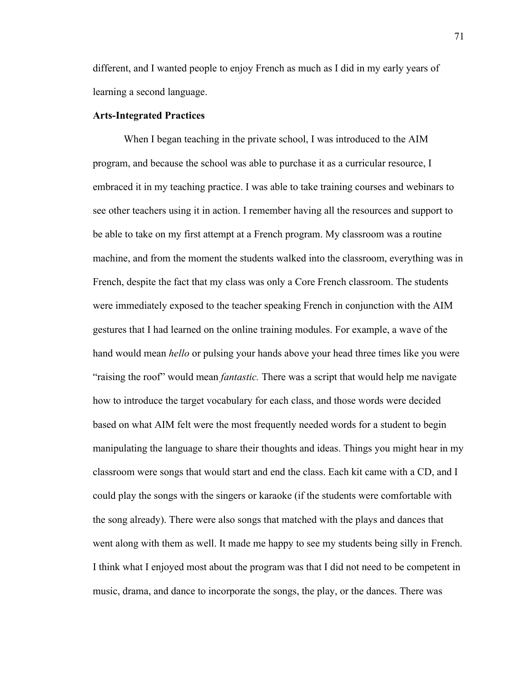different, and I wanted people to enjoy French as much as I did in my early years of learning a second language.

# **Arts-Integrated Practices**

When I began teaching in the private school, I was introduced to the AIM program, and because the school was able to purchase it as a curricular resource, I embraced it in my teaching practice. I was able to take training courses and webinars to see other teachers using it in action. I remember having all the resources and support to be able to take on my first attempt at a French program. My classroom was a routine machine, and from the moment the students walked into the classroom, everything was in French, despite the fact that my class was only a Core French classroom. The students were immediately exposed to the teacher speaking French in conjunction with the AIM gestures that I had learned on the online training modules. For example, a wave of the hand would mean *hello* or pulsing your hands above your head three times like you were "raising the roof" would mean *fantastic.* There was a script that would help me navigate how to introduce the target vocabulary for each class, and those words were decided based on what AIM felt were the most frequently needed words for a student to begin manipulating the language to share their thoughts and ideas. Things you might hear in my classroom were songs that would start and end the class. Each kit came with a CD, and I could play the songs with the singers or karaoke (if the students were comfortable with the song already). There were also songs that matched with the plays and dances that went along with them as well. It made me happy to see my students being silly in French. I think what I enjoyed most about the program was that I did not need to be competent in music, drama, and dance to incorporate the songs, the play, or the dances. There was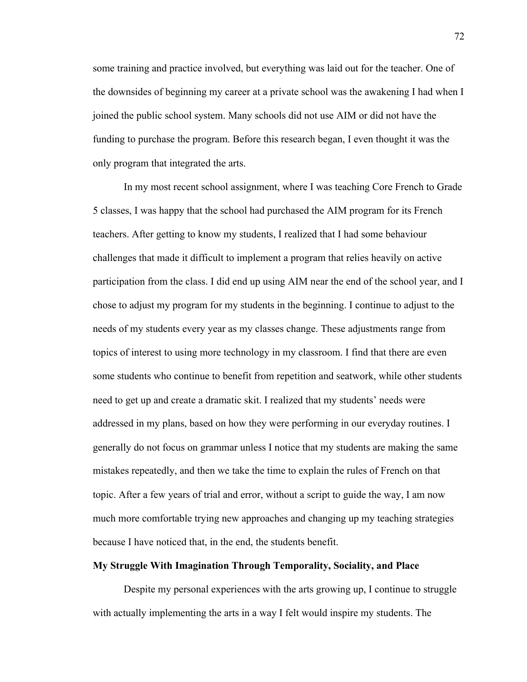some training and practice involved, but everything was laid out for the teacher. One of the downsides of beginning my career at a private school was the awakening I had when I joined the public school system. Many schools did not use AIM or did not have the funding to purchase the program. Before this research began, I even thought it was the only program that integrated the arts.

In my most recent school assignment, where I was teaching Core French to Grade 5 classes, I was happy that the school had purchased the AIM program for its French teachers. After getting to know my students, I realized that I had some behaviour challenges that made it difficult to implement a program that relies heavily on active participation from the class. I did end up using AIM near the end of the school year, and I chose to adjust my program for my students in the beginning. I continue to adjust to the needs of my students every year as my classes change. These adjustments range from topics of interest to using more technology in my classroom. I find that there are even some students who continue to benefit from repetition and seatwork, while other students need to get up and create a dramatic skit. I realized that my students' needs were addressed in my plans, based on how they were performing in our everyday routines. I generally do not focus on grammar unless I notice that my students are making the same mistakes repeatedly, and then we take the time to explain the rules of French on that topic. After a few years of trial and error, without a script to guide the way, I am now much more comfortable trying new approaches and changing up my teaching strategies because I have noticed that, in the end, the students benefit.

# **My Struggle With Imagination Through Temporality, Sociality, and Place**

Despite my personal experiences with the arts growing up, I continue to struggle with actually implementing the arts in a way I felt would inspire my students. The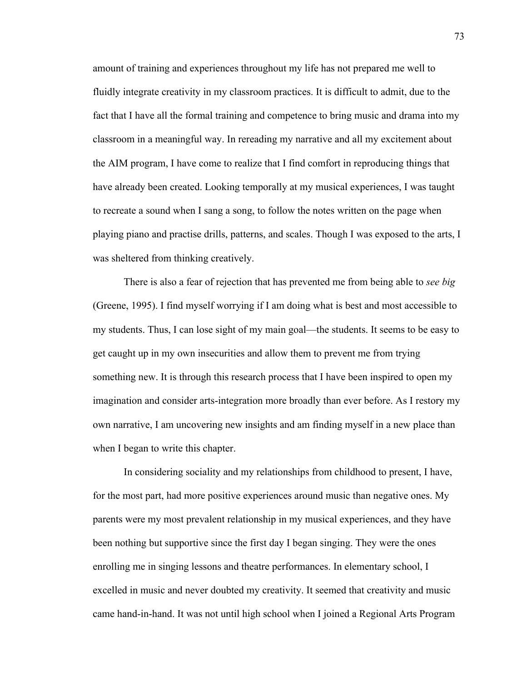amount of training and experiences throughout my life has not prepared me well to fluidly integrate creativity in my classroom practices. It is difficult to admit, due to the fact that I have all the formal training and competence to bring music and drama into my classroom in a meaningful way. In rereading my narrative and all my excitement about the AIM program, I have come to realize that I find comfort in reproducing things that have already been created. Looking temporally at my musical experiences, I was taught to recreate a sound when I sang a song, to follow the notes written on the page when playing piano and practise drills, patterns, and scales. Though I was exposed to the arts, I was sheltered from thinking creatively.

There is also a fear of rejection that has prevented me from being able to *see big* (Greene, 1995). I find myself worrying if I am doing what is best and most accessible to my students. Thus, I can lose sight of my main goal—the students. It seems to be easy to get caught up in my own insecurities and allow them to prevent me from trying something new. It is through this research process that I have been inspired to open my imagination and consider arts-integration more broadly than ever before. As I restory my own narrative, I am uncovering new insights and am finding myself in a new place than when I began to write this chapter.

In considering sociality and my relationships from childhood to present, I have, for the most part, had more positive experiences around music than negative ones. My parents were my most prevalent relationship in my musical experiences, and they have been nothing but supportive since the first day I began singing. They were the ones enrolling me in singing lessons and theatre performances. In elementary school, I excelled in music and never doubted my creativity. It seemed that creativity and music came hand-in-hand. It was not until high school when I joined a Regional Arts Program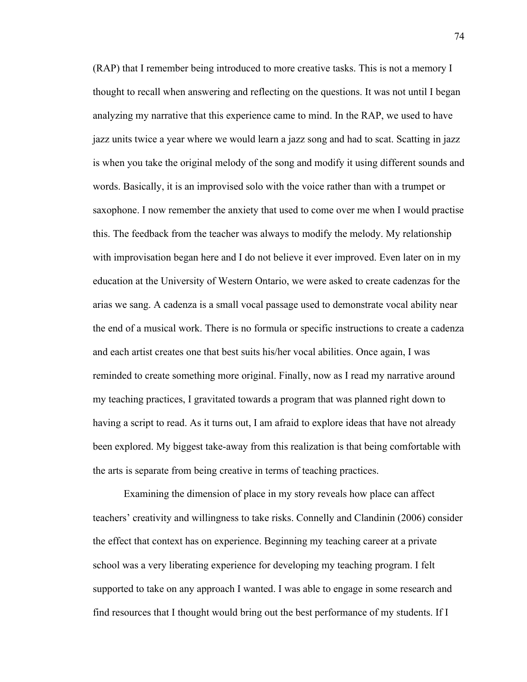(RAP) that I remember being introduced to more creative tasks. This is not a memory I thought to recall when answering and reflecting on the questions. It was not until I began analyzing my narrative that this experience came to mind. In the RAP, we used to have jazz units twice a year where we would learn a jazz song and had to scat. Scatting in jazz is when you take the original melody of the song and modify it using different sounds and words. Basically, it is an improvised solo with the voice rather than with a trumpet or saxophone. I now remember the anxiety that used to come over me when I would practise this. The feedback from the teacher was always to modify the melody. My relationship with improvisation began here and I do not believe it ever improved. Even later on in my education at the University of Western Ontario, we were asked to create cadenzas for the arias we sang. A cadenza is a small vocal passage used to demonstrate vocal ability near the end of a musical work. There is no formula or specific instructions to create a cadenza and each artist creates one that best suits his/her vocal abilities. Once again, I was reminded to create something more original. Finally, now as I read my narrative around my teaching practices, I gravitated towards a program that was planned right down to having a script to read. As it turns out, I am afraid to explore ideas that have not already been explored. My biggest take-away from this realization is that being comfortable with the arts is separate from being creative in terms of teaching practices.

Examining the dimension of place in my story reveals how place can affect teachers' creativity and willingness to take risks. Connelly and Clandinin (2006) consider the effect that context has on experience. Beginning my teaching career at a private school was a very liberating experience for developing my teaching program. I felt supported to take on any approach I wanted. I was able to engage in some research and find resources that I thought would bring out the best performance of my students. If I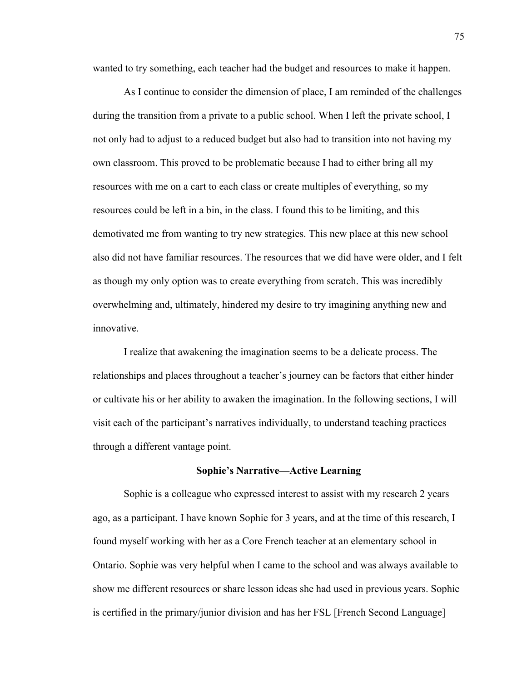wanted to try something, each teacher had the budget and resources to make it happen.

As I continue to consider the dimension of place, I am reminded of the challenges during the transition from a private to a public school. When I left the private school, I not only had to adjust to a reduced budget but also had to transition into not having my own classroom. This proved to be problematic because I had to either bring all my resources with me on a cart to each class or create multiples of everything, so my resources could be left in a bin, in the class. I found this to be limiting, and this demotivated me from wanting to try new strategies. This new place at this new school also did not have familiar resources. The resources that we did have were older, and I felt as though my only option was to create everything from scratch. This was incredibly overwhelming and, ultimately, hindered my desire to try imagining anything new and innovative.

I realize that awakening the imagination seems to be a delicate process. The relationships and places throughout a teacher's journey can be factors that either hinder or cultivate his or her ability to awaken the imagination. In the following sections, I will visit each of the participant's narratives individually, to understand teaching practices through a different vantage point.

## **Sophie's Narrative—Active Learning**

Sophie is a colleague who expressed interest to assist with my research 2 years ago, as a participant. I have known Sophie for 3 years, and at the time of this research, I found myself working with her as a Core French teacher at an elementary school in Ontario. Sophie was very helpful when I came to the school and was always available to show me different resources or share lesson ideas she had used in previous years. Sophie is certified in the primary/junior division and has her FSL [French Second Language]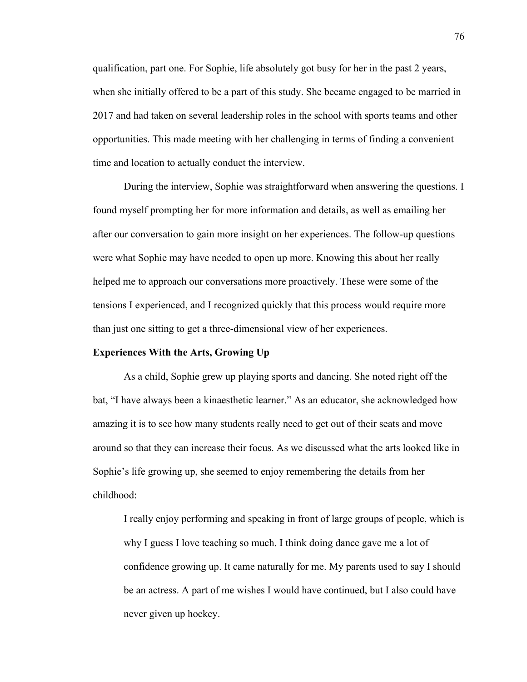qualification, part one. For Sophie, life absolutely got busy for her in the past 2 years, when she initially offered to be a part of this study. She became engaged to be married in 2017 and had taken on several leadership roles in the school with sports teams and other opportunities. This made meeting with her challenging in terms of finding a convenient time and location to actually conduct the interview.

During the interview, Sophie was straightforward when answering the questions. I found myself prompting her for more information and details, as well as emailing her after our conversation to gain more insight on her experiences. The follow-up questions were what Sophie may have needed to open up more. Knowing this about her really helped me to approach our conversations more proactively. These were some of the tensions I experienced, and I recognized quickly that this process would require more than just one sitting to get a three-dimensional view of her experiences.

# **Experiences With the Arts, Growing Up**

As a child, Sophie grew up playing sports and dancing. She noted right off the bat, "I have always been a kinaesthetic learner." As an educator, she acknowledged how amazing it is to see how many students really need to get out of their seats and move around so that they can increase their focus. As we discussed what the arts looked like in Sophie's life growing up, she seemed to enjoy remembering the details from her childhood:

I really enjoy performing and speaking in front of large groups of people, which is why I guess I love teaching so much. I think doing dance gave me a lot of confidence growing up. It came naturally for me. My parents used to say I should be an actress. A part of me wishes I would have continued, but I also could have never given up hockey.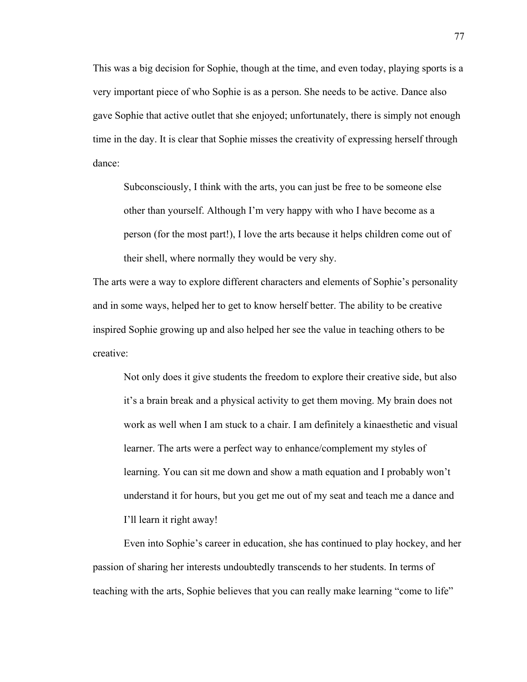This was a big decision for Sophie, though at the time, and even today, playing sports is a very important piece of who Sophie is as a person. She needs to be active. Dance also gave Sophie that active outlet that she enjoyed; unfortunately, there is simply not enough time in the day. It is clear that Sophie misses the creativity of expressing herself through dance:

Subconsciously, I think with the arts, you can just be free to be someone else other than yourself. Although I'm very happy with who I have become as a person (for the most part!), I love the arts because it helps children come out of their shell, where normally they would be very shy.

The arts were a way to explore different characters and elements of Sophie's personality and in some ways, helped her to get to know herself better. The ability to be creative inspired Sophie growing up and also helped her see the value in teaching others to be creative:

Not only does it give students the freedom to explore their creative side, but also it's a brain break and a physical activity to get them moving. My brain does not work as well when I am stuck to a chair. I am definitely a kinaesthetic and visual learner. The arts were a perfect way to enhance/complement my styles of learning. You can sit me down and show a math equation and I probably won't understand it for hours, but you get me out of my seat and teach me a dance and I'll learn it right away!

Even into Sophie's career in education, she has continued to play hockey, and her passion of sharing her interests undoubtedly transcends to her students. In terms of teaching with the arts, Sophie believes that you can really make learning "come to life"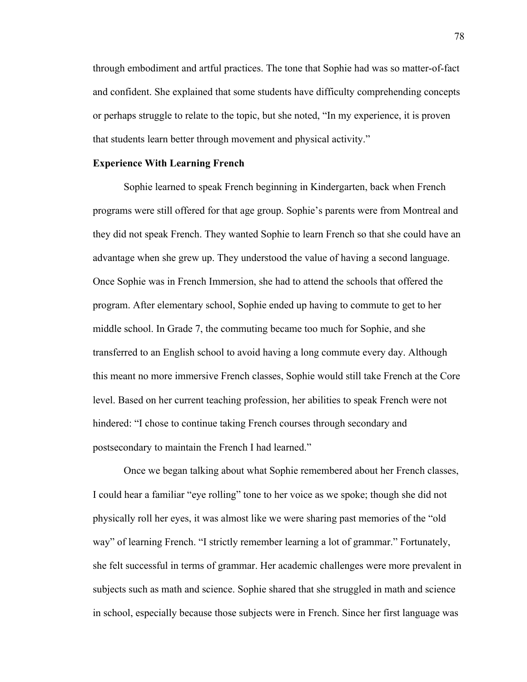through embodiment and artful practices. The tone that Sophie had was so matter-of-fact and confident. She explained that some students have difficulty comprehending concepts or perhaps struggle to relate to the topic, but she noted, "In my experience, it is proven that students learn better through movement and physical activity."

## **Experience With Learning French**

Sophie learned to speak French beginning in Kindergarten, back when French programs were still offered for that age group. Sophie's parents were from Montreal and they did not speak French. They wanted Sophie to learn French so that she could have an advantage when she grew up. They understood the value of having a second language. Once Sophie was in French Immersion, she had to attend the schools that offered the program. After elementary school, Sophie ended up having to commute to get to her middle school. In Grade 7, the commuting became too much for Sophie, and she transferred to an English school to avoid having a long commute every day. Although this meant no more immersive French classes, Sophie would still take French at the Core level. Based on her current teaching profession, her abilities to speak French were not hindered: "I chose to continue taking French courses through secondary and postsecondary to maintain the French I had learned."

Once we began talking about what Sophie remembered about her French classes, I could hear a familiar "eye rolling" tone to her voice as we spoke; though she did not physically roll her eyes, it was almost like we were sharing past memories of the "old way" of learning French. "I strictly remember learning a lot of grammar." Fortunately, she felt successful in terms of grammar. Her academic challenges were more prevalent in subjects such as math and science. Sophie shared that she struggled in math and science in school, especially because those subjects were in French. Since her first language was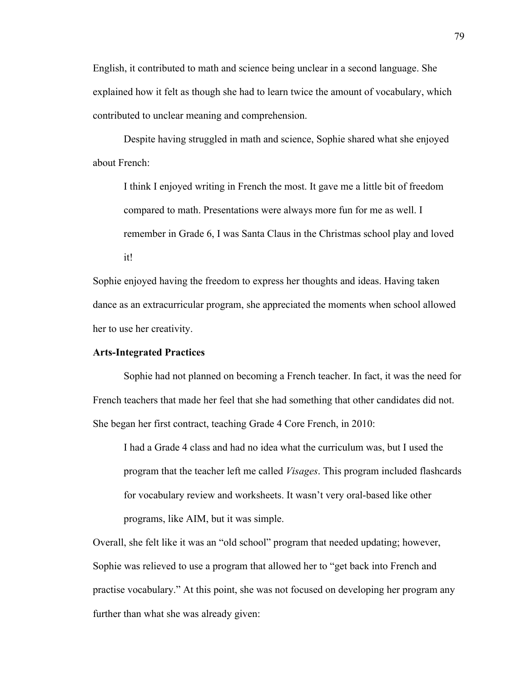English, it contributed to math and science being unclear in a second language. She explained how it felt as though she had to learn twice the amount of vocabulary, which contributed to unclear meaning and comprehension.

Despite having struggled in math and science, Sophie shared what she enjoyed about French:

I think I enjoyed writing in French the most. It gave me a little bit of freedom compared to math. Presentations were always more fun for me as well. I remember in Grade 6, I was Santa Claus in the Christmas school play and loved it!

Sophie enjoyed having the freedom to express her thoughts and ideas. Having taken dance as an extracurricular program, she appreciated the moments when school allowed her to use her creativity.

# **Arts-Integrated Practices**

Sophie had not planned on becoming a French teacher. In fact, it was the need for French teachers that made her feel that she had something that other candidates did not. She began her first contract, teaching Grade 4 Core French, in 2010:

I had a Grade 4 class and had no idea what the curriculum was, but I used the program that the teacher left me called *Visages*. This program included flashcards for vocabulary review and worksheets. It wasn't very oral-based like other programs, like AIM, but it was simple.

Overall, she felt like it was an "old school" program that needed updating; however, Sophie was relieved to use a program that allowed her to "get back into French and practise vocabulary." At this point, she was not focused on developing her program any further than what she was already given: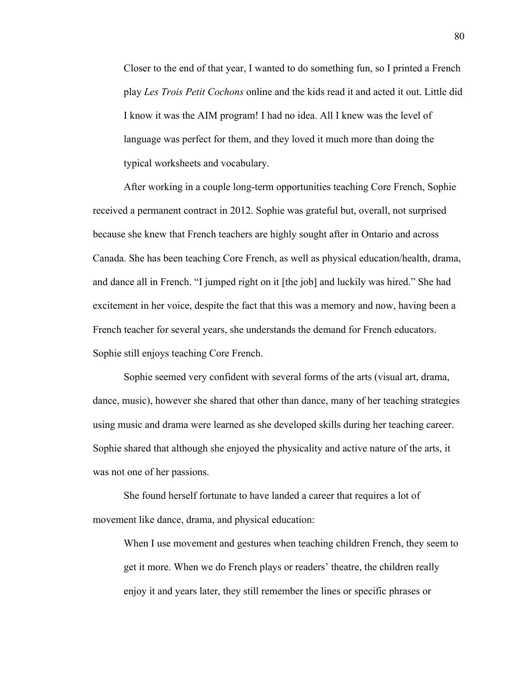Closer to the end of that year, I wanted to do something fun, so I printed a French play *Les Trois Petit Cochons* online and the kids read it and acted it out. Little did I know it was the AIM program! I had no idea. All I knew was the level of language was perfect for them, and they loved it much more than doing the typical worksheets and vocabulary.

After working in a couple long-term opportunities teaching Core French, Sophie received a permanent contract in 2012. Sophie was grateful but, overall, not surprised because she knew that French teachers are highly sought after in Ontario and across Canada. She has been teaching Core French, as well as physical education/health, drama, and dance all in French. "I jumped right on it [the job] and luckily was hired." She had excitement in her voice, despite the fact that this was a memory and now, having been a French teacher for several years, she understands the demand for French educators. Sophie still enjoys teaching Core French.

Sophie seemed very confident with several forms of the arts (visual art, drama, dance, music), however she shared that other than dance, many of her teaching strategies using music and drama were learned as she developed skills during her teaching career. Sophie shared that although she enjoyed the physicality and active nature of the arts, it was not one of her passions.

She found herself fortunate to have landed a career that requires a lot of movement like dance, drama, and physical education:

When I use movement and gestures when teaching children French, they seem to get it more. When we do French plays or readers' theatre, the children really enjoy it and years later, they still remember the lines or specific phrases or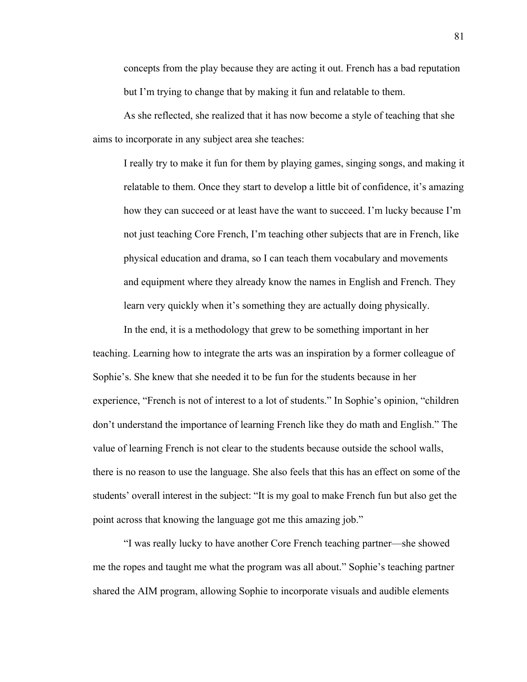concepts from the play because they are acting it out. French has a bad reputation but I'm trying to change that by making it fun and relatable to them.

As she reflected, she realized that it has now become a style of teaching that she aims to incorporate in any subject area she teaches:

I really try to make it fun for them by playing games, singing songs, and making it relatable to them. Once they start to develop a little bit of confidence, it's amazing how they can succeed or at least have the want to succeed. I'm lucky because I'm not just teaching Core French, I'm teaching other subjects that are in French, like physical education and drama, so I can teach them vocabulary and movements and equipment where they already know the names in English and French. They learn very quickly when it's something they are actually doing physically.

In the end, it is a methodology that grew to be something important in her teaching. Learning how to integrate the arts was an inspiration by a former colleague of Sophie's. She knew that she needed it to be fun for the students because in her experience, "French is not of interest to a lot of students." In Sophie's opinion, "children don't understand the importance of learning French like they do math and English." The value of learning French is not clear to the students because outside the school walls, there is no reason to use the language. She also feels that this has an effect on some of the students' overall interest in the subject: "It is my goal to make French fun but also get the point across that knowing the language got me this amazing job."

"I was really lucky to have another Core French teaching partner—she showed me the ropes and taught me what the program was all about." Sophie's teaching partner shared the AIM program, allowing Sophie to incorporate visuals and audible elements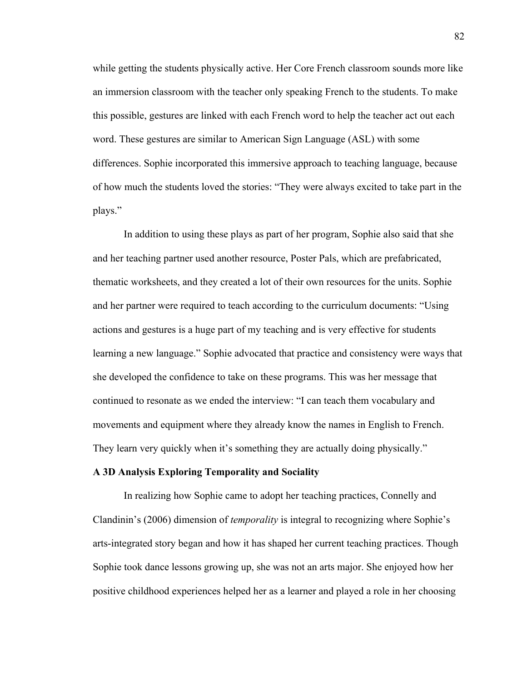while getting the students physically active. Her Core French classroom sounds more like an immersion classroom with the teacher only speaking French to the students. To make this possible, gestures are linked with each French word to help the teacher act out each word. These gestures are similar to American Sign Language (ASL) with some differences. Sophie incorporated this immersive approach to teaching language, because of how much the students loved the stories: "They were always excited to take part in the plays."

In addition to using these plays as part of her program, Sophie also said that she and her teaching partner used another resource, Poster Pals, which are prefabricated, thematic worksheets, and they created a lot of their own resources for the units. Sophie and her partner were required to teach according to the curriculum documents: "Using actions and gestures is a huge part of my teaching and is very effective for students learning a new language." Sophie advocated that practice and consistency were ways that she developed the confidence to take on these programs. This was her message that continued to resonate as we ended the interview: "I can teach them vocabulary and movements and equipment where they already know the names in English to French. They learn very quickly when it's something they are actually doing physically."

#### **A 3D Analysis Exploring Temporality and Sociality**

In realizing how Sophie came to adopt her teaching practices, Connelly and Clandinin's (2006) dimension of *temporality* is integral to recognizing where Sophie's arts-integrated story began and how it has shaped her current teaching practices. Though Sophie took dance lessons growing up, she was not an arts major. She enjoyed how her positive childhood experiences helped her as a learner and played a role in her choosing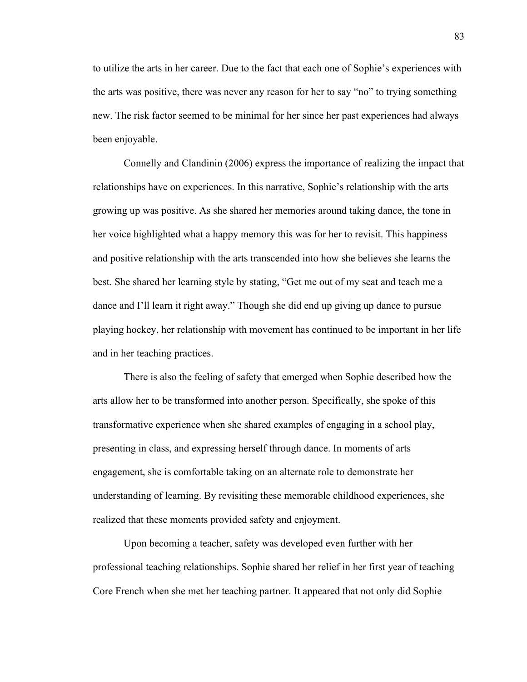to utilize the arts in her career. Due to the fact that each one of Sophie's experiences with the arts was positive, there was never any reason for her to say "no" to trying something new. The risk factor seemed to be minimal for her since her past experiences had always been enjoyable.

Connelly and Clandinin (2006) express the importance of realizing the impact that relationships have on experiences. In this narrative, Sophie's relationship with the arts growing up was positive. As she shared her memories around taking dance, the tone in her voice highlighted what a happy memory this was for her to revisit. This happiness and positive relationship with the arts transcended into how she believes she learns the best. She shared her learning style by stating, "Get me out of my seat and teach me a dance and I'll learn it right away." Though she did end up giving up dance to pursue playing hockey, her relationship with movement has continued to be important in her life and in her teaching practices.

There is also the feeling of safety that emerged when Sophie described how the arts allow her to be transformed into another person. Specifically, she spoke of this transformative experience when she shared examples of engaging in a school play, presenting in class, and expressing herself through dance. In moments of arts engagement, she is comfortable taking on an alternate role to demonstrate her understanding of learning. By revisiting these memorable childhood experiences, she realized that these moments provided safety and enjoyment.

Upon becoming a teacher, safety was developed even further with her professional teaching relationships. Sophie shared her relief in her first year of teaching Core French when she met her teaching partner. It appeared that not only did Sophie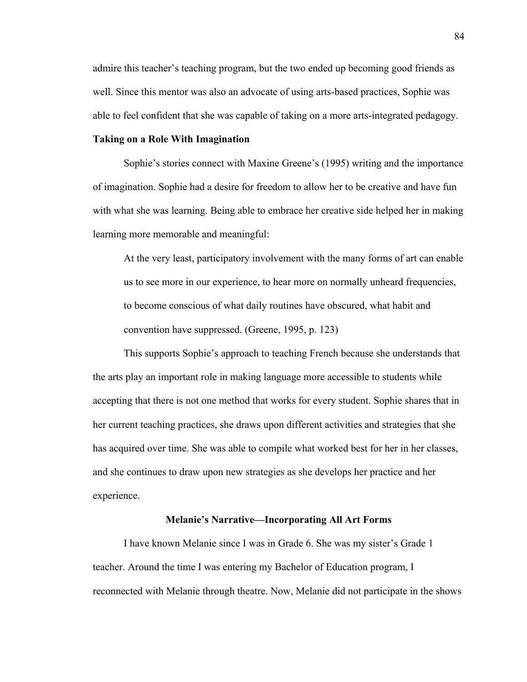admire this teacher's teaching program, but the two ended up becoming good friends as well. Since this mentor was also an advocate of using arts-based practices, Sophie was able to feel confident that she was capable of taking on a more arts-integrated pedagogy.

# **Taking on a Role With Imagination**

Sophie's stories connect with Maxine Greene's (1995) writing and the importance of imagination. Sophie had a desire for freedom to allow her to be creative and have fun with what she was learning. Being able to embrace her creative side helped her in making learning more memorable and meaningful:

At the very least, participatory involvement with the many forms of art can enable us to see more in our experience, to hear more on normally unheard frequencies, to become conscious of what daily routines have obscured, what habit and convention have suppressed. (Greene, 1995, p. 123)

This supports Sophie's approach to teaching French because she understands that the arts play an important role in making language more accessible to students while accepting that there is not one method that works for every student. Sophie shares that in her current teaching practices, she draws upon different activities and strategies that she has acquired over time. She was able to compile what worked best for her in her classes, and she continues to draw upon new strategies as she develops her practice and her experience.

### **Melanie's Narrative—Incorporating All Art Forms**

I have known Melanie since I was in Grade 6. She was my sister's Grade 1 teacher. Around the time I was entering my Bachelor of Education program, I reconnected with Melanie through theatre. Now, Melanie did not participate in the shows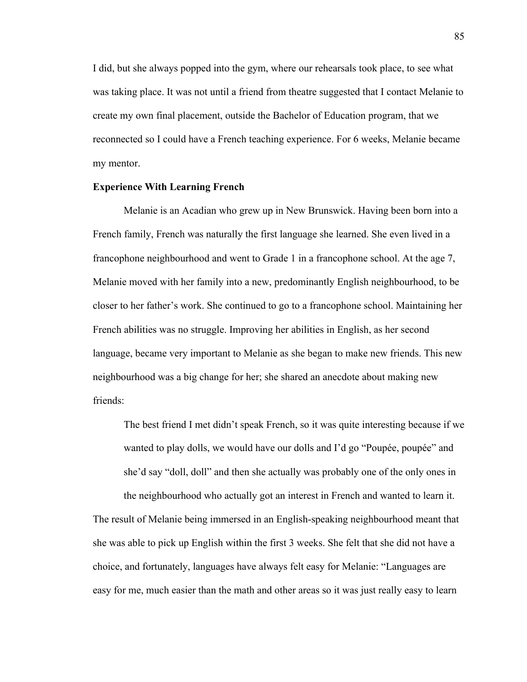I did, but she always popped into the gym, where our rehearsals took place, to see what was taking place. It was not until a friend from theatre suggested that I contact Melanie to create my own final placement, outside the Bachelor of Education program, that we reconnected so I could have a French teaching experience. For 6 weeks, Melanie became my mentor.

## **Experience With Learning French**

Melanie is an Acadian who grew up in New Brunswick. Having been born into a French family, French was naturally the first language she learned. She even lived in a francophone neighbourhood and went to Grade 1 in a francophone school. At the age 7, Melanie moved with her family into a new, predominantly English neighbourhood, to be closer to her father's work. She continued to go to a francophone school. Maintaining her French abilities was no struggle. Improving her abilities in English, as her second language, became very important to Melanie as she began to make new friends. This new neighbourhood was a big change for her; she shared an anecdote about making new friends:

The best friend I met didn't speak French, so it was quite interesting because if we wanted to play dolls, we would have our dolls and I'd go "Poupée, poupée" and she'd say "doll, doll" and then she actually was probably one of the only ones in the neighbourhood who actually got an interest in French and wanted to learn it.

The result of Melanie being immersed in an English-speaking neighbourhood meant that she was able to pick up English within the first 3 weeks. She felt that she did not have a choice, and fortunately, languages have always felt easy for Melanie: "Languages are easy for me, much easier than the math and other areas so it was just really easy to learn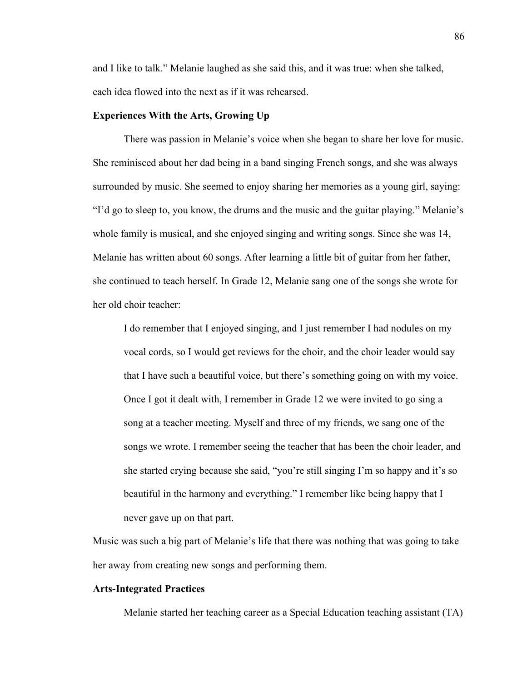and I like to talk." Melanie laughed as she said this, and it was true: when she talked, each idea flowed into the next as if it was rehearsed.

## **Experiences With the Arts, Growing Up**

There was passion in Melanie's voice when she began to share her love for music. She reminisced about her dad being in a band singing French songs, and she was always surrounded by music. She seemed to enjoy sharing her memories as a young girl, saying: "I'd go to sleep to, you know, the drums and the music and the guitar playing." Melanie's whole family is musical, and she enjoyed singing and writing songs. Since she was 14, Melanie has written about 60 songs. After learning a little bit of guitar from her father, she continued to teach herself. In Grade 12, Melanie sang one of the songs she wrote for her old choir teacher:

I do remember that I enjoyed singing, and I just remember I had nodules on my vocal cords, so I would get reviews for the choir, and the choir leader would say that I have such a beautiful voice, but there's something going on with my voice. Once I got it dealt with, I remember in Grade 12 we were invited to go sing a song at a teacher meeting. Myself and three of my friends, we sang one of the songs we wrote. I remember seeing the teacher that has been the choir leader, and she started crying because she said, "you're still singing I'm so happy and it's so beautiful in the harmony and everything." I remember like being happy that I never gave up on that part.

Music was such a big part of Melanie's life that there was nothing that was going to take her away from creating new songs and performing them.

# **Arts-Integrated Practices**

Melanie started her teaching career as a Special Education teaching assistant (TA)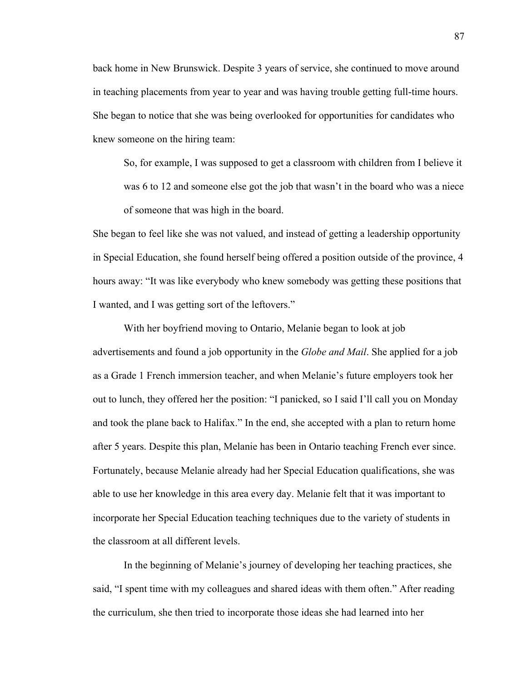back home in New Brunswick. Despite 3 years of service, she continued to move around in teaching placements from year to year and was having trouble getting full-time hours. She began to notice that she was being overlooked for opportunities for candidates who knew someone on the hiring team:

So, for example, I was supposed to get a classroom with children from I believe it was 6 to 12 and someone else got the job that wasn't in the board who was a niece of someone that was high in the board.

She began to feel like she was not valued, and instead of getting a leadership opportunity in Special Education, she found herself being offered a position outside of the province, 4 hours away: "It was like everybody who knew somebody was getting these positions that I wanted, and I was getting sort of the leftovers."

With her boyfriend moving to Ontario, Melanie began to look at job advertisements and found a job opportunity in the *Globe and Mail*. She applied for a job as a Grade 1 French immersion teacher, and when Melanie's future employers took her out to lunch, they offered her the position: "I panicked, so I said I'll call you on Monday and took the plane back to Halifax." In the end, she accepted with a plan to return home after 5 years. Despite this plan, Melanie has been in Ontario teaching French ever since. Fortunately, because Melanie already had her Special Education qualifications, she was able to use her knowledge in this area every day. Melanie felt that it was important to incorporate her Special Education teaching techniques due to the variety of students in the classroom at all different levels.

In the beginning of Melanie's journey of developing her teaching practices, she said, "I spent time with my colleagues and shared ideas with them often." After reading the curriculum, she then tried to incorporate those ideas she had learned into her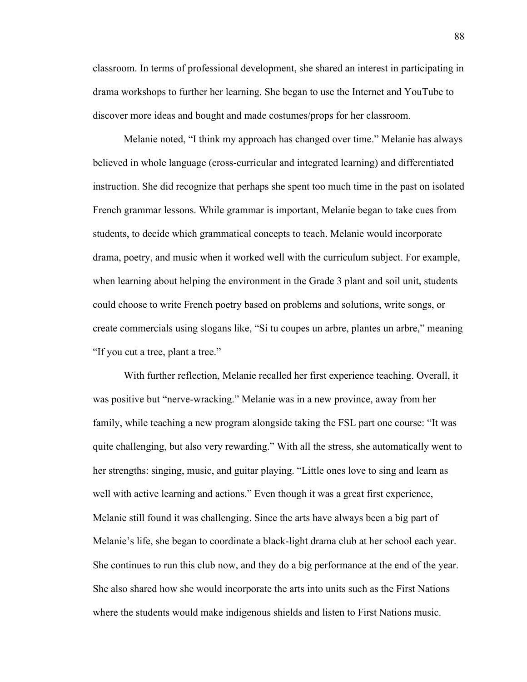classroom. In terms of professional development, she shared an interest in participating in drama workshops to further her learning. She began to use the Internet and YouTube to discover more ideas and bought and made costumes/props for her classroom.

Melanie noted, "I think my approach has changed over time." Melanie has always believed in whole language (cross-curricular and integrated learning) and differentiated instruction. She did recognize that perhaps she spent too much time in the past on isolated French grammar lessons. While grammar is important, Melanie began to take cues from students, to decide which grammatical concepts to teach. Melanie would incorporate drama, poetry, and music when it worked well with the curriculum subject. For example, when learning about helping the environment in the Grade 3 plant and soil unit, students could choose to write French poetry based on problems and solutions, write songs, or create commercials using slogans like, "Si tu coupes un arbre, plantes un arbre," meaning "If you cut a tree, plant a tree."

With further reflection, Melanie recalled her first experience teaching. Overall, it was positive but "nerve-wracking." Melanie was in a new province, away from her family, while teaching a new program alongside taking the FSL part one course: "It was quite challenging, but also very rewarding." With all the stress, she automatically went to her strengths: singing, music, and guitar playing. "Little ones love to sing and learn as well with active learning and actions." Even though it was a great first experience, Melanie still found it was challenging. Since the arts have always been a big part of Melanie's life, she began to coordinate a black-light drama club at her school each year. She continues to run this club now, and they do a big performance at the end of the year. She also shared how she would incorporate the arts into units such as the First Nations where the students would make indigenous shields and listen to First Nations music.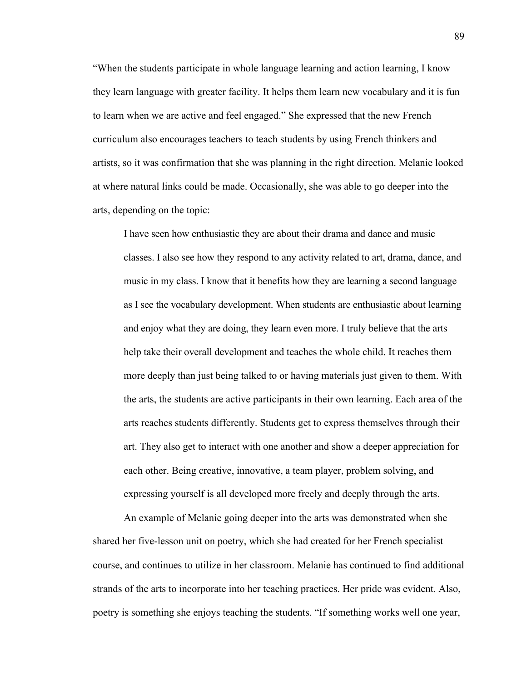"When the students participate in whole language learning and action learning, I know they learn language with greater facility. It helps them learn new vocabulary and it is fun to learn when we are active and feel engaged." She expressed that the new French curriculum also encourages teachers to teach students by using French thinkers and artists, so it was confirmation that she was planning in the right direction. Melanie looked at where natural links could be made. Occasionally, she was able to go deeper into the arts, depending on the topic:

I have seen how enthusiastic they are about their drama and dance and music classes. I also see how they respond to any activity related to art, drama, dance, and music in my class. I know that it benefits how they are learning a second language as I see the vocabulary development. When students are enthusiastic about learning and enjoy what they are doing, they learn even more. I truly believe that the arts help take their overall development and teaches the whole child. It reaches them more deeply than just being talked to or having materials just given to them. With the arts, the students are active participants in their own learning. Each area of the arts reaches students differently. Students get to express themselves through their art. They also get to interact with one another and show a deeper appreciation for each other. Being creative, innovative, a team player, problem solving, and expressing yourself is all developed more freely and deeply through the arts.

An example of Melanie going deeper into the arts was demonstrated when she shared her five-lesson unit on poetry, which she had created for her French specialist course, and continues to utilize in her classroom. Melanie has continued to find additional strands of the arts to incorporate into her teaching practices. Her pride was evident. Also, poetry is something she enjoys teaching the students. "If something works well one year,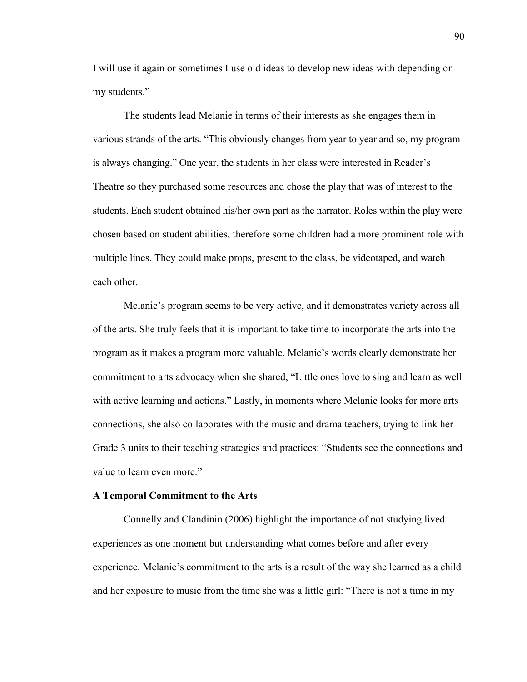I will use it again or sometimes I use old ideas to develop new ideas with depending on my students."

The students lead Melanie in terms of their interests as she engages them in various strands of the arts. "This obviously changes from year to year and so, my program is always changing." One year, the students in her class were interested in Reader's Theatre so they purchased some resources and chose the play that was of interest to the students. Each student obtained his/her own part as the narrator. Roles within the play were chosen based on student abilities, therefore some children had a more prominent role with multiple lines. They could make props, present to the class, be videotaped, and watch each other.

Melanie's program seems to be very active, and it demonstrates variety across all of the arts. She truly feels that it is important to take time to incorporate the arts into the program as it makes a program more valuable. Melanie's words clearly demonstrate her commitment to arts advocacy when she shared, "Little ones love to sing and learn as well with active learning and actions." Lastly, in moments where Melanie looks for more arts connections, she also collaborates with the music and drama teachers, trying to link her Grade 3 units to their teaching strategies and practices: "Students see the connections and value to learn even more."

### **A Temporal Commitment to the Arts**

Connelly and Clandinin (2006) highlight the importance of not studying lived experiences as one moment but understanding what comes before and after every experience. Melanie's commitment to the arts is a result of the way she learned as a child and her exposure to music from the time she was a little girl: "There is not a time in my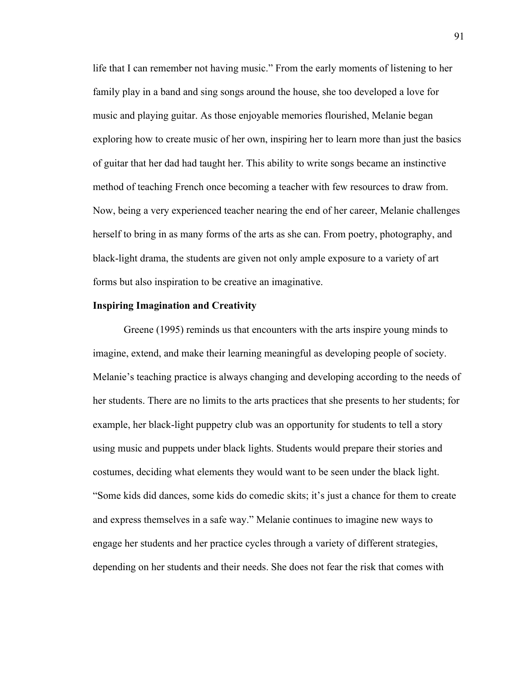life that I can remember not having music." From the early moments of listening to her family play in a band and sing songs around the house, she too developed a love for music and playing guitar. As those enjoyable memories flourished, Melanie began exploring how to create music of her own, inspiring her to learn more than just the basics of guitar that her dad had taught her. This ability to write songs became an instinctive method of teaching French once becoming a teacher with few resources to draw from. Now, being a very experienced teacher nearing the end of her career, Melanie challenges herself to bring in as many forms of the arts as she can. From poetry, photography, and black-light drama, the students are given not only ample exposure to a variety of art forms but also inspiration to be creative an imaginative.

### **Inspiring Imagination and Creativity**

Greene (1995) reminds us that encounters with the arts inspire young minds to imagine, extend, and make their learning meaningful as developing people of society. Melanie's teaching practice is always changing and developing according to the needs of her students. There are no limits to the arts practices that she presents to her students; for example, her black-light puppetry club was an opportunity for students to tell a story using music and puppets under black lights. Students would prepare their stories and costumes, deciding what elements they would want to be seen under the black light. "Some kids did dances, some kids do comedic skits; it's just a chance for them to create and express themselves in a safe way." Melanie continues to imagine new ways to engage her students and her practice cycles through a variety of different strategies, depending on her students and their needs. She does not fear the risk that comes with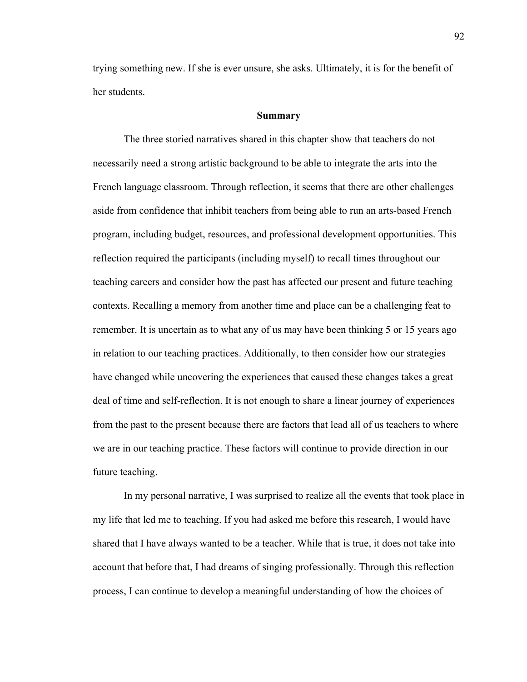trying something new. If she is ever unsure, she asks. Ultimately, it is for the benefit of her students.

#### **Summary**

The three storied narratives shared in this chapter show that teachers do not necessarily need a strong artistic background to be able to integrate the arts into the French language classroom. Through reflection, it seems that there are other challenges aside from confidence that inhibit teachers from being able to run an arts-based French program, including budget, resources, and professional development opportunities. This reflection required the participants (including myself) to recall times throughout our teaching careers and consider how the past has affected our present and future teaching contexts. Recalling a memory from another time and place can be a challenging feat to remember. It is uncertain as to what any of us may have been thinking 5 or 15 years ago in relation to our teaching practices. Additionally, to then consider how our strategies have changed while uncovering the experiences that caused these changes takes a great deal of time and self-reflection. It is not enough to share a linear journey of experiences from the past to the present because there are factors that lead all of us teachers to where we are in our teaching practice. These factors will continue to provide direction in our future teaching.

In my personal narrative, I was surprised to realize all the events that took place in my life that led me to teaching. If you had asked me before this research, I would have shared that I have always wanted to be a teacher. While that is true, it does not take into account that before that, I had dreams of singing professionally. Through this reflection process, I can continue to develop a meaningful understanding of how the choices of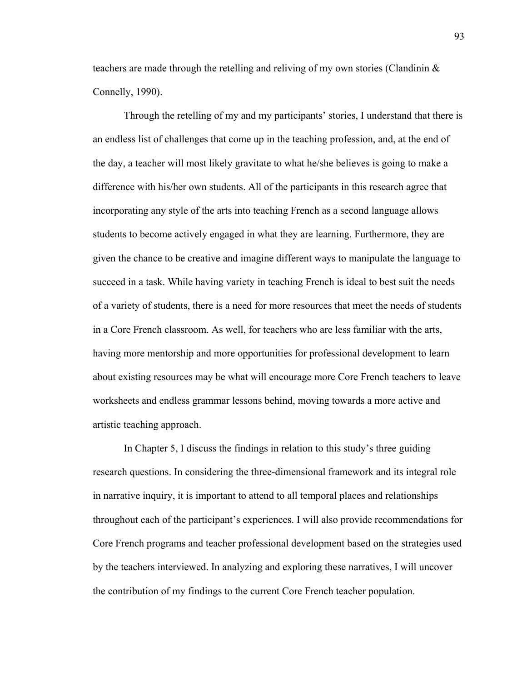teachers are made through the retelling and reliving of my own stories (Clandinin  $\&$ Connelly, 1990).

Through the retelling of my and my participants' stories, I understand that there is an endless list of challenges that come up in the teaching profession, and, at the end of the day, a teacher will most likely gravitate to what he/she believes is going to make a difference with his/her own students. All of the participants in this research agree that incorporating any style of the arts into teaching French as a second language allows students to become actively engaged in what they are learning. Furthermore, they are given the chance to be creative and imagine different ways to manipulate the language to succeed in a task. While having variety in teaching French is ideal to best suit the needs of a variety of students, there is a need for more resources that meet the needs of students in a Core French classroom. As well, for teachers who are less familiar with the arts, having more mentorship and more opportunities for professional development to learn about existing resources may be what will encourage more Core French teachers to leave worksheets and endless grammar lessons behind, moving towards a more active and artistic teaching approach.

In Chapter 5, I discuss the findings in relation to this study's three guiding research questions. In considering the three-dimensional framework and its integral role in narrative inquiry, it is important to attend to all temporal places and relationships throughout each of the participant's experiences. I will also provide recommendations for Core French programs and teacher professional development based on the strategies used by the teachers interviewed. In analyzing and exploring these narratives, I will uncover the contribution of my findings to the current Core French teacher population.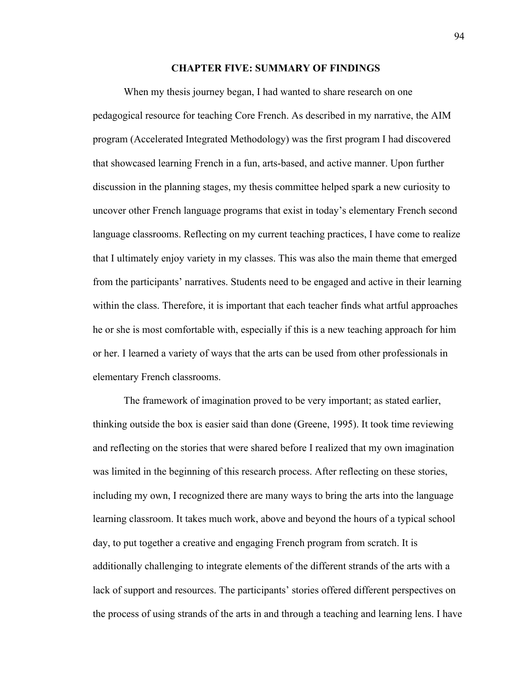### **CHAPTER FIVE: SUMMARY OF FINDINGS**

When my thesis journey began, I had wanted to share research on one pedagogical resource for teaching Core French. As described in my narrative, the AIM program (Accelerated Integrated Methodology) was the first program I had discovered that showcased learning French in a fun, arts-based, and active manner. Upon further discussion in the planning stages, my thesis committee helped spark a new curiosity to uncover other French language programs that exist in today's elementary French second language classrooms. Reflecting on my current teaching practices, I have come to realize that I ultimately enjoy variety in my classes. This was also the main theme that emerged from the participants' narratives. Students need to be engaged and active in their learning within the class. Therefore, it is important that each teacher finds what artful approaches he or she is most comfortable with, especially if this is a new teaching approach for him or her. I learned a variety of ways that the arts can be used from other professionals in elementary French classrooms.

The framework of imagination proved to be very important; as stated earlier, thinking outside the box is easier said than done (Greene, 1995). It took time reviewing and reflecting on the stories that were shared before I realized that my own imagination was limited in the beginning of this research process. After reflecting on these stories, including my own, I recognized there are many ways to bring the arts into the language learning classroom. It takes much work, above and beyond the hours of a typical school day, to put together a creative and engaging French program from scratch. It is additionally challenging to integrate elements of the different strands of the arts with a lack of support and resources. The participants' stories offered different perspectives on the process of using strands of the arts in and through a teaching and learning lens. I have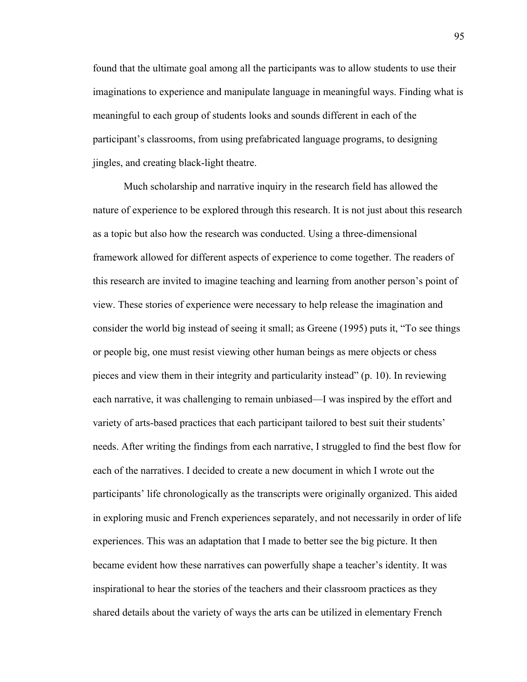found that the ultimate goal among all the participants was to allow students to use their imaginations to experience and manipulate language in meaningful ways. Finding what is meaningful to each group of students looks and sounds different in each of the participant's classrooms, from using prefabricated language programs, to designing jingles, and creating black-light theatre.

Much scholarship and narrative inquiry in the research field has allowed the nature of experience to be explored through this research. It is not just about this research as a topic but also how the research was conducted. Using a three-dimensional framework allowed for different aspects of experience to come together. The readers of this research are invited to imagine teaching and learning from another person's point of view. These stories of experience were necessary to help release the imagination and consider the world big instead of seeing it small; as Greene (1995) puts it, "To see things or people big, one must resist viewing other human beings as mere objects or chess pieces and view them in their integrity and particularity instead" (p. 10). In reviewing each narrative, it was challenging to remain unbiased—I was inspired by the effort and variety of arts-based practices that each participant tailored to best suit their students' needs. After writing the findings from each narrative, I struggled to find the best flow for each of the narratives. I decided to create a new document in which I wrote out the participants' life chronologically as the transcripts were originally organized. This aided in exploring music and French experiences separately, and not necessarily in order of life experiences. This was an adaptation that I made to better see the big picture. It then became evident how these narratives can powerfully shape a teacher's identity. It was inspirational to hear the stories of the teachers and their classroom practices as they shared details about the variety of ways the arts can be utilized in elementary French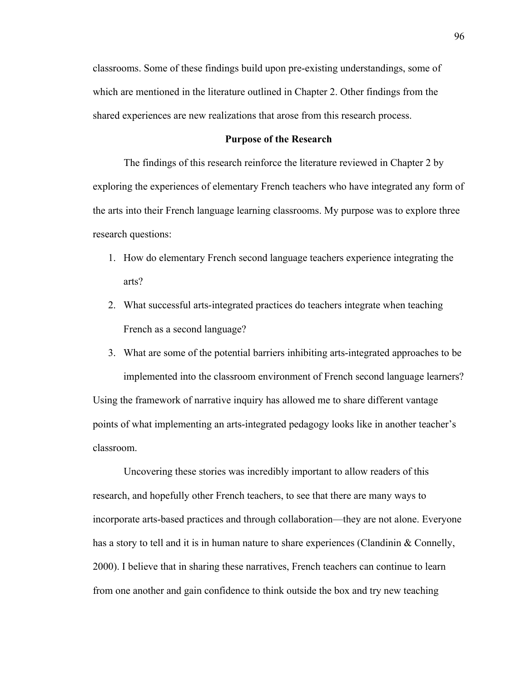classrooms. Some of these findings build upon pre-existing understandings, some of which are mentioned in the literature outlined in Chapter 2. Other findings from the shared experiences are new realizations that arose from this research process.

## **Purpose of the Research**

The findings of this research reinforce the literature reviewed in Chapter 2 by exploring the experiences of elementary French teachers who have integrated any form of the arts into their French language learning classrooms. My purpose was to explore three research questions:

- 1. How do elementary French second language teachers experience integrating the arts?
- 2. What successful arts-integrated practices do teachers integrate when teaching French as a second language?
- 3. What are some of the potential barriers inhibiting arts-integrated approaches to be implemented into the classroom environment of French second language learners?

Using the framework of narrative inquiry has allowed me to share different vantage points of what implementing an arts-integrated pedagogy looks like in another teacher's classroom.

Uncovering these stories was incredibly important to allow readers of this research, and hopefully other French teachers, to see that there are many ways to incorporate arts-based practices and through collaboration—they are not alone. Everyone has a story to tell and it is in human nature to share experiences (Clandinin & Connelly, 2000). I believe that in sharing these narratives, French teachers can continue to learn from one another and gain confidence to think outside the box and try new teaching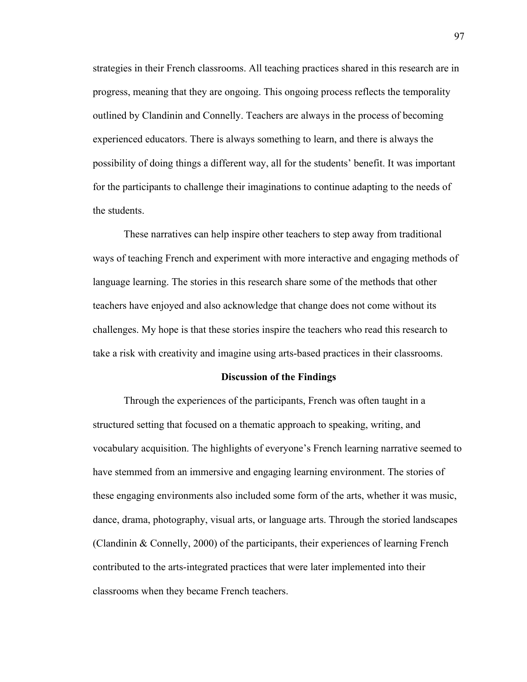strategies in their French classrooms. All teaching practices shared in this research are in progress, meaning that they are ongoing. This ongoing process reflects the temporality outlined by Clandinin and Connelly. Teachers are always in the process of becoming experienced educators. There is always something to learn, and there is always the possibility of doing things a different way, all for the students' benefit. It was important for the participants to challenge their imaginations to continue adapting to the needs of the students.

These narratives can help inspire other teachers to step away from traditional ways of teaching French and experiment with more interactive and engaging methods of language learning. The stories in this research share some of the methods that other teachers have enjoyed and also acknowledge that change does not come without its challenges. My hope is that these stories inspire the teachers who read this research to take a risk with creativity and imagine using arts-based practices in their classrooms.

#### **Discussion of the Findings**

Through the experiences of the participants, French was often taught in a structured setting that focused on a thematic approach to speaking, writing, and vocabulary acquisition. The highlights of everyone's French learning narrative seemed to have stemmed from an immersive and engaging learning environment. The stories of these engaging environments also included some form of the arts, whether it was music, dance, drama, photography, visual arts, or language arts. Through the storied landscapes (Clandinin & Connelly, 2000) of the participants, their experiences of learning French contributed to the arts-integrated practices that were later implemented into their classrooms when they became French teachers.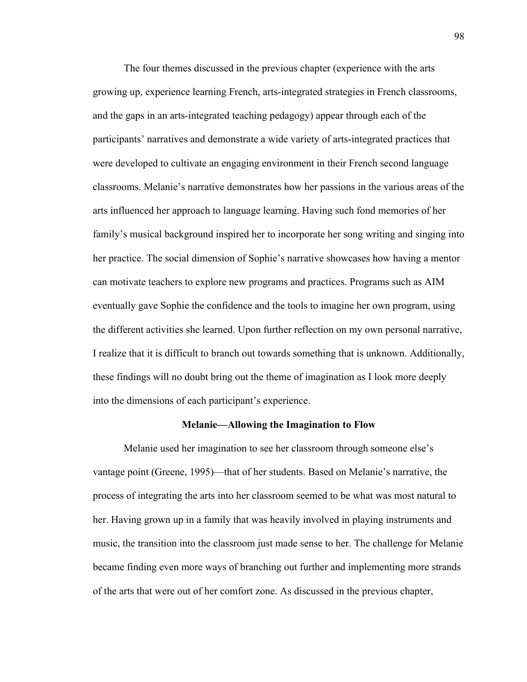The four themes discussed in the previous chapter (experience with the arts growing up, experience learning French, arts-integrated strategies in French classrooms, and the gaps in an arts-integrated teaching pedagogy) appear through each of the participants' narratives and demonstrate a wide variety of arts-integrated practices that were developed to cultivate an engaging environment in their French second language classrooms. Melanie's narrative demonstrates how her passions in the various areas of the arts influenced her approach to language learning. Having such fond memories of her family's musical background inspired her to incorporate her song writing and singing into her practice. The social dimension of Sophie's narrative showcases how having a mentor can motivate teachers to explore new programs and practices. Programs such as AIM eventually gave Sophie the confidence and the tools to imagine her own program, using the different activities she learned. Upon further reflection on my own personal narrative, I realize that it is difficult to branch out towards something that is unknown. Additionally, these findings will no doubt bring out the theme of imagination as I look more deeply into the dimensions of each participant's experience.

# **Melanie—Allowing the Imagination to Flow**

Melanie used her imagination to see her classroom through someone else's vantage point (Greene, 1995)—that of her students. Based on Melanie's narrative, the process of integrating the arts into her classroom seemed to be what was most natural to her. Having grown up in a family that was heavily involved in playing instruments and music, the transition into the classroom just made sense to her. The challenge for Melanie became finding even more ways of branching out further and implementing more strands of the arts that were out of her comfort zone. As discussed in the previous chapter,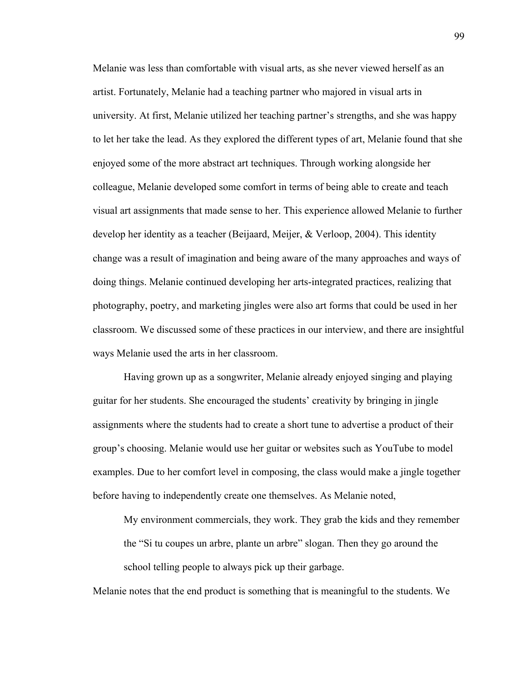Melanie was less than comfortable with visual arts, as she never viewed herself as an artist. Fortunately, Melanie had a teaching partner who majored in visual arts in university. At first, Melanie utilized her teaching partner's strengths, and she was happy to let her take the lead. As they explored the different types of art, Melanie found that she enjoyed some of the more abstract art techniques. Through working alongside her colleague, Melanie developed some comfort in terms of being able to create and teach visual art assignments that made sense to her. This experience allowed Melanie to further develop her identity as a teacher (Beijaard, Meijer, & Verloop, 2004). This identity change was a result of imagination and being aware of the many approaches and ways of doing things. Melanie continued developing her arts-integrated practices, realizing that photography, poetry, and marketing jingles were also art forms that could be used in her classroom. We discussed some of these practices in our interview, and there are insightful ways Melanie used the arts in her classroom.

Having grown up as a songwriter, Melanie already enjoyed singing and playing guitar for her students. She encouraged the students' creativity by bringing in jingle assignments where the students had to create a short tune to advertise a product of their group's choosing. Melanie would use her guitar or websites such as YouTube to model examples. Due to her comfort level in composing, the class would make a jingle together before having to independently create one themselves. As Melanie noted,

My environment commercials, they work. They grab the kids and they remember the "Si tu coupes un arbre, plante un arbre" slogan. Then they go around the school telling people to always pick up their garbage.

Melanie notes that the end product is something that is meaningful to the students. We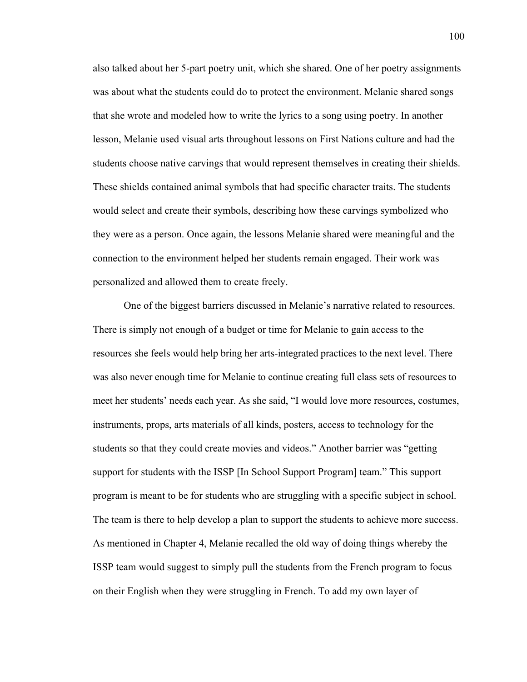also talked about her 5-part poetry unit, which she shared. One of her poetry assignments was about what the students could do to protect the environment. Melanie shared songs that she wrote and modeled how to write the lyrics to a song using poetry. In another lesson, Melanie used visual arts throughout lessons on First Nations culture and had the students choose native carvings that would represent themselves in creating their shields. These shields contained animal symbols that had specific character traits. The students would select and create their symbols, describing how these carvings symbolized who they were as a person. Once again, the lessons Melanie shared were meaningful and the connection to the environment helped her students remain engaged. Their work was personalized and allowed them to create freely.

One of the biggest barriers discussed in Melanie's narrative related to resources. There is simply not enough of a budget or time for Melanie to gain access to the resources she feels would help bring her arts-integrated practices to the next level. There was also never enough time for Melanie to continue creating full class sets of resources to meet her students' needs each year. As she said, "I would love more resources, costumes, instruments, props, arts materials of all kinds, posters, access to technology for the students so that they could create movies and videos." Another barrier was "getting support for students with the ISSP [In School Support Program] team." This support program is meant to be for students who are struggling with a specific subject in school. The team is there to help develop a plan to support the students to achieve more success. As mentioned in Chapter 4, Melanie recalled the old way of doing things whereby the ISSP team would suggest to simply pull the students from the French program to focus on their English when they were struggling in French. To add my own layer of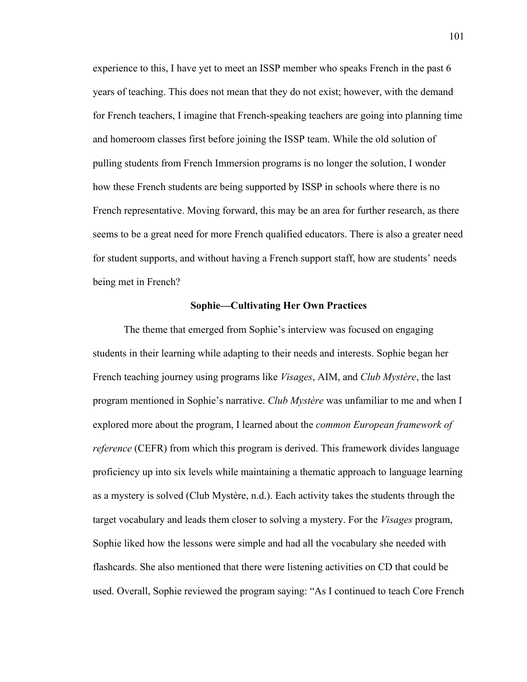experience to this, I have yet to meet an ISSP member who speaks French in the past 6 years of teaching. This does not mean that they do not exist; however, with the demand for French teachers, I imagine that French-speaking teachers are going into planning time and homeroom classes first before joining the ISSP team. While the old solution of pulling students from French Immersion programs is no longer the solution, I wonder how these French students are being supported by ISSP in schools where there is no French representative. Moving forward, this may be an area for further research, as there seems to be a great need for more French qualified educators. There is also a greater need for student supports, and without having a French support staff, how are students' needs being met in French?

### **Sophie—Cultivating Her Own Practices**

The theme that emerged from Sophie's interview was focused on engaging students in their learning while adapting to their needs and interests. Sophie began her French teaching journey using programs like *Visages*, AIM, and *Club Mystère*, the last program mentioned in Sophie's narrative. *Club Mystère* was unfamiliar to me and when I explored more about the program, I learned about the *common European framework of reference* (CEFR) from which this program is derived. This framework divides language proficiency up into six levels while maintaining a thematic approach to language learning as a mystery is solved (Club Mystère, n.d.). Each activity takes the students through the target vocabulary and leads them closer to solving a mystery. For the *Visages* program, Sophie liked how the lessons were simple and had all the vocabulary she needed with flashcards. She also mentioned that there were listening activities on CD that could be used. Overall, Sophie reviewed the program saying: "As I continued to teach Core French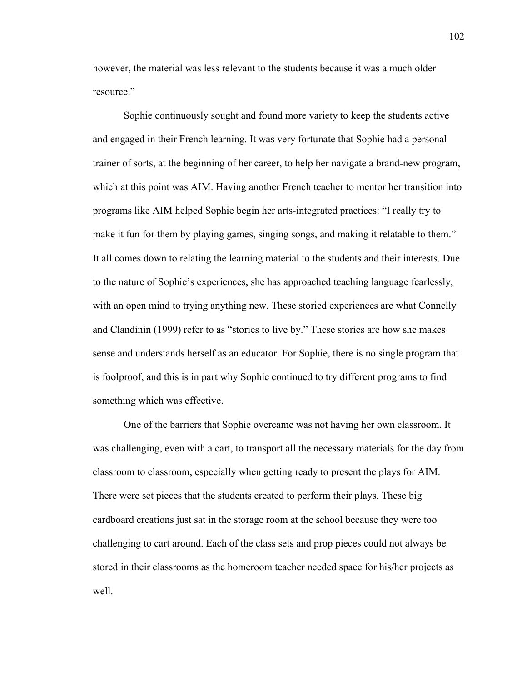however, the material was less relevant to the students because it was a much older resource."

Sophie continuously sought and found more variety to keep the students active and engaged in their French learning. It was very fortunate that Sophie had a personal trainer of sorts, at the beginning of her career, to help her navigate a brand-new program, which at this point was AIM. Having another French teacher to mentor her transition into programs like AIM helped Sophie begin her arts-integrated practices: "I really try to make it fun for them by playing games, singing songs, and making it relatable to them." It all comes down to relating the learning material to the students and their interests. Due to the nature of Sophie's experiences, she has approached teaching language fearlessly, with an open mind to trying anything new. These storied experiences are what Connelly and Clandinin (1999) refer to as "stories to live by." These stories are how she makes sense and understands herself as an educator. For Sophie, there is no single program that is foolproof, and this is in part why Sophie continued to try different programs to find something which was effective.

One of the barriers that Sophie overcame was not having her own classroom. It was challenging, even with a cart, to transport all the necessary materials for the day from classroom to classroom, especially when getting ready to present the plays for AIM. There were set pieces that the students created to perform their plays. These big cardboard creations just sat in the storage room at the school because they were too challenging to cart around. Each of the class sets and prop pieces could not always be stored in their classrooms as the homeroom teacher needed space for his/her projects as well.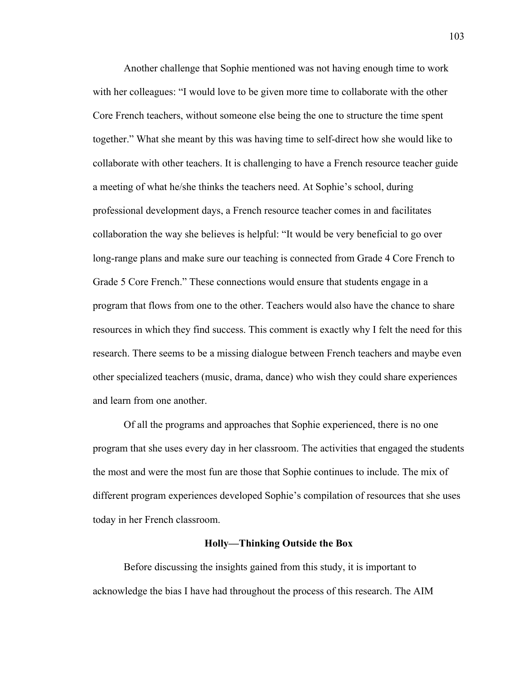Another challenge that Sophie mentioned was not having enough time to work with her colleagues: "I would love to be given more time to collaborate with the other Core French teachers, without someone else being the one to structure the time spent together." What she meant by this was having time to self-direct how she would like to collaborate with other teachers. It is challenging to have a French resource teacher guide a meeting of what he/she thinks the teachers need. At Sophie's school, during professional development days, a French resource teacher comes in and facilitates collaboration the way she believes is helpful: "It would be very beneficial to go over long-range plans and make sure our teaching is connected from Grade 4 Core French to Grade 5 Core French." These connections would ensure that students engage in a program that flows from one to the other. Teachers would also have the chance to share resources in which they find success. This comment is exactly why I felt the need for this research. There seems to be a missing dialogue between French teachers and maybe even other specialized teachers (music, drama, dance) who wish they could share experiences and learn from one another.

Of all the programs and approaches that Sophie experienced, there is no one program that she uses every day in her classroom. The activities that engaged the students the most and were the most fun are those that Sophie continues to include. The mix of different program experiences developed Sophie's compilation of resources that she uses today in her French classroom.

#### **Holly—Thinking Outside the Box**

Before discussing the insights gained from this study, it is important to acknowledge the bias I have had throughout the process of this research. The AIM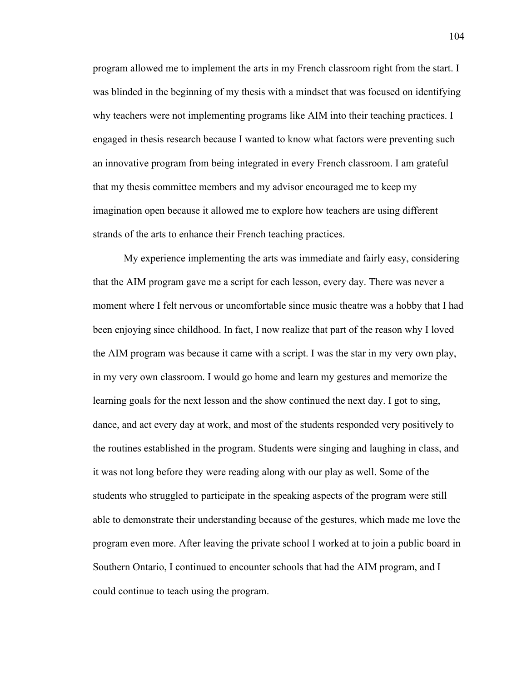program allowed me to implement the arts in my French classroom right from the start. I was blinded in the beginning of my thesis with a mindset that was focused on identifying why teachers were not implementing programs like AIM into their teaching practices. I engaged in thesis research because I wanted to know what factors were preventing such an innovative program from being integrated in every French classroom. I am grateful that my thesis committee members and my advisor encouraged me to keep my imagination open because it allowed me to explore how teachers are using different strands of the arts to enhance their French teaching practices.

My experience implementing the arts was immediate and fairly easy, considering that the AIM program gave me a script for each lesson, every day. There was never a moment where I felt nervous or uncomfortable since music theatre was a hobby that I had been enjoying since childhood. In fact, I now realize that part of the reason why I loved the AIM program was because it came with a script. I was the star in my very own play, in my very own classroom. I would go home and learn my gestures and memorize the learning goals for the next lesson and the show continued the next day. I got to sing, dance, and act every day at work, and most of the students responded very positively to the routines established in the program. Students were singing and laughing in class, and it was not long before they were reading along with our play as well. Some of the students who struggled to participate in the speaking aspects of the program were still able to demonstrate their understanding because of the gestures, which made me love the program even more. After leaving the private school I worked at to join a public board in Southern Ontario, I continued to encounter schools that had the AIM program, and I could continue to teach using the program.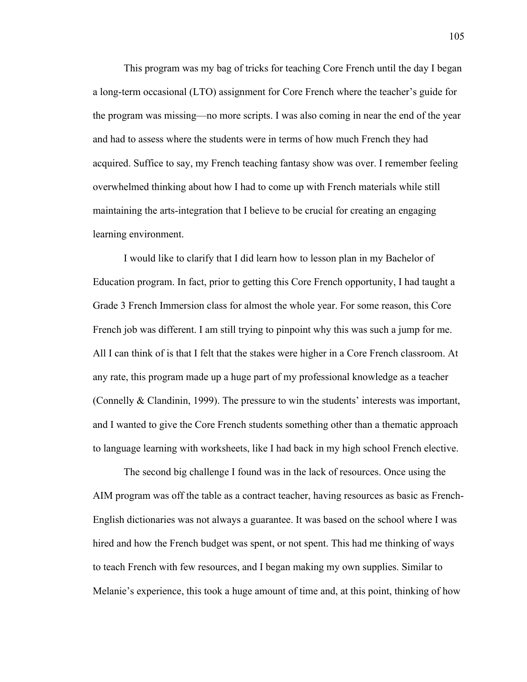This program was my bag of tricks for teaching Core French until the day I began a long-term occasional (LTO) assignment for Core French where the teacher's guide for the program was missing—no more scripts. I was also coming in near the end of the year and had to assess where the students were in terms of how much French they had acquired. Suffice to say, my French teaching fantasy show was over. I remember feeling overwhelmed thinking about how I had to come up with French materials while still maintaining the arts-integration that I believe to be crucial for creating an engaging learning environment.

I would like to clarify that I did learn how to lesson plan in my Bachelor of Education program. In fact, prior to getting this Core French opportunity, I had taught a Grade 3 French Immersion class for almost the whole year. For some reason, this Core French job was different. I am still trying to pinpoint why this was such a jump for me. All I can think of is that I felt that the stakes were higher in a Core French classroom. At any rate, this program made up a huge part of my professional knowledge as a teacher (Connelly & Clandinin, 1999). The pressure to win the students' interests was important, and I wanted to give the Core French students something other than a thematic approach to language learning with worksheets, like I had back in my high school French elective.

The second big challenge I found was in the lack of resources. Once using the AIM program was off the table as a contract teacher, having resources as basic as French-English dictionaries was not always a guarantee. It was based on the school where I was hired and how the French budget was spent, or not spent. This had me thinking of ways to teach French with few resources, and I began making my own supplies. Similar to Melanie's experience, this took a huge amount of time and, at this point, thinking of how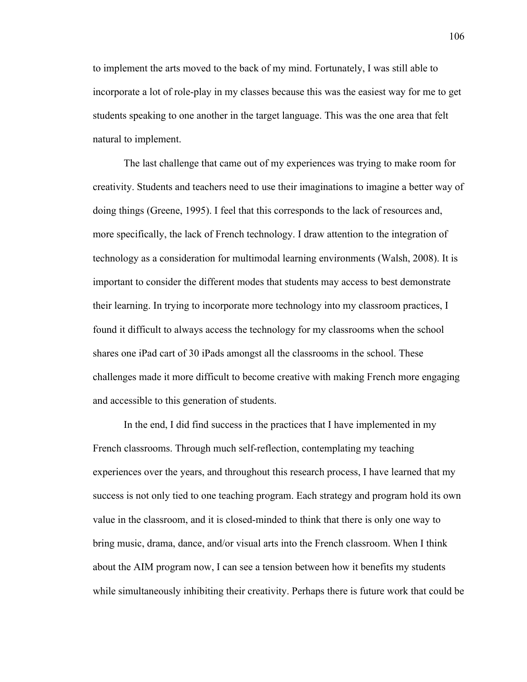to implement the arts moved to the back of my mind. Fortunately, I was still able to incorporate a lot of role-play in my classes because this was the easiest way for me to get students speaking to one another in the target language. This was the one area that felt natural to implement.

The last challenge that came out of my experiences was trying to make room for creativity. Students and teachers need to use their imaginations to imagine a better way of doing things (Greene, 1995). I feel that this corresponds to the lack of resources and, more specifically, the lack of French technology. I draw attention to the integration of technology as a consideration for multimodal learning environments (Walsh, 2008). It is important to consider the different modes that students may access to best demonstrate their learning. In trying to incorporate more technology into my classroom practices, I found it difficult to always access the technology for my classrooms when the school shares one iPad cart of 30 iPads amongst all the classrooms in the school. These challenges made it more difficult to become creative with making French more engaging and accessible to this generation of students.

In the end, I did find success in the practices that I have implemented in my French classrooms. Through much self-reflection, contemplating my teaching experiences over the years, and throughout this research process, I have learned that my success is not only tied to one teaching program. Each strategy and program hold its own value in the classroom, and it is closed-minded to think that there is only one way to bring music, drama, dance, and/or visual arts into the French classroom. When I think about the AIM program now, I can see a tension between how it benefits my students while simultaneously inhibiting their creativity. Perhaps there is future work that could be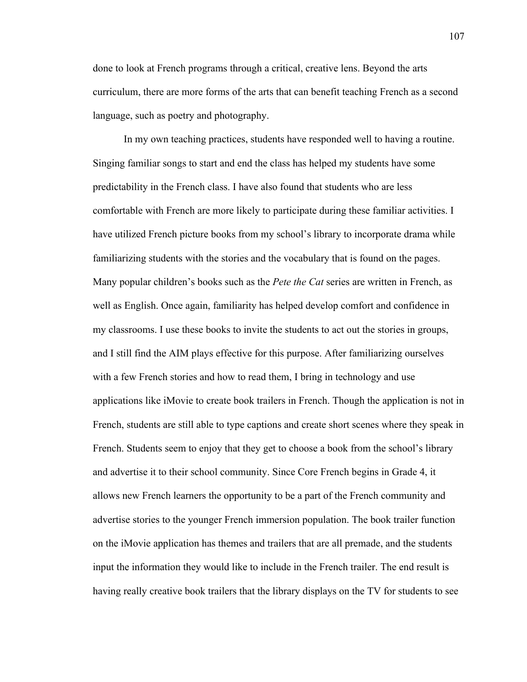done to look at French programs through a critical, creative lens. Beyond the arts curriculum, there are more forms of the arts that can benefit teaching French as a second language, such as poetry and photography.

In my own teaching practices, students have responded well to having a routine. Singing familiar songs to start and end the class has helped my students have some predictability in the French class. I have also found that students who are less comfortable with French are more likely to participate during these familiar activities. I have utilized French picture books from my school's library to incorporate drama while familiarizing students with the stories and the vocabulary that is found on the pages. Many popular children's books such as the *Pete the Cat* series are written in French, as well as English. Once again, familiarity has helped develop comfort and confidence in my classrooms. I use these books to invite the students to act out the stories in groups, and I still find the AIM plays effective for this purpose. After familiarizing ourselves with a few French stories and how to read them, I bring in technology and use applications like iMovie to create book trailers in French. Though the application is not in French, students are still able to type captions and create short scenes where they speak in French. Students seem to enjoy that they get to choose a book from the school's library and advertise it to their school community. Since Core French begins in Grade 4, it allows new French learners the opportunity to be a part of the French community and advertise stories to the younger French immersion population. The book trailer function on the iMovie application has themes and trailers that are all premade, and the students input the information they would like to include in the French trailer. The end result is having really creative book trailers that the library displays on the TV for students to see

107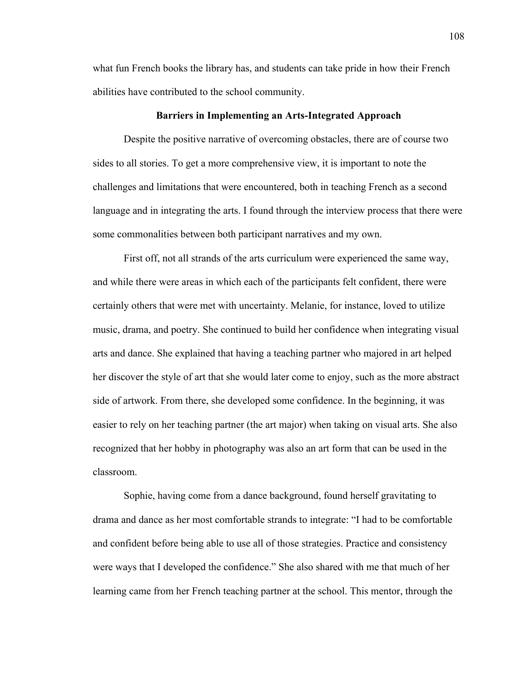what fun French books the library has, and students can take pride in how their French abilities have contributed to the school community.

### **Barriers in Implementing an Arts-Integrated Approach**

Despite the positive narrative of overcoming obstacles, there are of course two sides to all stories. To get a more comprehensive view, it is important to note the challenges and limitations that were encountered, both in teaching French as a second language and in integrating the arts. I found through the interview process that there were some commonalities between both participant narratives and my own.

First off, not all strands of the arts curriculum were experienced the same way, and while there were areas in which each of the participants felt confident, there were certainly others that were met with uncertainty. Melanie, for instance, loved to utilize music, drama, and poetry. She continued to build her confidence when integrating visual arts and dance. She explained that having a teaching partner who majored in art helped her discover the style of art that she would later come to enjoy, such as the more abstract side of artwork. From there, she developed some confidence. In the beginning, it was easier to rely on her teaching partner (the art major) when taking on visual arts. She also recognized that her hobby in photography was also an art form that can be used in the classroom.

Sophie, having come from a dance background, found herself gravitating to drama and dance as her most comfortable strands to integrate: "I had to be comfortable and confident before being able to use all of those strategies. Practice and consistency were ways that I developed the confidence." She also shared with me that much of her learning came from her French teaching partner at the school. This mentor, through the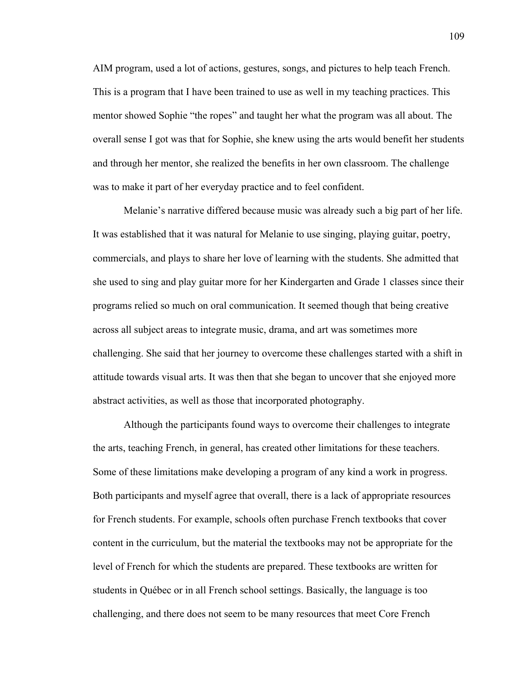AIM program, used a lot of actions, gestures, songs, and pictures to help teach French. This is a program that I have been trained to use as well in my teaching practices. This mentor showed Sophie "the ropes" and taught her what the program was all about. The overall sense I got was that for Sophie, she knew using the arts would benefit her students and through her mentor, she realized the benefits in her own classroom. The challenge was to make it part of her everyday practice and to feel confident.

Melanie's narrative differed because music was already such a big part of her life. It was established that it was natural for Melanie to use singing, playing guitar, poetry, commercials, and plays to share her love of learning with the students. She admitted that she used to sing and play guitar more for her Kindergarten and Grade 1 classes since their programs relied so much on oral communication. It seemed though that being creative across all subject areas to integrate music, drama, and art was sometimes more challenging. She said that her journey to overcome these challenges started with a shift in attitude towards visual arts. It was then that she began to uncover that she enjoyed more abstract activities, as well as those that incorporated photography.

Although the participants found ways to overcome their challenges to integrate the arts, teaching French, in general, has created other limitations for these teachers. Some of these limitations make developing a program of any kind a work in progress. Both participants and myself agree that overall, there is a lack of appropriate resources for French students. For example, schools often purchase French textbooks that cover content in the curriculum, but the material the textbooks may not be appropriate for the level of French for which the students are prepared. These textbooks are written for students in Québec or in all French school settings. Basically, the language is too challenging, and there does not seem to be many resources that meet Core French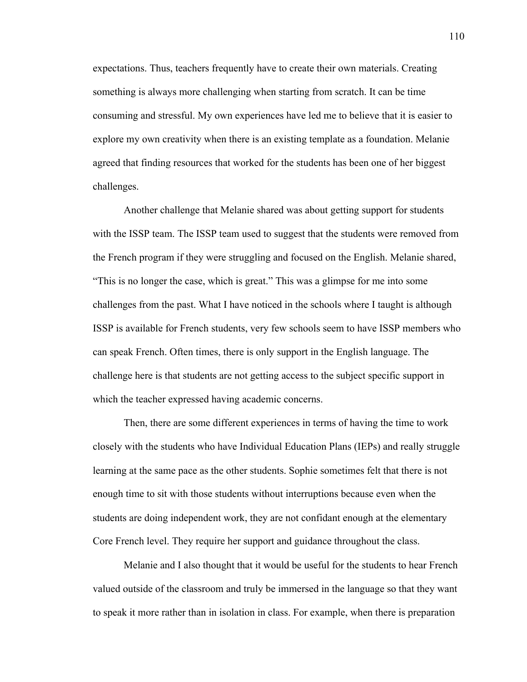expectations. Thus, teachers frequently have to create their own materials. Creating something is always more challenging when starting from scratch. It can be time consuming and stressful. My own experiences have led me to believe that it is easier to explore my own creativity when there is an existing template as a foundation. Melanie agreed that finding resources that worked for the students has been one of her biggest challenges.

Another challenge that Melanie shared was about getting support for students with the ISSP team. The ISSP team used to suggest that the students were removed from the French program if they were struggling and focused on the English. Melanie shared, "This is no longer the case, which is great." This was a glimpse for me into some challenges from the past. What I have noticed in the schools where I taught is although ISSP is available for French students, very few schools seem to have ISSP members who can speak French. Often times, there is only support in the English language. The challenge here is that students are not getting access to the subject specific support in which the teacher expressed having academic concerns.

Then, there are some different experiences in terms of having the time to work closely with the students who have Individual Education Plans (IEPs) and really struggle learning at the same pace as the other students. Sophie sometimes felt that there is not enough time to sit with those students without interruptions because even when the students are doing independent work, they are not confidant enough at the elementary Core French level. They require her support and guidance throughout the class.

Melanie and I also thought that it would be useful for the students to hear French valued outside of the classroom and truly be immersed in the language so that they want to speak it more rather than in isolation in class. For example, when there is preparation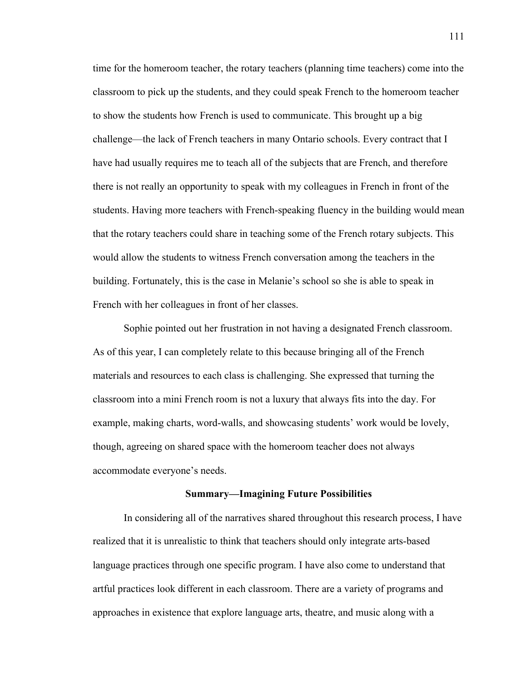time for the homeroom teacher, the rotary teachers (planning time teachers) come into the classroom to pick up the students, and they could speak French to the homeroom teacher to show the students how French is used to communicate. This brought up a big challenge—the lack of French teachers in many Ontario schools. Every contract that I have had usually requires me to teach all of the subjects that are French, and therefore there is not really an opportunity to speak with my colleagues in French in front of the students. Having more teachers with French-speaking fluency in the building would mean that the rotary teachers could share in teaching some of the French rotary subjects. This would allow the students to witness French conversation among the teachers in the building. Fortunately, this is the case in Melanie's school so she is able to speak in French with her colleagues in front of her classes.

Sophie pointed out her frustration in not having a designated French classroom. As of this year, I can completely relate to this because bringing all of the French materials and resources to each class is challenging. She expressed that turning the classroom into a mini French room is not a luxury that always fits into the day. For example, making charts, word-walls, and showcasing students' work would be lovely, though, agreeing on shared space with the homeroom teacher does not always accommodate everyone's needs.

### **Summary—Imagining Future Possibilities**

In considering all of the narratives shared throughout this research process, I have realized that it is unrealistic to think that teachers should only integrate arts-based language practices through one specific program. I have also come to understand that artful practices look different in each classroom. There are a variety of programs and approaches in existence that explore language arts, theatre, and music along with a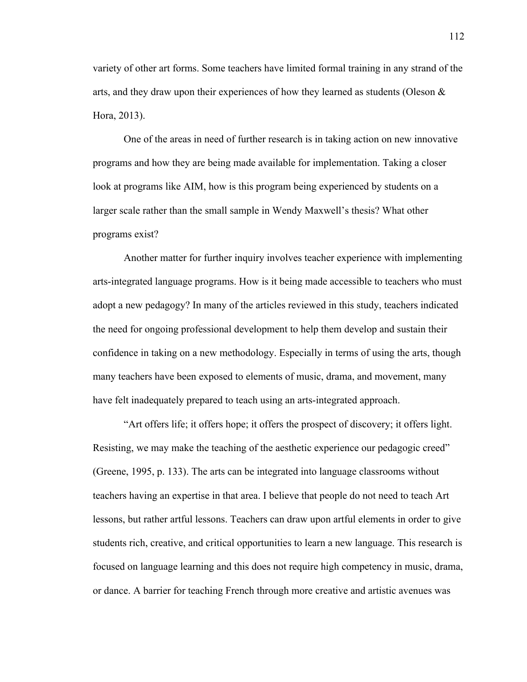variety of other art forms. Some teachers have limited formal training in any strand of the arts, and they draw upon their experiences of how they learned as students (Oleson & Hora, 2013).

One of the areas in need of further research is in taking action on new innovative programs and how they are being made available for implementation. Taking a closer look at programs like AIM, how is this program being experienced by students on a larger scale rather than the small sample in Wendy Maxwell's thesis? What other programs exist?

Another matter for further inquiry involves teacher experience with implementing arts-integrated language programs. How is it being made accessible to teachers who must adopt a new pedagogy? In many of the articles reviewed in this study, teachers indicated the need for ongoing professional development to help them develop and sustain their confidence in taking on a new methodology. Especially in terms of using the arts, though many teachers have been exposed to elements of music, drama, and movement, many have felt inadequately prepared to teach using an arts-integrated approach.

"Art offers life; it offers hope; it offers the prospect of discovery; it offers light. Resisting, we may make the teaching of the aesthetic experience our pedagogic creed" (Greene, 1995, p. 133). The arts can be integrated into language classrooms without teachers having an expertise in that area. I believe that people do not need to teach Art lessons, but rather artful lessons. Teachers can draw upon artful elements in order to give students rich, creative, and critical opportunities to learn a new language. This research is focused on language learning and this does not require high competency in music, drama, or dance. A barrier for teaching French through more creative and artistic avenues was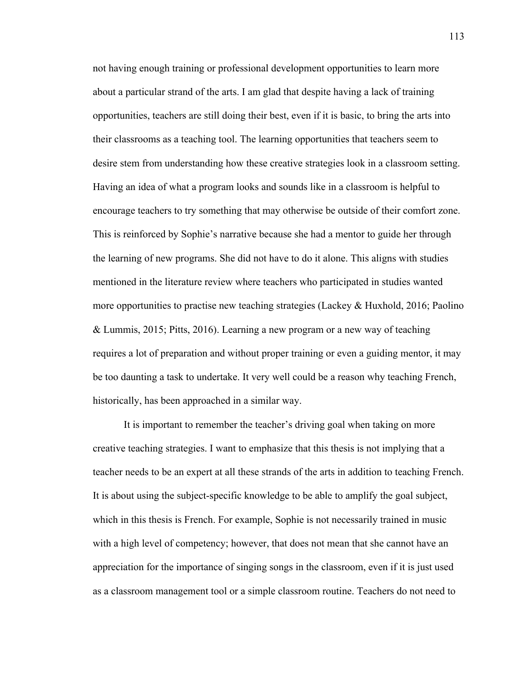not having enough training or professional development opportunities to learn more about a particular strand of the arts. I am glad that despite having a lack of training opportunities, teachers are still doing their best, even if it is basic, to bring the arts into their classrooms as a teaching tool. The learning opportunities that teachers seem to desire stem from understanding how these creative strategies look in a classroom setting. Having an idea of what a program looks and sounds like in a classroom is helpful to encourage teachers to try something that may otherwise be outside of their comfort zone. This is reinforced by Sophie's narrative because she had a mentor to guide her through the learning of new programs. She did not have to do it alone. This aligns with studies mentioned in the literature review where teachers who participated in studies wanted more opportunities to practise new teaching strategies (Lackey & Huxhold, 2016; Paolino & Lummis, 2015; Pitts, 2016). Learning a new program or a new way of teaching requires a lot of preparation and without proper training or even a guiding mentor, it may be too daunting a task to undertake. It very well could be a reason why teaching French, historically, has been approached in a similar way.

It is important to remember the teacher's driving goal when taking on more creative teaching strategies. I want to emphasize that this thesis is not implying that a teacher needs to be an expert at all these strands of the arts in addition to teaching French. It is about using the subject-specific knowledge to be able to amplify the goal subject, which in this thesis is French. For example, Sophie is not necessarily trained in music with a high level of competency; however, that does not mean that she cannot have an appreciation for the importance of singing songs in the classroom, even if it is just used as a classroom management tool or a simple classroom routine. Teachers do not need to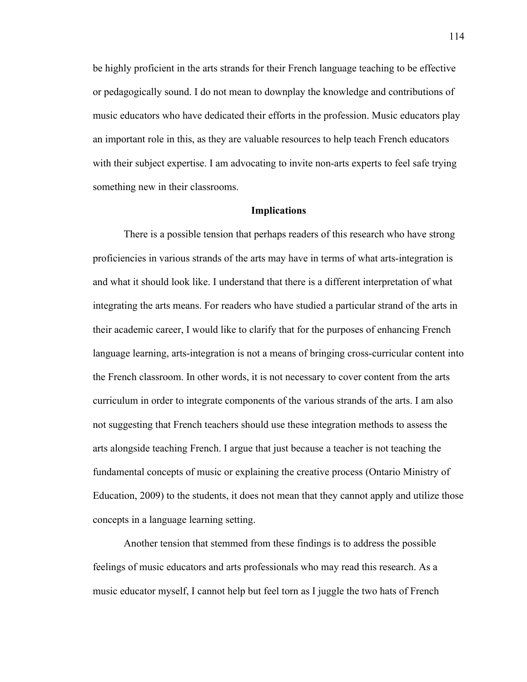be highly proficient in the arts strands for their French language teaching to be effective or pedagogically sound. I do not mean to downplay the knowledge and contributions of music educators who have dedicated their efforts in the profession. Music educators play an important role in this, as they are valuable resources to help teach French educators with their subject expertise. I am advocating to invite non-arts experts to feel safe trying something new in their classrooms.

## **Implications**

There is a possible tension that perhaps readers of this research who have strong proficiencies in various strands of the arts may have in terms of what arts-integration is and what it should look like. I understand that there is a different interpretation of what integrating the arts means. For readers who have studied a particular strand of the arts in their academic career, I would like to clarify that for the purposes of enhancing French language learning, arts-integration is not a means of bringing cross-curricular content into the French classroom. In other words, it is not necessary to cover content from the arts curriculum in order to integrate components of the various strands of the arts. I am also not suggesting that French teachers should use these integration methods to assess the arts alongside teaching French. I argue that just because a teacher is not teaching the fundamental concepts of music or explaining the creative process (Ontario Ministry of Education, 2009) to the students, it does not mean that they cannot apply and utilize those concepts in a language learning setting.

Another tension that stemmed from these findings is to address the possible feelings of music educators and arts professionals who may read this research. As a music educator myself, I cannot help but feel torn as I juggle the two hats of French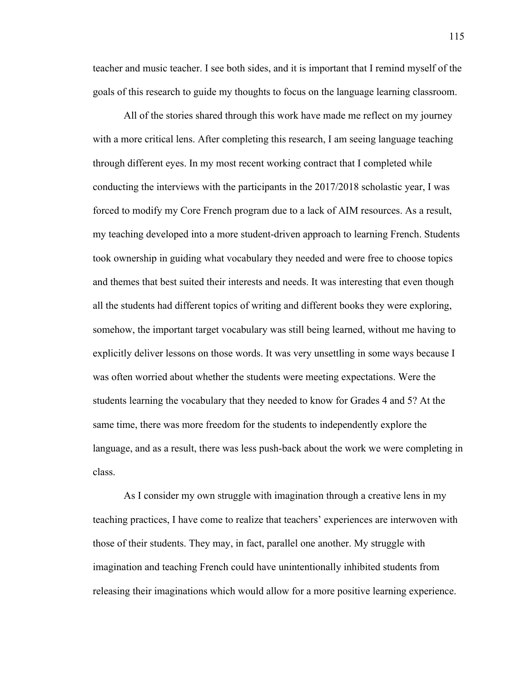teacher and music teacher. I see both sides, and it is important that I remind myself of the goals of this research to guide my thoughts to focus on the language learning classroom.

All of the stories shared through this work have made me reflect on my journey with a more critical lens. After completing this research, I am seeing language teaching through different eyes. In my most recent working contract that I completed while conducting the interviews with the participants in the 2017/2018 scholastic year, I was forced to modify my Core French program due to a lack of AIM resources. As a result, my teaching developed into a more student-driven approach to learning French. Students took ownership in guiding what vocabulary they needed and were free to choose topics and themes that best suited their interests and needs. It was interesting that even though all the students had different topics of writing and different books they were exploring, somehow, the important target vocabulary was still being learned, without me having to explicitly deliver lessons on those words. It was very unsettling in some ways because I was often worried about whether the students were meeting expectations. Were the students learning the vocabulary that they needed to know for Grades 4 and 5? At the same time, there was more freedom for the students to independently explore the language, and as a result, there was less push-back about the work we were completing in class.

As I consider my own struggle with imagination through a creative lens in my teaching practices, I have come to realize that teachers' experiences are interwoven with those of their students. They may, in fact, parallel one another. My struggle with imagination and teaching French could have unintentionally inhibited students from releasing their imaginations which would allow for a more positive learning experience.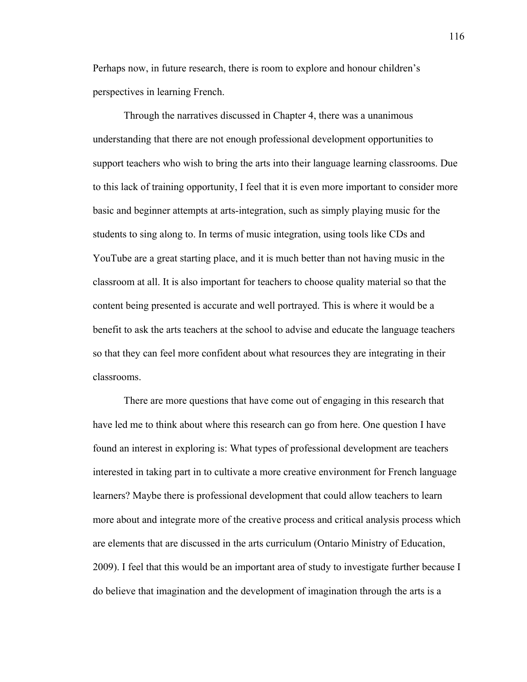Perhaps now, in future research, there is room to explore and honour children's perspectives in learning French.

Through the narratives discussed in Chapter 4, there was a unanimous understanding that there are not enough professional development opportunities to support teachers who wish to bring the arts into their language learning classrooms. Due to this lack of training opportunity, I feel that it is even more important to consider more basic and beginner attempts at arts-integration, such as simply playing music for the students to sing along to. In terms of music integration, using tools like CDs and YouTube are a great starting place, and it is much better than not having music in the classroom at all. It is also important for teachers to choose quality material so that the content being presented is accurate and well portrayed. This is where it would be a benefit to ask the arts teachers at the school to advise and educate the language teachers so that they can feel more confident about what resources they are integrating in their classrooms.

There are more questions that have come out of engaging in this research that have led me to think about where this research can go from here. One question I have found an interest in exploring is: What types of professional development are teachers interested in taking part in to cultivate a more creative environment for French language learners? Maybe there is professional development that could allow teachers to learn more about and integrate more of the creative process and critical analysis process which are elements that are discussed in the arts curriculum (Ontario Ministry of Education, 2009). I feel that this would be an important area of study to investigate further because I do believe that imagination and the development of imagination through the arts is a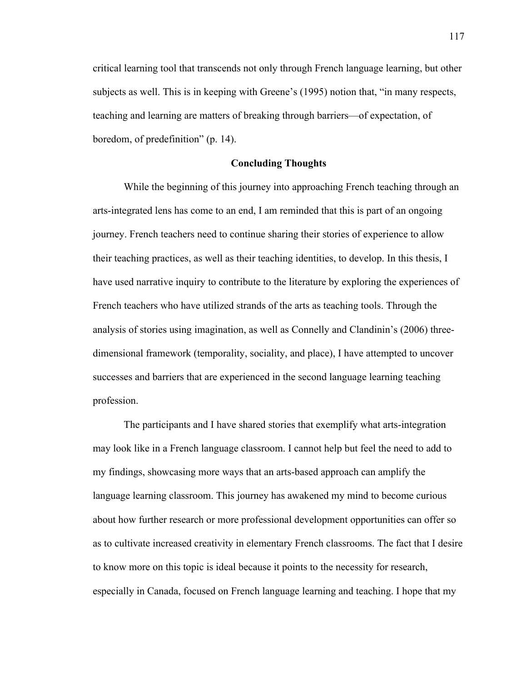critical learning tool that transcends not only through French language learning, but other subjects as well. This is in keeping with Greene's (1995) notion that, "in many respects, teaching and learning are matters of breaking through barriers—of expectation, of boredom, of predefinition" (p. 14).

## **Concluding Thoughts**

While the beginning of this journey into approaching French teaching through an arts-integrated lens has come to an end, I am reminded that this is part of an ongoing journey. French teachers need to continue sharing their stories of experience to allow their teaching practices, as well as their teaching identities, to develop. In this thesis, I have used narrative inquiry to contribute to the literature by exploring the experiences of French teachers who have utilized strands of the arts as teaching tools. Through the analysis of stories using imagination, as well as Connelly and Clandinin's (2006) threedimensional framework (temporality, sociality, and place), I have attempted to uncover successes and barriers that are experienced in the second language learning teaching profession.

The participants and I have shared stories that exemplify what arts-integration may look like in a French language classroom. I cannot help but feel the need to add to my findings, showcasing more ways that an arts-based approach can amplify the language learning classroom. This journey has awakened my mind to become curious about how further research or more professional development opportunities can offer so as to cultivate increased creativity in elementary French classrooms. The fact that I desire to know more on this topic is ideal because it points to the necessity for research, especially in Canada, focused on French language learning and teaching. I hope that my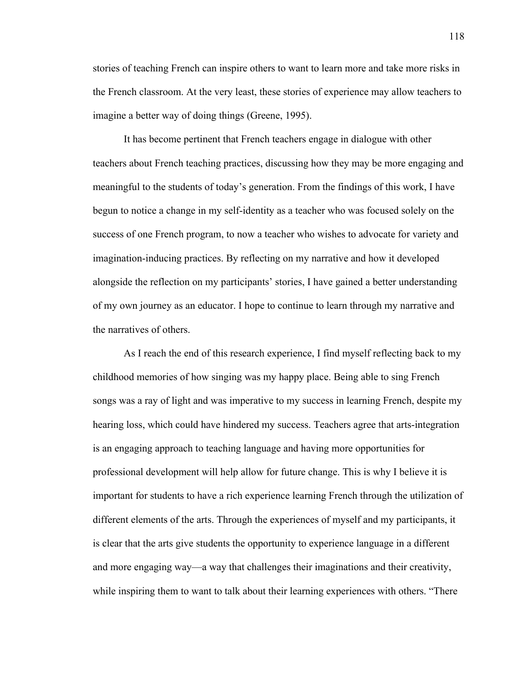stories of teaching French can inspire others to want to learn more and take more risks in the French classroom. At the very least, these stories of experience may allow teachers to imagine a better way of doing things (Greene, 1995).

It has become pertinent that French teachers engage in dialogue with other teachers about French teaching practices, discussing how they may be more engaging and meaningful to the students of today's generation. From the findings of this work, I have begun to notice a change in my self-identity as a teacher who was focused solely on the success of one French program, to now a teacher who wishes to advocate for variety and imagination-inducing practices. By reflecting on my narrative and how it developed alongside the reflection on my participants' stories, I have gained a better understanding of my own journey as an educator. I hope to continue to learn through my narrative and the narratives of others.

As I reach the end of this research experience, I find myself reflecting back to my childhood memories of how singing was my happy place. Being able to sing French songs was a ray of light and was imperative to my success in learning French, despite my hearing loss, which could have hindered my success. Teachers agree that arts-integration is an engaging approach to teaching language and having more opportunities for professional development will help allow for future change. This is why I believe it is important for students to have a rich experience learning French through the utilization of different elements of the arts. Through the experiences of myself and my participants, it is clear that the arts give students the opportunity to experience language in a different and more engaging way—a way that challenges their imaginations and their creativity, while inspiring them to want to talk about their learning experiences with others. "There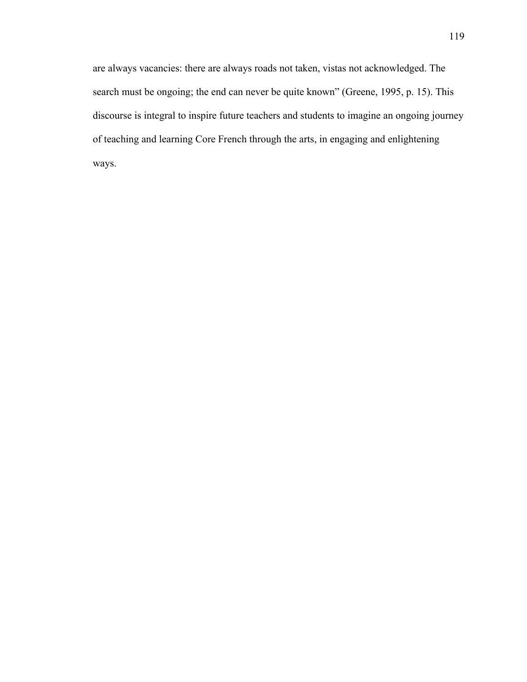are always vacancies: there are always roads not taken, vistas not acknowledged. The search must be ongoing; the end can never be quite known" (Greene, 1995, p. 15). This discourse is integral to inspire future teachers and students to imagine an ongoing journey of teaching and learning Core French through the arts, in engaging and enlightening ways.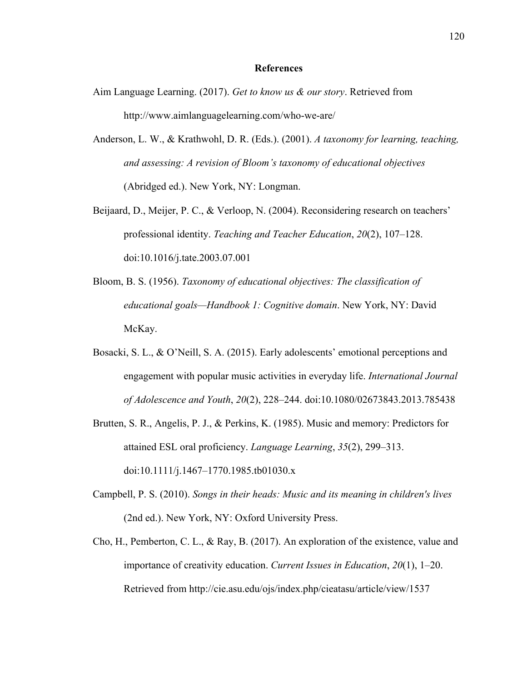#### **References**

- Aim Language Learning. (2017). *Get to know us & our story*. Retrieved from http://www.aimlanguagelearning.com/who-we-are/
- Anderson, L. W., & Krathwohl, D. R. (Eds.). (2001). *A taxonomy for learning, teaching, and assessing: A revision of Bloom's taxonomy of educational objectives* (Abridged ed.). New York, NY: Longman.
- Beijaard, D., Meijer, P. C., & Verloop, N. (2004). Reconsidering research on teachers' professional identity. *Teaching and Teacher Education*, *20*(2), 107–128. doi:10.1016/j.tate.2003.07.001
- Bloom, B. S. (1956). *Taxonomy of educational objectives: The classification of educational goals—Handbook 1: Cognitive domain*. New York, NY: David McKay.
- Bosacki, S. L., & O'Neill, S. A. (2015). Early adolescents' emotional perceptions and engagement with popular music activities in everyday life. *International Journal of Adolescence and Youth*, *20*(2), 228–244. doi:10.1080/02673843.2013.785438
- Brutten, S. R., Angelis, P. J., & Perkins, K. (1985). Music and memory: Predictors for attained ESL oral proficiency. *Language Learning*, *35*(2), 299–313. doi:10.1111/j.1467–1770.1985.tb01030.x
- Campbell, P. S. (2010). *Songs in their heads: Music and its meaning in children's lives*  (2nd ed.). New York, NY: Oxford University Press.
- Cho, H., Pemberton, C. L., & Ray, B. (2017). An exploration of the existence, value and importance of creativity education. *Current Issues in Education*, *20*(1), 1–20. Retrieved from http://cie.asu.edu/ojs/index.php/cieatasu/article/view/1537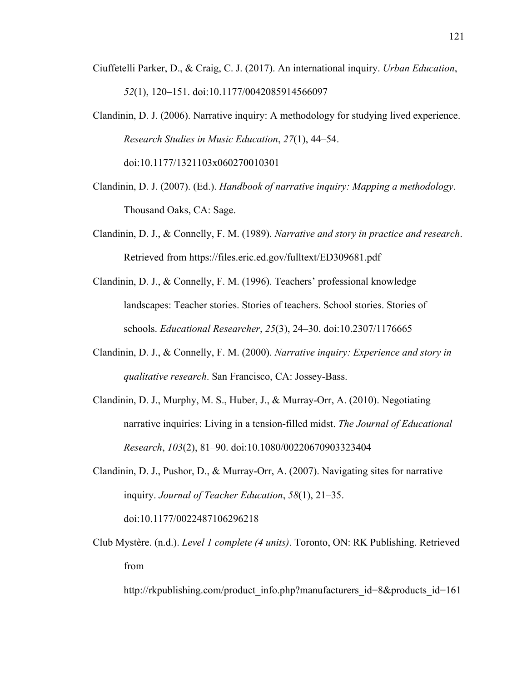- Ciuffetelli Parker, D., & Craig, C. J. (2017). An international inquiry. *Urban Education*, *52*(1), 120–151. doi:10.1177/0042085914566097
- Clandinin, D. J. (2006). Narrative inquiry: A methodology for studying lived experience. *Research Studies in Music Education*, *27*(1), 44–54. doi:10.1177/1321103x060270010301
- Clandinin, D. J. (2007). (Ed.). *Handbook of narrative inquiry: Mapping a methodology*. Thousand Oaks, CA: Sage.
- Clandinin, D. J., & Connelly, F. M. (1989). *Narrative and story in practice and research*. Retrieved from https://files.eric.ed.gov/fulltext/ED309681.pdf
- Clandinin, D. J., & Connelly, F. M. (1996). Teachers' professional knowledge landscapes: Teacher stories. Stories of teachers. School stories. Stories of schools. *Educational Researcher*, *25*(3), 24–30. doi:10.2307/1176665
- Clandinin, D. J., & Connelly, F. M. (2000). *Narrative inquiry: Experience and story in qualitative research*. San Francisco, CA: Jossey-Bass.
- Clandinin, D. J., Murphy, M. S., Huber, J., & Murray-Orr, A. (2010). Negotiating narrative inquiries: Living in a tension-filled midst. *The Journal of Educational Research*, *103*(2), 81–90. doi:10.1080/00220670903323404
- Clandinin, D. J., Pushor, D., & Murray-Orr, A. (2007). Navigating sites for narrative inquiry. *Journal of Teacher Education*, *58*(1), 21–35. doi:10.1177/0022487106296218
- Club Mystère. (n.d.). *Level 1 complete (4 units)*. Toronto, ON: RK Publishing. Retrieved from

http://rkpublishing.com/product\_info.php?manufacturers\_id=8&products\_id=161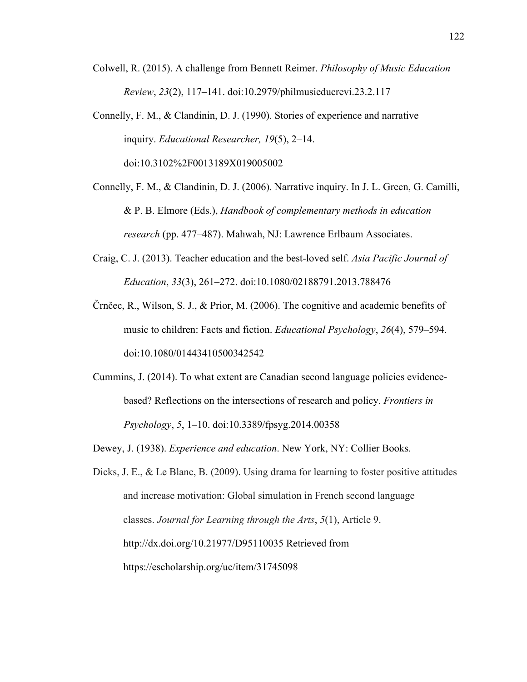- Colwell, R. (2015). A challenge from Bennett Reimer. *Philosophy of Music Education Review*, *23*(2), 117–141. doi:10.2979/philmusieducrevi.23.2.117
- Connelly, F. M., & Clandinin, D. J. (1990). Stories of experience and narrative inquiry. *Educational Researcher, 19*(5), 2–14. doi:10.3102%2F0013189X019005002
- Connelly, F. M., & Clandinin, D. J. (2006). Narrative inquiry. In J. L. Green, G. Camilli, & P. B. Elmore (Eds.), *Handbook of complementary methods in education research* (pp. 477–487). Mahwah, NJ: Lawrence Erlbaum Associates.
- Craig, C. J. (2013). Teacher education and the best-loved self. *Asia Pacific Journal of Education*, *33*(3), 261–272. doi:10.1080/02188791.2013.788476
- Črnčec, R., Wilson, S. J., & Prior, M. (2006). The cognitive and academic benefits of music to children: Facts and fiction. *Educational Psychology*, *26*(4), 579–594. doi:10.1080/01443410500342542
- Cummins, J. (2014). To what extent are Canadian second language policies evidencebased? Reflections on the intersections of research and policy. *Frontiers in Psychology*, *5*, 1–10. doi:10.3389/fpsyg.2014.00358
- Dewey, J. (1938). *Experience and education*. New York, NY: Collier Books.
- Dicks, J. E., & Le Blanc, B. (2009). Using drama for learning to foster positive attitudes and increase motivation: Global simulation in French second language classes. *Journal for Learning through the Arts*, *5*(1), Article 9. http://dx.doi.org/10.21977/D95110035 Retrieved from https://escholarship.org/uc/item/31745098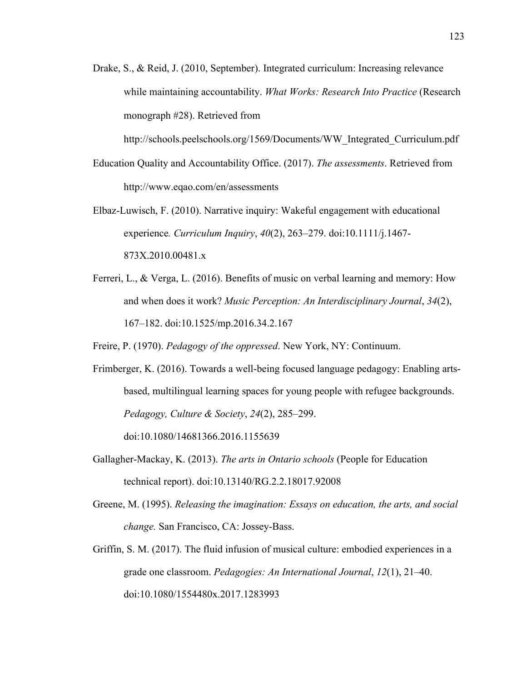Drake, S., & Reid, J. (2010, September). Integrated curriculum: Increasing relevance while maintaining accountability. *What Works: Research Into Practice* (Research monograph #28). Retrieved from

http://schools.peelschools.org/1569/Documents/WW\_Integrated\_Curriculum.pdf

- Education Quality and Accountability Office. (2017). *The assessments*. Retrieved from http://www.eqao.com/en/assessments
- Elbaz-Luwisch, F. (2010). Narrative inquiry: Wakeful engagement with educational experience*. Curriculum Inquiry*, *40*(2), 263–279. doi:10.1111/j.1467- 873X.2010.00481.x
- Ferreri, L., & Verga, L. (2016). Benefits of music on verbal learning and memory: How and when does it work? *Music Perception: An Interdisciplinary Journal*, *34*(2), 167–182. doi:10.1525/mp.2016.34.2.167
- Freire, P. (1970). *Pedagogy of the oppressed*. New York, NY: Continuum.
- Frimberger, K. (2016). Towards a well-being focused language pedagogy: Enabling artsbased, multilingual learning spaces for young people with refugee backgrounds. *Pedagogy, Culture & Society*, *24*(2), 285–299.

doi:10.1080/14681366.2016.1155639

- Gallagher-Mackay, K. (2013). *The arts in Ontario schools* (People for Education technical report). doi:10.13140/RG.2.2.18017.92008
- Greene, M. (1995). *Releasing the imagination: Essays on education, the arts, and social change.* San Francisco, CA: Jossey-Bass.
- Griffin, S. M. (2017). The fluid infusion of musical culture: embodied experiences in a grade one classroom. *Pedagogies: An International Journal*, *12*(1), 21–40. doi:10.1080/1554480x.2017.1283993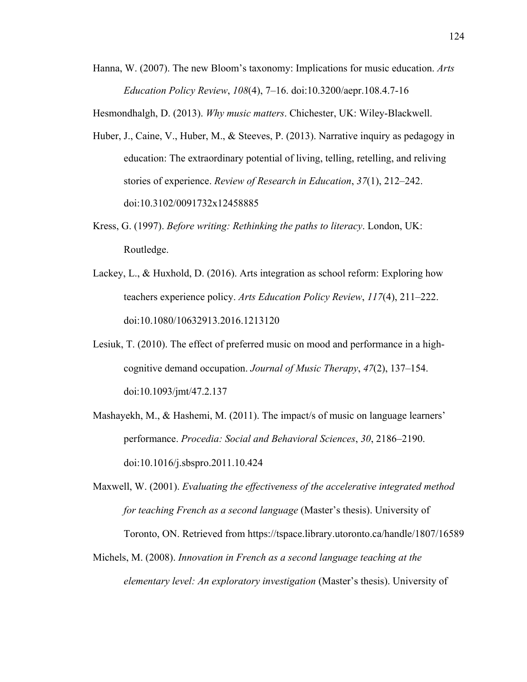Hanna, W. (2007). The new Bloom's taxonomy: Implications for music education. *Arts Education Policy Review*, *108*(4), 7–16. doi:10.3200/aepr.108.4.7-16

Hesmondhalgh, D. (2013). *Why music matters*. Chichester, UK: Wiley-Blackwell.

- Huber, J., Caine, V., Huber, M., & Steeves, P. (2013). Narrative inquiry as pedagogy in education: The extraordinary potential of living, telling, retelling, and reliving stories of experience. *Review of Research in Education*, *37*(1), 212–242. doi:10.3102/0091732x12458885
- Kress, G. (1997). *Before writing: Rethinking the paths to literacy*. London, UK: Routledge.
- Lackey, L., & Huxhold, D. (2016). Arts integration as school reform: Exploring how teachers experience policy. *Arts Education Policy Review*, *117*(4), 211–222. doi:10.1080/10632913.2016.1213120
- Lesiuk, T. (2010). The effect of preferred music on mood and performance in a highcognitive demand occupation. *Journal of Music Therapy*, *47*(2), 137–154. doi:10.1093/jmt/47.2.137
- Mashayekh, M., & Hashemi, M. (2011). The impact/s of music on language learners' performance. *Procedia: Social and Behavioral Sciences*, *30*, 2186–2190. doi:10.1016/j.sbspro.2011.10.424
- Maxwell, W. (2001). *Evaluating the effectiveness of the accelerative integrated method for teaching French as a second language* (Master's thesis). University of Toronto, ON. Retrieved from https://tspace.library.utoronto.ca/handle/1807/16589
- Michels, M. (2008). *Innovation in French as a second language teaching at the elementary level: An exploratory investigation* (Master's thesis). University of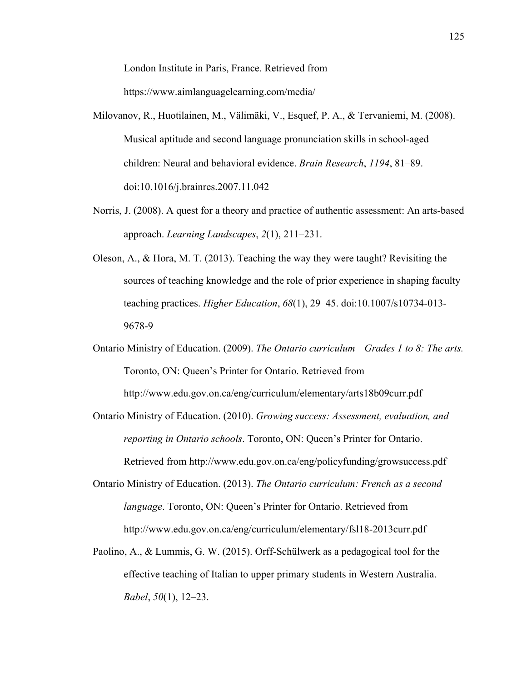London Institute in Paris, France. Retrieved from

https://www.aimlanguagelearning.com/media/

- Milovanov, R., Huotilainen, M., Välimäki, V., Esquef, P. A., & Tervaniemi, M. (2008). Musical aptitude and second language pronunciation skills in school-aged children: Neural and behavioral evidence. *Brain Research*, *1194*, 81–89. doi:10.1016/j.brainres.2007.11.042
- Norris, J. (2008). A quest for a theory and practice of authentic assessment: An arts-based approach. *Learning Landscapes*, *2*(1), 211–231.
- Oleson, A., & Hora, M. T. (2013). Teaching the way they were taught? Revisiting the sources of teaching knowledge and the role of prior experience in shaping faculty teaching practices. *Higher Education*, *68*(1), 29–45. doi:10.1007/s10734-013- 9678-9
- Ontario Ministry of Education. (2009). *The Ontario curriculum—Grades 1 to 8: The arts.* Toronto, ON: Queen's Printer for Ontario. Retrieved from http://www.edu.gov.on.ca/eng/curriculum/elementary/arts18b09curr.pdf
- Ontario Ministry of Education. (2010). *Growing success: Assessment, evaluation, and reporting in Ontario schools*. Toronto, ON: Queen's Printer for Ontario. Retrieved from http://www.edu.gov.on.ca/eng/policyfunding/growsuccess.pdf
- Ontario Ministry of Education. (2013). *The Ontario curriculum: French as a second language*. Toronto, ON: Queen's Printer for Ontario. Retrieved from http://www.edu.gov.on.ca/eng/curriculum/elementary/fsl18-2013curr.pdf
- Paolino, A., & Lummis, G. W. (2015). Orff-Schülwerk as a pedagogical tool for the effective teaching of Italian to upper primary students in Western Australia. *Babel*, *50*(1), 12–23.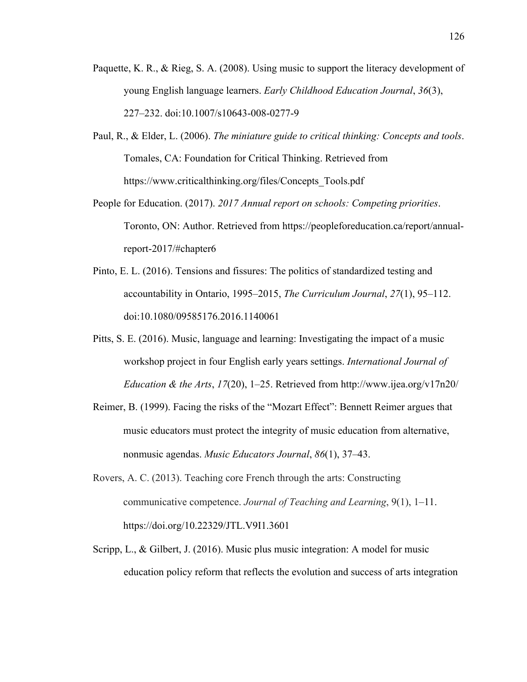- Paquette, K. R., & Rieg, S. A. (2008). Using music to support the literacy development of young English language learners. *Early Childhood Education Journal*, *36*(3), 227–232. doi:10.1007/s10643-008-0277-9
- Paul, R., & Elder, L. (2006). *The miniature guide to critical thinking: Concepts and tools*. Tomales, CA: Foundation for Critical Thinking. Retrieved from https://www.criticalthinking.org/files/Concepts\_Tools.pdf
- People for Education. (2017). *2017 Annual report on schools: Competing priorities*. Toronto, ON: Author. Retrieved from https://peopleforeducation.ca/report/annualreport-2017/#chapter6
- Pinto, E. L. (2016). Tensions and fissures: The politics of standardized testing and accountability in Ontario, 1995–2015, *The Curriculum Journal*, *27*(1), 95–112. doi:10.1080/09585176.2016.1140061
- Pitts, S. E. (2016). Music, language and learning: Investigating the impact of a music workshop project in four English early years settings. *International Journal of Education & the Arts*, *17*(20), 1–25. Retrieved from http://www.ijea.org/v17n20/
- Reimer, B. (1999). Facing the risks of the "Mozart Effect": Bennett Reimer argues that music educators must protect the integrity of music education from alternative, nonmusic agendas. *Music Educators Journal*, *86*(1), 37–43.
- Rovers, A. C. (2013). Teaching core French through the arts: Constructing communicative competence. *Journal of Teaching and Learning*, 9(1), 1–11. https://doi.org/10.22329/JTL.V9I1.3601
- Scripp, L., & Gilbert, J. (2016). Music plus music integration: A model for music education policy reform that reflects the evolution and success of arts integration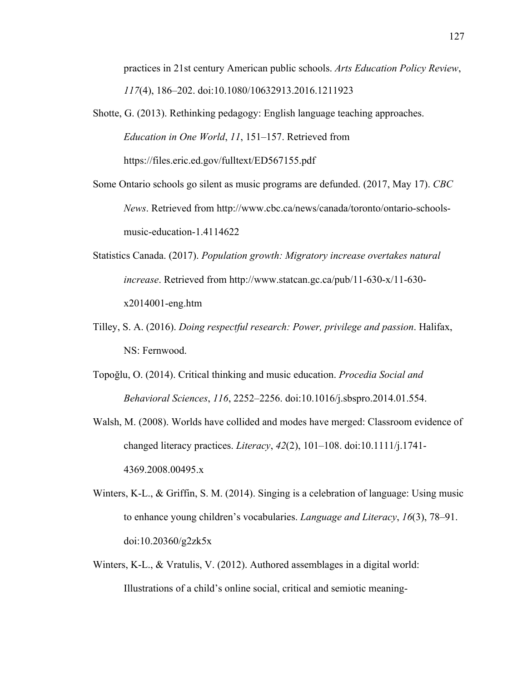practices in 21st century American public schools. *Arts Education Policy Review*, *117*(4), 186–202. doi:10.1080/10632913.2016.1211923

- Shotte, G. (2013). Rethinking pedagogy: English language teaching approaches. *Education in One World*, *11*, 151–157. Retrieved from https://files.eric.ed.gov/fulltext/ED567155.pdf
- Some Ontario schools go silent as music programs are defunded. (2017, May 17). *CBC News*. Retrieved from http://www.cbc.ca/news/canada/toronto/ontario-schoolsmusic-education-1.4114622
- Statistics Canada. (2017). *Population growth: Migratory increase overtakes natural increase*. Retrieved from http://www.statcan.gc.ca/pub/11-630-x/11-630 x2014001-eng.htm
- Tilley, S. A. (2016). *Doing respectful research: Power, privilege and passion*. Halifax, NS: Fernwood.
- Topoğlu, O. (2014). Critical thinking and music education. *Procedia Social and Behavioral Sciences*, *116*, 2252–2256. doi:10.1016/j.sbspro.2014.01.554.
- Walsh, M. (2008). Worlds have collided and modes have merged: Classroom evidence of changed literacy practices. *Literacy*, *42*(2), 101–108. doi:10.1111/j.1741- 4369.2008.00495.x
- Winters, K-L., & Griffin, S. M. (2014). Singing is a celebration of language: Using music to enhance young children's vocabularies. *Language and Literacy*, *16*(3), 78–91. doi:10.20360/g2zk5x
- Winters, K-L., & Vratulis, V. (2012). Authored assemblages in a digital world: Illustrations of a child's online social, critical and semiotic meaning-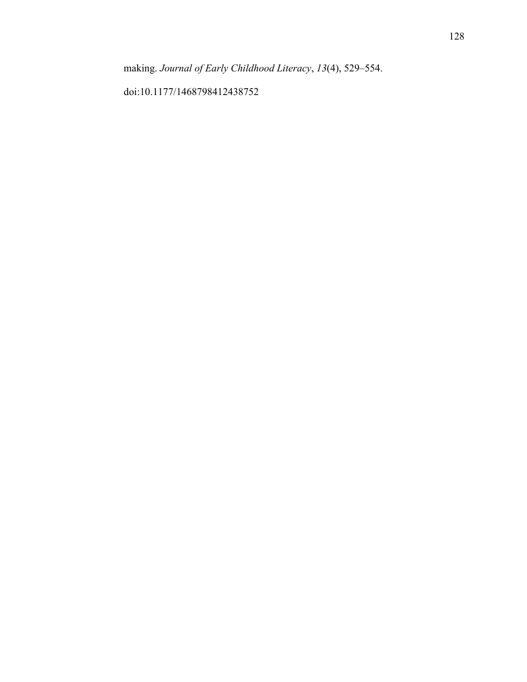doi:10.1177/1468798412438752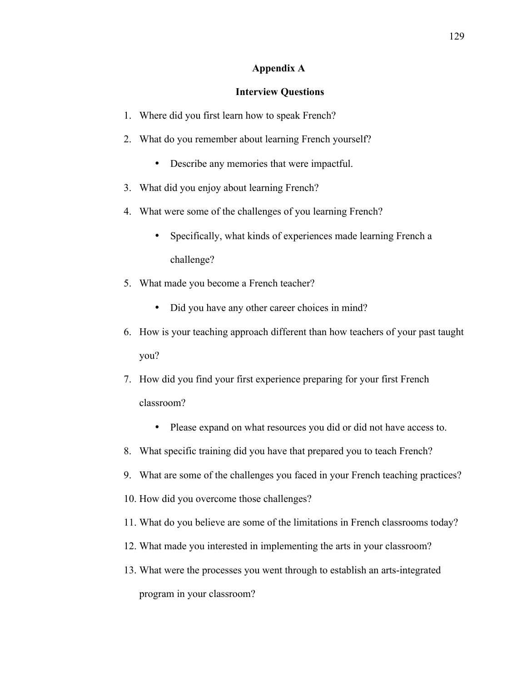## **Appendix A**

#### **Interview Questions**

- 1. Where did you first learn how to speak French?
- 2. What do you remember about learning French yourself?
	- Describe any memories that were impactful.
- 3. What did you enjoy about learning French?
- 4. What were some of the challenges of you learning French?
	- Specifically, what kinds of experiences made learning French a challenge?
- 5. What made you become a French teacher?
	- Did you have any other career choices in mind?
- 6. How is your teaching approach different than how teachers of your past taught you?
- 7. How did you find your first experience preparing for your first French classroom?
	- Please expand on what resources you did or did not have access to.
- 8. What specific training did you have that prepared you to teach French?
- 9. What are some of the challenges you faced in your French teaching practices?
- 10. How did you overcome those challenges?
- 11. What do you believe are some of the limitations in French classrooms today?
- 12. What made you interested in implementing the arts in your classroom?
- 13. What were the processes you went through to establish an arts-integrated program in your classroom?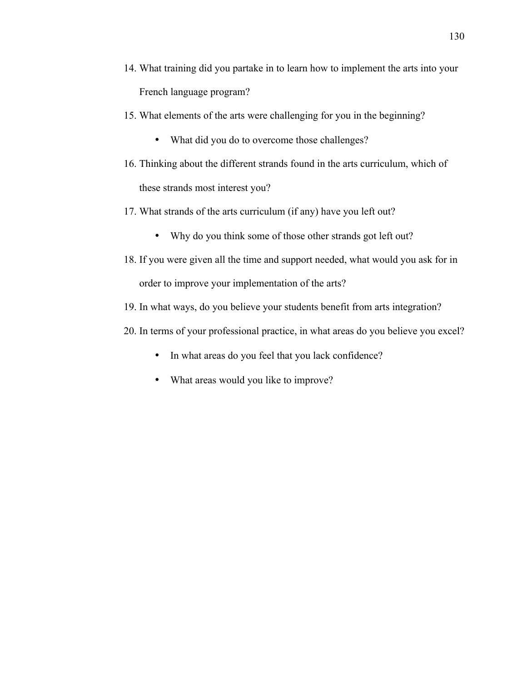- 14. What training did you partake in to learn how to implement the arts into your French language program?
- 15. What elements of the arts were challenging for you in the beginning?
	- What did you do to overcome those challenges?
- 16. Thinking about the different strands found in the arts curriculum, which of these strands most interest you?
- 17. What strands of the arts curriculum (if any) have you left out?
	- Why do you think some of those other strands got left out?
- 18. If you were given all the time and support needed, what would you ask for in order to improve your implementation of the arts?
- 19. In what ways, do you believe your students benefit from arts integration?
- 20. In terms of your professional practice, in what areas do you believe you excel?
	- In what areas do you feel that you lack confidence?
	- What areas would you like to improve?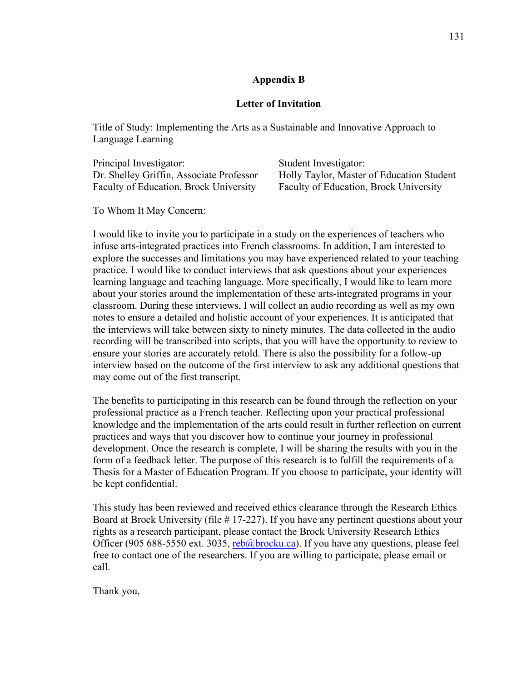# **Appendix B**

## **Letter of Invitation**

Title of Study: Implementing the Arts as a Sustainable and Innovative Approach to Language Learning

| Principal Investigator:                  | Student Investigator:                     |
|------------------------------------------|-------------------------------------------|
| Dr. Shelley Griffin, Associate Professor | Holly Taylor, Master of Education Student |
| Faculty of Education, Brock University   | Faculty of Education, Brock University    |

To Whom It May Concern:

I would like to invite you to participate in a study on the experiences of teachers who infuse arts-integrated practices into French classrooms. In addition, I am interested to explore the successes and limitations you may have experienced related to your teaching practice. I would like to conduct interviews that ask questions about your experiences learning language and teaching language. More specifically, I would like to learn more about your stories around the implementation of these arts-integrated programs in your classroom. During these interviews, I will collect an audio recording as well as my own notes to ensure a detailed and holistic account of your experiences. It is anticipated that the interviews will take between sixty to ninety minutes. The data collected in the audio recording will be transcribed into scripts, that you will have the opportunity to review to ensure your stories are accurately retold. There is also the possibility for a follow-up interview based on the outcome of the first interview to ask any additional questions that may come out of the first transcript.

The benefits to participating in this research can be found through the reflection on your professional practice as a French teacher. Reflecting upon your practical professional knowledge and the implementation of the arts could result in further reflection on current practices and ways that you discover how to continue your journey in professional development. Once the research is complete, I will be sharing the results with you in the form of a feedback letter. The purpose of this research is to fulfill the requirements of a Thesis for a Master of Education Program. If you choose to participate, your identity will be kept confidential.

This study has been reviewed and received ethics clearance through the Research Ethics Board at Brock University (file # 17-227). If you have any pertinent questions about your rights as a research participant, please contact the Brock University Research Ethics Officer (905 688-5550 ext. 3035, reb@brocku.ca). If you have any questions, please feel free to contact one of the researchers. If you are willing to participate, please email or call.

Thank you,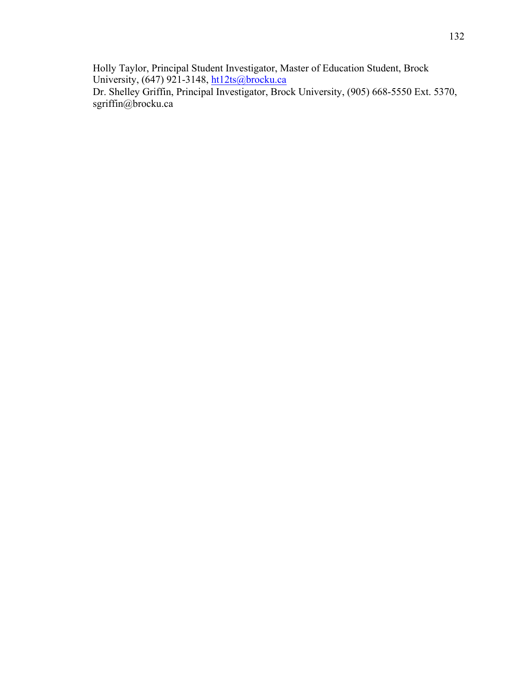Holly Taylor, Principal Student Investigator, Master of Education Student, Brock University, (647) 921-3148, ht12ts@brocku.ca Dr. Shelley Griffin, Principal Investigator, Brock University, (905) 668-5550 Ext. 5370, sgriffin@brocku.ca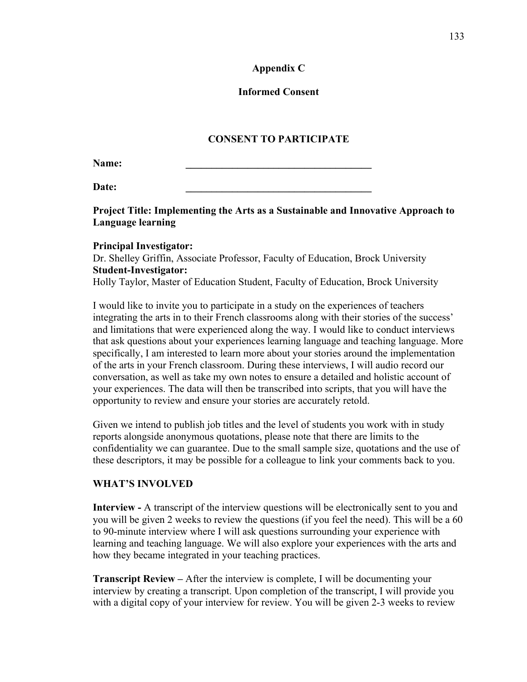# **Appendix C**

# **Informed Consent**

# **CONSENT TO PARTICIPATE**

Name:

**Date: \_\_\_\_\_\_\_\_\_\_\_\_\_\_\_\_\_\_\_\_\_\_\_\_\_\_\_\_\_\_\_\_\_\_\_\_**

**Project Title: Implementing the Arts as a Sustainable and Innovative Approach to Language learning**

## **Principal Investigator:**

Dr. Shelley Griffin, Associate Professor, Faculty of Education, Brock University **Student-Investigator:**

Holly Taylor, Master of Education Student, Faculty of Education, Brock University

I would like to invite you to participate in a study on the experiences of teachers integrating the arts in to their French classrooms along with their stories of the success' and limitations that were experienced along the way. I would like to conduct interviews that ask questions about your experiences learning language and teaching language. More specifically, I am interested to learn more about your stories around the implementation of the arts in your French classroom. During these interviews, I will audio record our conversation, as well as take my own notes to ensure a detailed and holistic account of your experiences. The data will then be transcribed into scripts, that you will have the opportunity to review and ensure your stories are accurately retold.

Given we intend to publish job titles and the level of students you work with in study reports alongside anonymous quotations, please note that there are limits to the confidentiality we can guarantee. Due to the small sample size, quotations and the use of these descriptors, it may be possible for a colleague to link your comments back to you.

# **WHAT'S INVOLVED**

**Interview -** A transcript of the interview questions will be electronically sent to you and you will be given 2 weeks to review the questions (if you feel the need). This will be a 60 to 90-minute interview where I will ask questions surrounding your experience with learning and teaching language. We will also explore your experiences with the arts and how they became integrated in your teaching practices.

**Transcript Review –** After the interview is complete, I will be documenting your interview by creating a transcript. Upon completion of the transcript, I will provide you with a digital copy of your interview for review. You will be given 2-3 weeks to review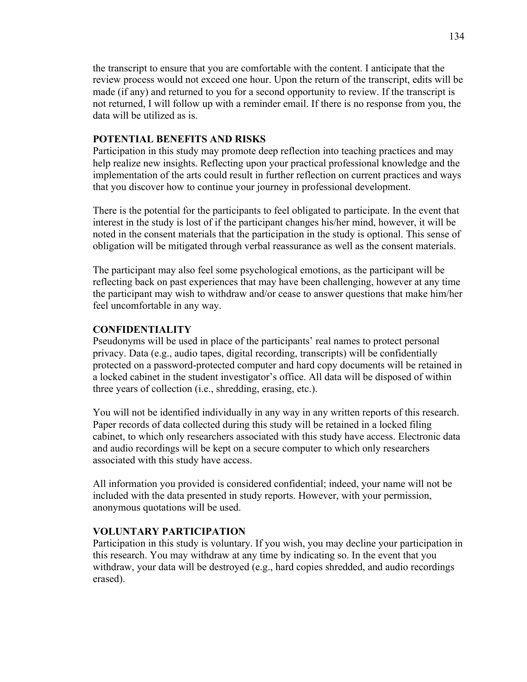the transcript to ensure that you are comfortable with the content. I anticipate that the review process would not exceed one hour. Upon the return of the transcript, edits will be made (if any) and returned to you for a second opportunity to review. If the transcript is not returned, I will follow up with a reminder email. If there is no response from you, the data will be utilized as is.

## **POTENTIAL BENEFITS AND RISKS**

Participation in this study may promote deep reflection into teaching practices and may help realize new insights. Reflecting upon your practical professional knowledge and the implementation of the arts could result in further reflection on current practices and ways that you discover how to continue your journey in professional development.

There is the potential for the participants to feel obligated to participate. In the event that interest in the study is lost of if the participant changes his/her mind, however, it will be noted in the consent materials that the participation in the study is optional. This sense of obligation will be mitigated through verbal reassurance as well as the consent materials.

The participant may also feel some psychological emotions, as the participant will be reflecting back on past experiences that may have been challenging, however at any time the participant may wish to withdraw and/or cease to answer questions that make him/her feel uncomfortable in any way.

## **CONFIDENTIALITY**

Pseudonyms will be used in place of the participants' real names to protect personal privacy. Data (e.g., audio tapes, digital recording, transcripts) will be confidentially protected on a password-protected computer and hard copy documents will be retained in a locked cabinet in the student investigator's office. All data will be disposed of within three years of collection (i.e., shredding, erasing, etc.).

You will not be identified individually in any way in any written reports of this research. Paper records of data collected during this study will be retained in a locked filing cabinet, to which only researchers associated with this study have access. Electronic data and audio recordings will be kept on a secure computer to which only researchers associated with this study have access.

All information you provided is considered confidential; indeed, your name will not be included with the data presented in study reports. However, with your permission, anonymous quotations will be used.

## **VOLUNTARY PARTICIPATION**

Participation in this study is voluntary. If you wish, you may decline your participation in this research. You may withdraw at any time by indicating so. In the event that you withdraw, your data will be destroyed (e.g., hard copies shredded, and audio recordings erased).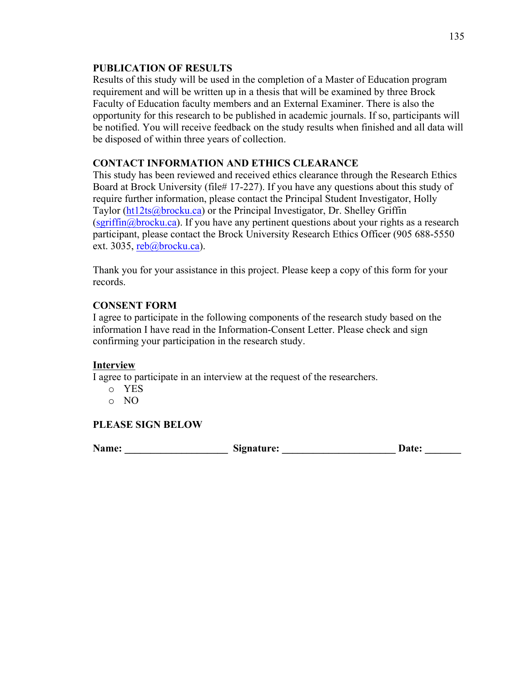# **PUBLICATION OF RESULTS**

Results of this study will be used in the completion of a Master of Education program requirement and will be written up in a thesis that will be examined by three Brock Faculty of Education faculty members and an External Examiner. There is also the opportunity for this research to be published in academic journals. If so, participants will be notified. You will receive feedback on the study results when finished and all data will be disposed of within three years of collection.

# **CONTACT INFORMATION AND ETHICS CLEARANCE**

This study has been reviewed and received ethics clearance through the Research Ethics Board at Brock University (file# 17-227). If you have any questions about this study of require further information, please contact the Principal Student Investigator, Holly Taylor (ht12ts@brocku.ca) or the Principal Investigator, Dr. Shelley Griffin  $(sgriffin@brocku.ca)$ . If you have any pertinent questions about your rights as a research participant, please contact the Brock University Research Ethics Officer (905 688-5550 ext. 3035, reb@brocku.ca).

Thank you for your assistance in this project. Please keep a copy of this form for your records.

# **CONSENT FORM**

I agree to participate in the following components of the research study based on the information I have read in the Information-Consent Letter. Please check and sign confirming your participation in the research study.

# **Interview**

I agree to participate in an interview at the request of the researchers.

- o YES
- o NO

# **PLEASE SIGN BELOW**

Name: Signature: Signature: Date: